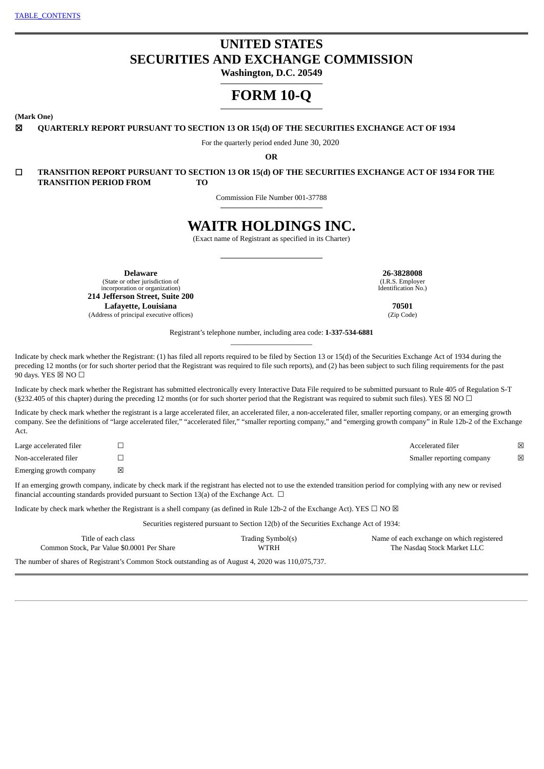# **UNITED STATES SECURITIES AND EXCHANGE COMMISSION**

**Washington, D.C. 20549**

# **FORM 10-Q**

**(Mark One)**

☒ **QUARTERLY REPORT PURSUANT TO SECTION 13 OR 15(d) OF THE SECURITIES EXCHANGE ACT OF 1934**

For the quarterly period ended June 30, 2020

**OR**

☐ **TRANSITION REPORT PURSUANT TO SECTION 13 OR 15(d) OF THE SECURITIES EXCHANGE ACT OF 1934 FOR THE TRANSITION PERIOD FROM TO**

Commission File Number 001-37788

# **WAITR HOLDINGS INC.**

(Exact name of Registrant as specified in its Charter)

**Delaware 26-3828008** (State or other jurisdiction of incorporation or organization) **214 Jefferson Street, Suite 200**

**Lafayette, Louisiana 70501**<br> **19501 19501 19501 19501 19501 19501 19501 19501 19701 19701 19701 19701 19701 19701 19701** (Address of principal executive offices)

(I.R.S. Employer Identification No.)

Registrant's telephone number, including area code: **1-337-534-6881** \_\_\_\_\_\_\_\_\_\_\_\_\_\_\_\_\_\_\_\_\_\_

Indicate by check mark whether the Registrant: (1) has filed all reports required to be filed by Section 13 or 15(d) of the Securities Exchange Act of 1934 during the preceding 12 months (or for such shorter period that the Registrant was required to file such reports), and (2) has been subject to such filing requirements for the past 90 days. YES  $\times$  NO  $\Box$ 

Indicate by check mark whether the Registrant has submitted electronically every Interactive Data File required to be submitted pursuant to Rule 405 of Regulation S-T (§232.405 of this chapter) during the preceding 12 months (or for such shorter period that the Registrant was required to submit such files). YES  $\boxtimes$  NO  $\Box$ 

Indicate by check mark whether the registrant is a large accelerated filer, an accelerated filer, a non-accelerated filer, smaller reporting company, or an emerging growth company. See the definitions of "large accelerated filer," "accelerated filer," "smaller reporting company," and "emerging growth company" in Rule 12b-2 of the Exchange Act.

| Large accelerated filer |   | Accelerated filer         | 冈 |
|-------------------------|---|---------------------------|---|
| Non-accelerated filer   |   | Smaller reporting company | 冈 |
| Emerging growth company | ⊠ |                           |   |

If an emerging growth company, indicate by check mark if the registrant has elected not to use the extended transition period for complying with any new or revised financial accounting standards provided pursuant to Section 13(a) of the Exchange Act.  $\Box$ 

Indicate by check mark whether the Registrant is a shell company (as defined in Rule 12b-2 of the Exchange Act). YES  $\Box$  NO  $\boxtimes$ 

Securities registered pursuant to Section 12(b) of the Securities Exchange Act of 1934:

| Title of each class                        | Trading Symbol(s) | Name of each exchange on which registered |
|--------------------------------------------|-------------------|-------------------------------------------|
| Common Stock, Par Value \$0.0001 Per Share | WTRH              | The Nasdag Stock Market LLC               |

The number of shares of Registrant's Common Stock outstanding as of August 4, 2020 was 110,075,737.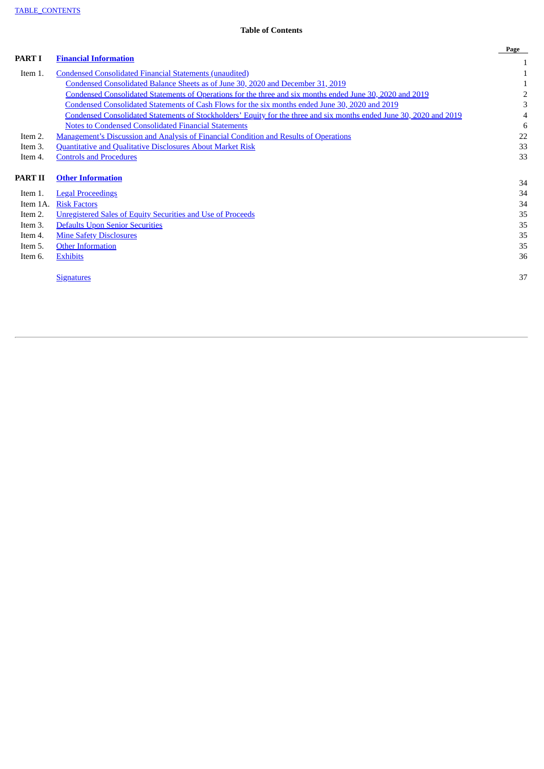# **Table of Contents**

**Page**

<span id="page-1-0"></span>

| <b>Financial Information</b> |
|------------------------------|
|                              |

| PART I   | <b>Financial Information</b>                                                                                        | 1  |
|----------|---------------------------------------------------------------------------------------------------------------------|----|
| Item 1.  | <b>Condensed Consolidated Financial Statements (unaudited)</b>                                                      |    |
|          | Condensed Consolidated Balance Sheets as of June 30, 2020 and December 31, 2019                                     |    |
|          | Condensed Consolidated Statements of Operations for the three and six months ended June 30, 2020 and 2019           | 2  |
|          | Condensed Consolidated Statements of Cash Flows for the six months ended June 30, 2020 and 2019                     | 3  |
|          | Condensed Consolidated Statements of Stockholders' Equity for the three and six months ended June 30, 2020 and 2019 |    |
|          | <b>Notes to Condensed Consolidated Financial Statements</b>                                                         | 6  |
| Item 2.  | <b>Management's Discussion and Analysis of Financial Condition and Results of Operations</b>                        | 22 |
| Item 3.  | <b>Quantitative and Qualitative Disclosures About Market Risk</b>                                                   | 33 |
| Item 4.  | <b>Controls and Procedures</b>                                                                                      | 33 |
| PART II  | <b>Other Information</b>                                                                                            | 34 |
| Item 1.  | <b>Legal Proceedings</b>                                                                                            | 34 |
| Item 1A. | <b>Risk Factors</b>                                                                                                 | 34 |
| Item 2.  | <b>Unregistered Sales of Equity Securities and Use of Proceeds</b>                                                  | 35 |
| Item 3.  | <b>Defaults Upon Senior Securities</b>                                                                              | 35 |
| Item 4.  | <b>Mine Safety Disclosures</b>                                                                                      | 35 |
| Item 5.  | <b>Other Information</b>                                                                                            | 35 |
| Item 6.  | <b>Exhibits</b>                                                                                                     | 36 |
|          | <b>Signatures</b>                                                                                                   | 37 |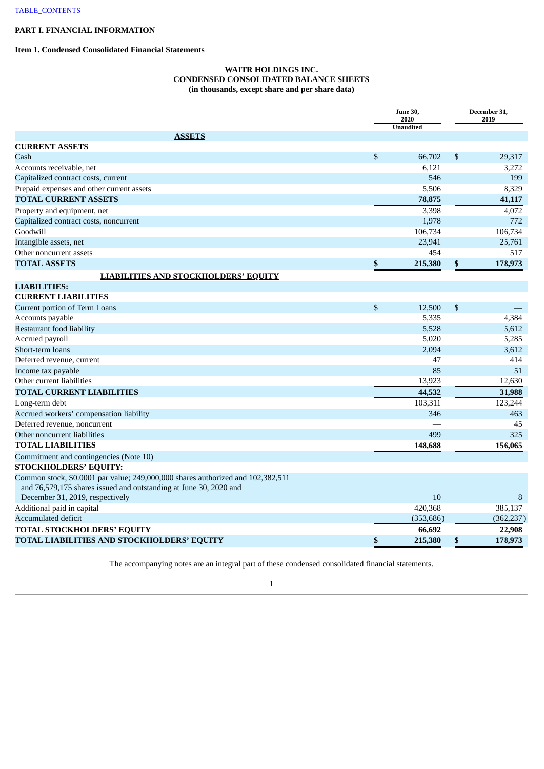# <span id="page-2-0"></span>**PART I. FINANCIAL INFORMATION**

# <span id="page-2-2"></span><span id="page-2-1"></span>**Item 1. Condensed Consolidated Financial Statements**

# **WAITR HOLDINGS INC. CONDENSED CONSOLIDATED BALANCE SHEETS (in thousands, except share and per share data)**

|                                                                                 | <b>June 30,</b> | December 31,<br>2019 |                |            |
|---------------------------------------------------------------------------------|-----------------|----------------------|----------------|------------|
|                                                                                 |                 | <b>Unaudited</b>     |                |            |
| <b>ASSETS</b>                                                                   |                 |                      |                |            |
| <b>CURRENT ASSETS</b>                                                           |                 |                      |                |            |
| Cash                                                                            | \$              | 66,702               | $\mathfrak{s}$ | 29,317     |
| Accounts receivable, net                                                        |                 | 6,121                |                | 3,272      |
| Capitalized contract costs, current                                             |                 | 546                  |                | 199        |
| Prepaid expenses and other current assets                                       |                 | 5,506                |                | 8,329      |
| <b>TOTAL CURRENT ASSETS</b>                                                     |                 | 78,875               |                | 41,117     |
| Property and equipment, net                                                     |                 | 3,398                |                | 4,072      |
| Capitalized contract costs, noncurrent                                          |                 | 1,978                |                | 772        |
| Goodwill                                                                        |                 | 106,734              |                | 106,734    |
| Intangible assets, net                                                          |                 | 23,941               |                | 25,761     |
| Other noncurrent assets                                                         |                 | 454                  |                | 517        |
| <b>TOTAL ASSETS</b>                                                             | $\mathbf{s}$    | 215,380              | \$             | 178,973    |
| <b>LIABILITIES AND STOCKHOLDERS' EQUITY</b>                                     |                 |                      |                |            |
| <b>LIABILITIES:</b>                                                             |                 |                      |                |            |
| <b>CURRENT LIABILITIES</b>                                                      |                 |                      |                |            |
| Current portion of Term Loans                                                   | \$              | 12,500               | $\mathfrak{s}$ |            |
| Accounts payable                                                                |                 | 5,335                |                | 4,384      |
| Restaurant food liability                                                       |                 | 5,528                |                | 5,612      |
| Accrued payroll                                                                 |                 | 5,020                |                | 5,285      |
| Short-term loans                                                                |                 | 2,094                |                | 3,612      |
| Deferred revenue, current                                                       |                 | 47                   |                | 414        |
| Income tax payable                                                              |                 | 85                   |                | 51         |
| Other current liabilities                                                       |                 | 13,923               |                | 12,630     |
| <b>TOTAL CURRENT LIABILITIES</b>                                                |                 | 44,532               |                | 31,988     |
| Long-term debt                                                                  |                 | 103,311              |                | 123,244    |
| Accrued workers' compensation liability                                         |                 | 346                  |                | 463        |
| Deferred revenue, noncurrent                                                    |                 |                      |                | 45         |
| Other noncurrent liabilities                                                    |                 | 499                  |                | 325        |
| <b>TOTAL LIABILITIES</b>                                                        |                 | 148,688              |                | 156,065    |
| Commitment and contingencies (Note 10)                                          |                 |                      |                |            |
| <b>STOCKHOLDERS' EQUITY:</b>                                                    |                 |                      |                |            |
| Common stock, \$0.0001 par value; 249,000,000 shares authorized and 102,382,511 |                 |                      |                |            |
| and 76,579,175 shares issued and outstanding at June 30, 2020 and               |                 |                      |                |            |
| December 31, 2019, respectively                                                 |                 | 10                   |                | 8          |
| Additional paid in capital                                                      |                 | 420,368              |                | 385,137    |
| <b>Accumulated deficit</b>                                                      |                 | (353, 686)           |                | (362, 237) |
| TOTAL STOCKHOLDERS' EQUITY                                                      |                 | 66,692               |                | 22,908     |
| TOTAL LIABILITIES AND STOCKHOLDERS' EQUITY                                      | \$              | 215,380              | \$             | 178,973    |

The accompanying notes are an integral part of these condensed consolidated financial statements.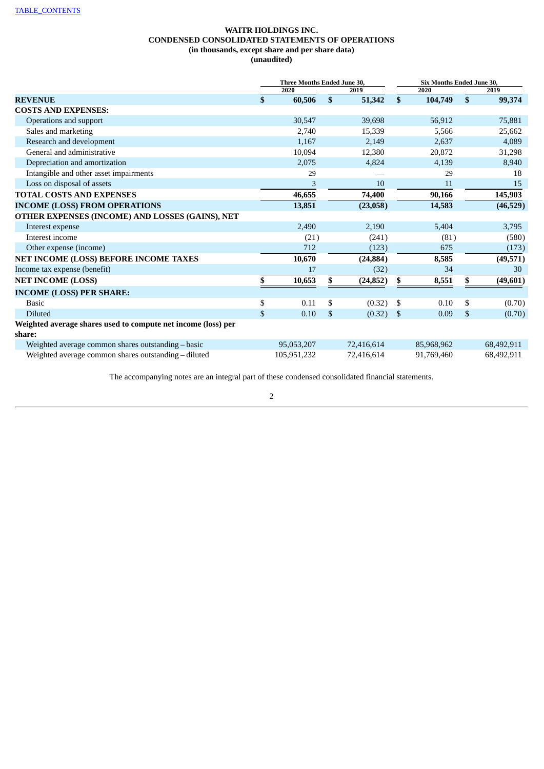# **WAITR HOLDINGS INC. CONDENSED CONSOLIDATED STATEMENTS OF OPERATIONS (in thousands, except share and per share data) (unaudited)**

<span id="page-3-0"></span>

|                                                               | <b>Six Months Ended June 30,</b><br><b>Three Months Ended June 30,</b> |              |            |              |            |              |            |
|---------------------------------------------------------------|------------------------------------------------------------------------|--------------|------------|--------------|------------|--------------|------------|
|                                                               | 2020                                                                   |              | 2019       |              | 2020       |              | 2019       |
| <b>REVENUE</b>                                                | \$<br>60,506                                                           | $\mathbf{s}$ | 51,342     | $\mathbf{s}$ | 104,749    | $\mathbf{s}$ | 99,374     |
| <b>COSTS AND EXPENSES:</b>                                    |                                                                        |              |            |              |            |              |            |
| Operations and support                                        | 30,547                                                                 |              | 39,698     |              | 56,912     |              | 75,881     |
| Sales and marketing                                           | 2,740                                                                  |              | 15,339     |              | 5,566      |              | 25,662     |
| Research and development                                      | 1,167                                                                  |              | 2,149      |              | 2,637      |              | 4,089      |
| General and administrative                                    | 10,094                                                                 |              | 12,380     |              | 20,872     |              | 31,298     |
| Depreciation and amortization                                 | 2,075                                                                  |              | 4,824      |              | 4,139      |              | 8,940      |
| Intangible and other asset impairments                        | 29                                                                     |              |            |              | 29         |              | 18         |
| Loss on disposal of assets                                    | 3                                                                      |              | 10         |              | 11         |              | 15         |
| <b>TOTAL COSTS AND EXPENSES</b>                               | 46,655                                                                 |              | 74,400     |              | 90,166     |              | 145,903    |
| <b>INCOME (LOSS) FROM OPERATIONS</b>                          | 13,851                                                                 |              | (23,058)   |              | 14,583     |              | (46, 529)  |
| OTHER EXPENSES (INCOME) AND LOSSES (GAINS), NET               |                                                                        |              |            |              |            |              |            |
| Interest expense                                              | 2,490                                                                  |              | 2,190      |              | 5,404      |              | 3,795      |
| Interest income                                               | (21)                                                                   |              | (241)      |              | (81)       |              | (580)      |
| Other expense (income)                                        | 712                                                                    |              | (123)      |              | 675        |              | (173)      |
| NET INCOME (LOSS) BEFORE INCOME TAXES                         | 10,670                                                                 |              | (24, 884)  |              | 8,585      |              | (49, 571)  |
| Income tax expense (benefit)                                  | 17                                                                     |              | (32)       |              | 34         |              | 30         |
| <b>NET INCOME (LOSS)</b>                                      | \$<br>10,653                                                           | \$           | (24, 852)  | \$           | 8,551      | \$           | (49, 601)  |
| <b>INCOME (LOSS) PER SHARE:</b>                               |                                                                        |              |            |              |            |              |            |
| <b>Basic</b>                                                  | \$<br>0.11                                                             | \$           | (0.32)     | \$           | 0.10       | \$           | (0.70)     |
| <b>Diluted</b>                                                | \$<br>0.10                                                             | \$           | (0.32)     | \$           | 0.09       | \$           | (0.70)     |
| Weighted average shares used to compute net income (loss) per |                                                                        |              |            |              |            |              |            |
| share:                                                        |                                                                        |              |            |              |            |              |            |
| Weighted average common shares outstanding - basic            | 95,053,207                                                             |              | 72,416,614 |              | 85,968,962 |              | 68,492,911 |
| Weighted average common shares outstanding - diluted          | 105,951,232                                                            |              | 72,416,614 |              | 91,769,460 |              | 68,492,911 |

The accompanying notes are an integral part of these condensed consolidated financial statements.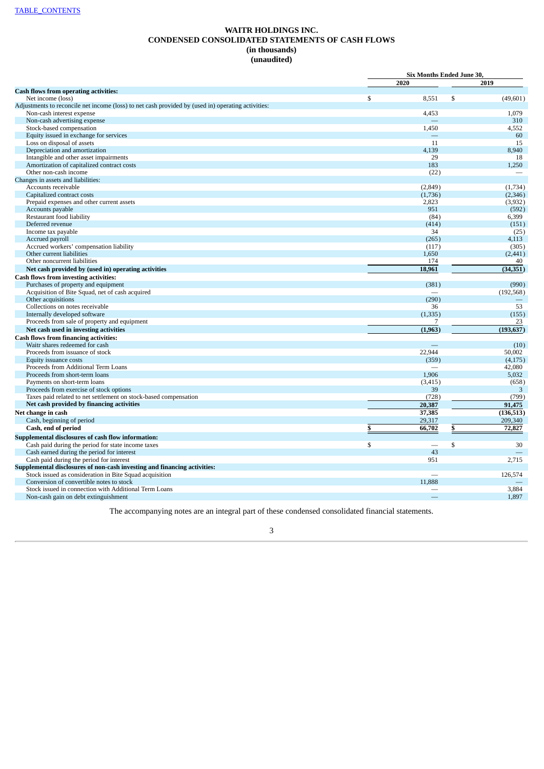# **WAITR HOLDINGS INC. CONDENSED CONSOLIDATED STATEMENTS OF CASH FLOWS (in thousands) (unaudited)**

<span id="page-4-0"></span>

|                                                                                                    | <b>Six Months Ended June 30,</b> |             |            |
|----------------------------------------------------------------------------------------------------|----------------------------------|-------------|------------|
|                                                                                                    | 2020                             |             | 2019       |
| <b>Cash flows from operating activities:</b>                                                       |                                  |             |            |
| Net income (loss)                                                                                  | \$                               | 8,551<br>\$ | (49, 601)  |
| Adjustments to reconcile net income (loss) to net cash provided by (used in) operating activities: |                                  |             |            |
| Non-cash interest expense                                                                          |                                  | 4,453       | 1,079      |
| Non-cash advertising expense                                                                       |                                  |             | 310        |
| Stock-based compensation                                                                           |                                  | 1,450       | 4,552      |
| Equity issued in exchange for services                                                             |                                  |             | 60         |
| Loss on disposal of assets                                                                         |                                  | 11          | 15         |
| Depreciation and amortization                                                                      |                                  | 4,139       | 8,940      |
| Intangible and other asset impairments                                                             |                                  | 29          | 18         |
| Amortization of capitalized contract costs                                                         |                                  | 183         | 1,250      |
| Other non-cash income                                                                              |                                  | (22)        |            |
| Changes in assets and liabilities:                                                                 |                                  |             |            |
| Accounts receivable                                                                                |                                  | (2,849)     | (1,734)    |
| Capitalized contract costs                                                                         |                                  | (1,736)     | (2, 346)   |
| Prepaid expenses and other current assets                                                          |                                  | 2,823       | (3,932)    |
| Accounts payable                                                                                   |                                  | 951         | (592)      |
|                                                                                                    |                                  |             |            |
| Restaurant food liability                                                                          |                                  | (84)        | 6,399      |
| Deferred revenue                                                                                   |                                  | (414)       | (151)      |
| Income tax payable                                                                                 |                                  | 34          | (25)       |
| Accrued payroll                                                                                    |                                  | (265)       | 4,113      |
| Accrued workers' compensation liability                                                            |                                  | (117)       | (305)      |
| Other current liabilities                                                                          |                                  | 1,650       | (2, 441)   |
| Other noncurrent liabilities                                                                       |                                  | 174         | 40         |
| Net cash provided by (used in) operating activities                                                | 18,961                           |             | (34, 351)  |
| <b>Cash flows from investing activities:</b>                                                       |                                  |             |            |
| Purchases of property and equipment                                                                |                                  | (381)       | (990)      |
| Acquisition of Bite Squad, net of cash acquired                                                    |                                  |             | (192, 568) |
| Other acquisitions                                                                                 |                                  | (290)       |            |
| Collections on notes receivable                                                                    |                                  | 36          | 53         |
| Internally developed software                                                                      |                                  | (1, 335)    | (155)      |
| Proceeds from sale of property and equipment                                                       |                                  | 7           | 23         |
| Net cash used in investing activities                                                              |                                  | (1, 963)    | (193, 637) |
| <b>Cash flows from financing activities:</b>                                                       |                                  |             |            |
| Waitr shares redeemed for cash                                                                     |                                  |             | (10)       |
| Proceeds from issuance of stock                                                                    | 22,944                           |             | 50,002     |
| Equity issuance costs                                                                              |                                  | (359)       | (4, 175)   |
| Proceeds from Additional Term Loans                                                                |                                  |             | 42,080     |
| Proceeds from short-term loans                                                                     |                                  | 1,906       | 5,032      |
| Payments on short-term loans                                                                       |                                  |             | (658)      |
|                                                                                                    |                                  | (3, 415)    | 3          |
| Proceeds from exercise of stock options                                                            |                                  | 39          |            |
| Taxes paid related to net settlement on stock-based compensation                                   |                                  | (728)       | (799)      |
| Net cash provided by financing activities                                                          | 20,387                           |             | 91,475     |
| Net change in cash                                                                                 | 37,385                           |             | (136, 513) |
| Cash, beginning of period                                                                          | 29,317                           |             | 209,340    |
| Cash, end of period                                                                                | 66,702<br>\$                     | S           | 72,827     |
| Supplemental disclosures of cash flow information:                                                 |                                  |             |            |
| Cash paid during the period for state income taxes                                                 | \$                               | \$          | 30         |
| Cash earned during the period for interest                                                         |                                  | 43          |            |
| Cash paid during the period for interest                                                           |                                  | 951         | 2,715      |
| Supplemental disclosures of non-cash investing and financing activities:                           |                                  |             |            |
| Stock issued as consideration in Bite Squad acquisition                                            |                                  |             | 126,574    |
| Conversion of convertible notes to stock                                                           | 11,888                           |             |            |
| Stock issued in connection with Additional Term Loans                                              |                                  |             | 3,884      |
| Non-cash gain on debt extinguishment                                                               |                                  |             | 1,897      |
|                                                                                                    |                                  |             |            |

The accompanying notes are an integral part of these condensed consolidated financial statements.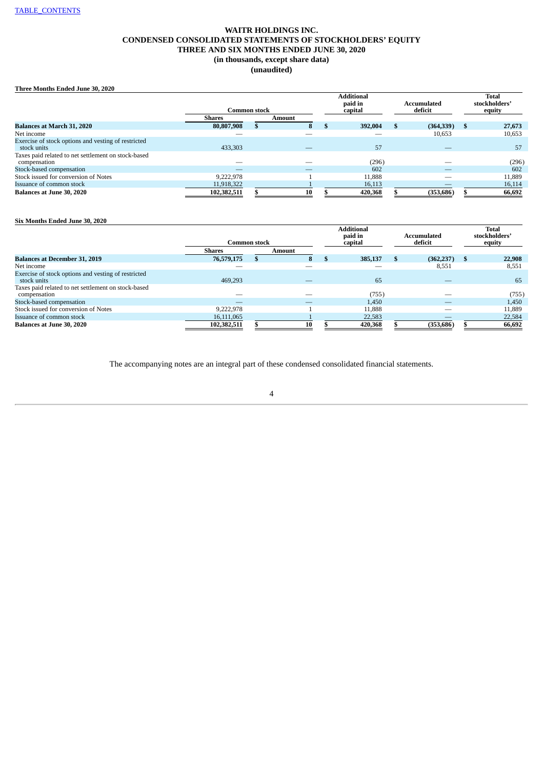# **WAITR HOLDINGS INC. CONDENSED CONSOLIDATED STATEMENTS OF STOCKHOLDERS' EQUITY THREE AND SIX MONTHS ENDED JUNE 30, 2020 (in thousands, except share data) (unaudited)**

<span id="page-5-0"></span>**Three Months Ended June 30, 2020**

|                                                                     |               |                     |              | <b>Additional</b><br>paid in |    | Accumulated |      | <b>Total</b><br>stockholders' |
|---------------------------------------------------------------------|---------------|---------------------|--------------|------------------------------|----|-------------|------|-------------------------------|
|                                                                     |               | <b>Common stock</b> |              | capital                      |    | deficit     |      | equity                        |
|                                                                     | <b>Shares</b> | Amount              |              |                              |    |             |      |                               |
| <b>Balances at March 31, 2020</b>                                   | 80,807,908    |                     | $\mathbf{a}$ | 392,004                      | £. | (364, 339)  | - \$ | 27,673                        |
| Net income                                                          |               |                     |              |                              |    | 10,653      |      | 10,653                        |
| Exercise of stock options and vesting of restricted<br>stock units  | 433,303       |                     |              | 57                           |    |             |      | 57                            |
| Taxes paid related to net settlement on stock-based<br>compensation |               |                     |              | (296)                        |    |             |      | (296)                         |
| Stock-based compensation                                            |               |                     |              | 602                          |    |             |      | 602                           |
| Stock issued for conversion of Notes                                | 9,222,978     |                     |              | 11.888                       |    |             |      | 11,889                        |
| Issuance of common stock                                            | 11,918,322    |                     |              | 16,113                       |    |             |      | 16,114                        |
| <b>Balances at June 30, 2020</b>                                    | 102,382,511   |                     | 10           | 420,368                      |    | (353, 686)  |      | 66,692                        |

## **Six Months Ended June 30, 2020**

|                                                                     |               |                     |    | Additional<br>paid in | Accumulated |   | <b>Total</b><br>stockholders' |
|---------------------------------------------------------------------|---------------|---------------------|----|-----------------------|-------------|---|-------------------------------|
|                                                                     |               | <b>Common stock</b> |    | capital               | deficit     |   | equity                        |
|                                                                     | <b>Shares</b> | Amount              |    |                       |             |   |                               |
| <b>Balances at December 31, 2019</b>                                | 76,579,175    |                     |    | 385,137               | (362, 237)  | ъ | 22,908                        |
| Net income                                                          |               |                     |    |                       | 8,551       |   | 8,551                         |
| Exercise of stock options and vesting of restricted<br>stock units  | 469,293       |                     |    | 65                    | __          |   | 65                            |
| Taxes paid related to net settlement on stock-based<br>compensation |               |                     |    | (755)                 |             |   | (755)                         |
| Stock-based compensation                                            |               |                     |    | 1,450                 |             |   | 1,450                         |
| Stock issued for conversion of Notes                                | 9,222,978     |                     |    | 11,888                |             |   | 11,889                        |
| Issuance of common stock                                            | 16,111,065    |                     |    | 22,583                |             |   | 22,584                        |
| <b>Balances at June 30, 2020</b>                                    | 102,382,511   |                     | 10 | 420,368               | (353, 686)  |   | 66,692                        |

The accompanying notes are an integral part of these condensed consolidated financial statements.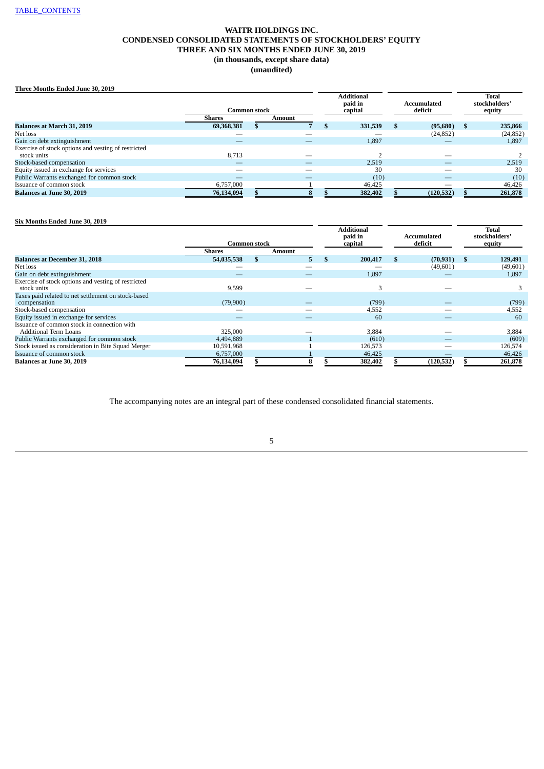# **WAITR HOLDINGS INC. CONDENSED CONSOLIDATED STATEMENTS OF STOCKHOLDERS' EQUITY THREE AND SIX MONTHS ENDED JUNE 30, 2019 (in thousands, except share data) (unaudited)**

| Three Months Ended June 30, 2019                                   |               |                     |        |                                  |    |                        |      |                                         |
|--------------------------------------------------------------------|---------------|---------------------|--------|----------------------------------|----|------------------------|------|-----------------------------------------|
|                                                                    |               | <b>Common stock</b> |        | Additional<br>paid in<br>capital |    | Accumulated<br>deficit |      | <b>Total</b><br>stockholders'<br>equity |
|                                                                    | <b>Shares</b> |                     | Amount |                                  |    |                        |      |                                         |
| <b>Balances at March 31, 2019</b>                                  | 69,368,381    |                     |        | 331,539                          | -5 | (95,680)               | - 56 | 235,866                                 |
| Net loss                                                           |               |                     |        |                                  |    | (24, 852)              |      | (24, 852)                               |
| Gain on debt extinguishment                                        |               |                     |        | 1,897                            |    |                        |      | 1,897                                   |
| Exercise of stock options and vesting of restricted<br>stock units | 8,713         |                     |        |                                  |    |                        |      |                                         |
| Stock-based compensation                                           |               |                     |        | 2,519                            |    | __                     |      | 2,519                                   |
| Equity issued in exchange for services                             |               |                     |        | 30                               |    |                        |      | 30                                      |
| Public Warrants exchanged for common stock                         |               |                     |        | (10)                             |    |                        |      | (10)                                    |
| Issuance of common stock                                           | 6,757,000     |                     |        | 46,425                           |    |                        |      | 46,426                                  |
| <b>Balances at June 30, 2019</b>                                   | 76,134,094    |                     |        | 382,402                          |    | (120, 532)             |      | 261,878                                 |

# **Six Months Ended June 30, 2019**

|                                                                             |              |        | <b>Additional</b>  |      |                        |      | <b>Total</b>            |
|-----------------------------------------------------------------------------|--------------|--------|--------------------|------|------------------------|------|-------------------------|
|                                                                             | Common stock |        | paid in<br>capital |      | Accumulated<br>deficit |      | stockholders'<br>equity |
|                                                                             | Shares       | Amount |                    |      |                        |      |                         |
| <b>Balances at December 31, 2018</b>                                        | 54,035,538   | 5.     | 200,417            | - \$ | (70, 931)              | - \$ | 129,491                 |
| Net loss                                                                    |              |        |                    |      | (49, 601)              |      | (49, 601)               |
| Gain on debt extinguishment                                                 |              |        | 1,897              |      | –                      |      | 1,897                   |
| Exercise of stock options and vesting of restricted<br>stock units          | 9,599        |        |                    |      |                        |      | 3                       |
| Taxes paid related to net settlement on stock-based                         |              |        |                    |      |                        |      |                         |
| compensation                                                                | (79,900)     |        | (799)              |      |                        |      | (799)                   |
| Stock-based compensation                                                    |              |        | 4,552              |      |                        |      | 4,552                   |
| Equity issued in exchange for services                                      |              |        | 60                 |      |                        |      | -60                     |
| Issuance of common stock in connection with<br><b>Additional Term Loans</b> | 325,000      |        | 3,884              |      |                        |      | 3,884                   |
| Public Warrants exchanged for common stock                                  | 4,494,889    |        | (610)              |      |                        |      | (609)                   |
| Stock issued as consideration in Bite Squad Merger                          | 10,591,968   |        | 126,573            |      |                        |      | 126,574                 |
| Issuance of common stock                                                    | 6,757,000    |        | 46,425             |      |                        |      | 46,426                  |
| <b>Balances at June 30, 2019</b>                                            | 76,134,094   |        | 382,402            |      | (120, 532)             |      | 261,878                 |

The accompanying notes are an integral part of these condensed consolidated financial statements.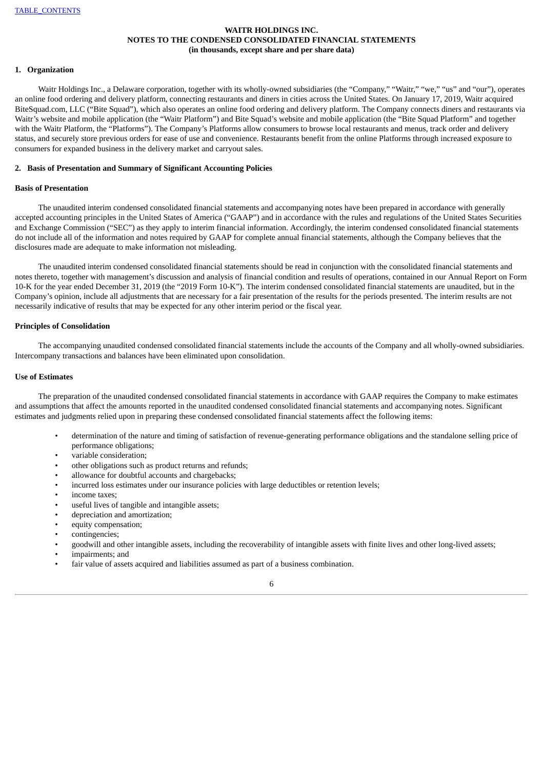## **WAITR HOLDINGS INC. NOTES TO THE CONDENSED CONSOLIDATED FINANCIAL STATEMENTS (in thousands, except share and per share data)**

# <span id="page-7-0"></span>**1. Organization**

Waitr Holdings Inc., a Delaware corporation, together with its wholly-owned subsidiaries (the "Company," "Waitr," "we," "us" and "our"), operates an online food ordering and delivery platform, connecting restaurants and diners in cities across the United States. On January 17, 2019, Waitr acquired BiteSquad.com, LLC ("Bite Squad"), which also operates an online food ordering and delivery platform. The Company connects diners and restaurants via Waitr's website and mobile application (the "Waitr Platform") and Bite Squad's website and mobile application (the "Bite Squad Platform" and together with the Waitr Platform, the "Platforms"). The Company's Platforms allow consumers to browse local restaurants and menus, track order and delivery status, and securely store previous orders for ease of use and convenience. Restaurants benefit from the online Platforms through increased exposure to consumers for expanded business in the delivery market and carryout sales.

### **2. Basis of Presentation and Summary of Significant Accounting Policies**

### **Basis of Presentation**

The unaudited interim condensed consolidated financial statements and accompanying notes have been prepared in accordance with generally accepted accounting principles in the United States of America ("GAAP") and in accordance with the rules and regulations of the United States Securities and Exchange Commission ("SEC") as they apply to interim financial information. Accordingly, the interim condensed consolidated financial statements do not include all of the information and notes required by GAAP for complete annual financial statements, although the Company believes that the disclosures made are adequate to make information not misleading.

The unaudited interim condensed consolidated financial statements should be read in conjunction with the consolidated financial statements and notes thereto, together with management's discussion and analysis of financial condition and results of operations, contained in our Annual Report on Form 10-K for the year ended December 31, 2019 (the "2019 Form 10-K"). The interim condensed consolidated financial statements are unaudited, but in the Company's opinion, include all adjustments that are necessary for a fair presentation of the results for the periods presented. The interim results are not necessarily indicative of results that may be expected for any other interim period or the fiscal year.

#### **Principles of Consolidation**

The accompanying unaudited condensed consolidated financial statements include the accounts of the Company and all wholly-owned subsidiaries. Intercompany transactions and balances have been eliminated upon consolidation.

### **Use of Estimates**

The preparation of the unaudited condensed consolidated financial statements in accordance with GAAP requires the Company to make estimates and assumptions that affect the amounts reported in the unaudited condensed consolidated financial statements and accompanying notes. Significant estimates and judgments relied upon in preparing these condensed consolidated financial statements affect the following items:

- determination of the nature and timing of satisfaction of revenue-generating performance obligations and the standalone selling price of performance obligations;
- variable consideration;
- other obligations such as product returns and refunds;
- allowance for doubtful accounts and chargebacks;
- incurred loss estimates under our insurance policies with large deductibles or retention levels;
- income taxes:
- useful lives of tangible and intangible assets;
- depreciation and amortization;
- equity compensation;
- contingencies;
- goodwill and other intangible assets, including the recoverability of intangible assets with finite lives and other long-lived assets;
- impairments; and
- fair value of assets acquired and liabilities assumed as part of a business combination.

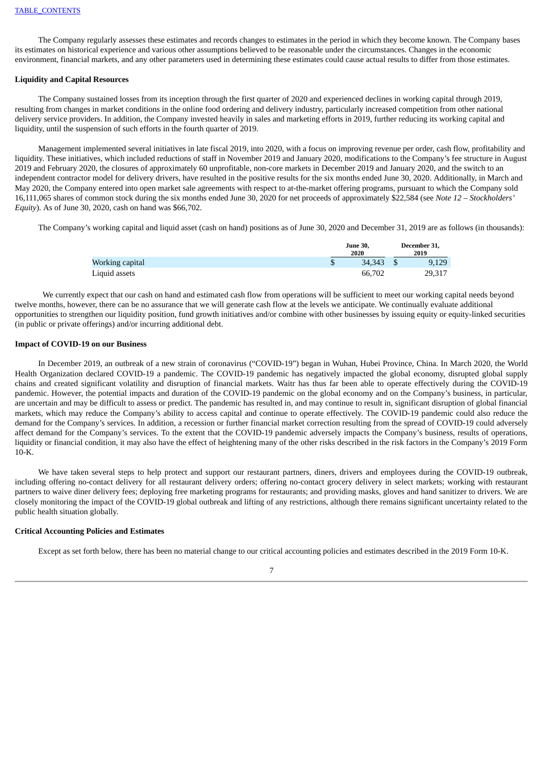The Company regularly assesses these estimates and records changes to estimates in the period in which they become known. The Company bases its estimates on historical experience and various other assumptions believed to be reasonable under the circumstances. Changes in the economic environment, financial markets, and any other parameters used in determining these estimates could cause actual results to differ from those estimates.

### **Liquidity and Capital Resources**

The Company sustained losses from its inception through the first quarter of 2020 and experienced declines in working capital through 2019, resulting from changes in market conditions in the online food ordering and delivery industry, particularly increased competition from other national delivery service providers. In addition, the Company invested heavily in sales and marketing efforts in 2019, further reducing its working capital and liquidity, until the suspension of such efforts in the fourth quarter of 2019.

Management implemented several initiatives in late fiscal 2019, into 2020, with a focus on improving revenue per order, cash flow, profitability and liquidity. These initiatives, which included reductions of staff in November 2019 and January 2020, modifications to the Company's fee structure in August 2019 and February 2020, the closures of approximately 60 unprofitable, non-core markets in December 2019 and January 2020, and the switch to an independent contractor model for delivery drivers, have resulted in the positive results for the six months ended June 30, 2020. Additionally, in March and May 2020, the Company entered into open market sale agreements with respect to at-the-market offering programs, pursuant to which the Company sold 16,111,065 shares of common stock during the six months ended June 30, 2020 for net proceeds of approximately \$22,584 (see *Note 12 – Stockholders' Equity*). As of June 30, 2020, cash on hand was \$66,702.

The Company's working capital and liquid asset (cash on hand) positions as of June 30, 2020 and December 31, 2019 are as follows (in thousands):

|                 | <b>June 30.</b><br>2020 | December 31,<br>2019 |
|-----------------|-------------------------|----------------------|
| Working capital | 34.343                  | 9,129                |
| Liquid assets   | 66,702                  | 29,317               |

We currently expect that our cash on hand and estimated cash flow from operations will be sufficient to meet our working capital needs beyond twelve months, however, there can be no assurance that we will generate cash flow at the levels we anticipate. We continually evaluate additional opportunities to strengthen our liquidity position, fund growth initiatives and/or combine with other businesses by issuing equity or equity-linked securities (in public or private offerings) and/or incurring additional debt.

### **Impact of COVID-19 on our Business**

In December 2019, an outbreak of a new strain of coronavirus ("COVID-19") began in Wuhan, Hubei Province, China. In March 2020, the World Health Organization declared COVID-19 a pandemic. The COVID-19 pandemic has negatively impacted the global economy, disrupted global supply chains and created significant volatility and disruption of financial markets. Waitr has thus far been able to operate effectively during the COVID-19 pandemic. However, the potential impacts and duration of the COVID-19 pandemic on the global economy and on the Company's business, in particular, are uncertain and may be difficult to assess or predict. The pandemic has resulted in, and may continue to result in, significant disruption of global financial markets, which may reduce the Company's ability to access capital and continue to operate effectively. The COVID-19 pandemic could also reduce the demand for the Company's services. In addition, a recession or further financial market correction resulting from the spread of COVID-19 could adversely affect demand for the Company's services. To the extent that the COVID-19 pandemic adversely impacts the Company's business, results of operations, liquidity or financial condition, it may also have the effect of heightening many of the other risks described in the risk factors in the Company's 2019 Form 10-K.

We have taken several steps to help protect and support our restaurant partners, diners, drivers and employees during the COVID-19 outbreak, including offering no-contact delivery for all restaurant delivery orders; offering no-contact grocery delivery in select markets; working with restaurant partners to waive diner delivery fees; deploying free marketing programs for restaurants; and providing masks, gloves and hand sanitizer to drivers. We are closely monitoring the impact of the COVID-19 global outbreak and lifting of any restrictions, although there remains significant uncertainty related to the public health situation globally.

# **Critical Accounting Policies and Estimates**

Except as set forth below, there has been no material change to our critical accounting policies and estimates described in the 2019 Form 10-K.

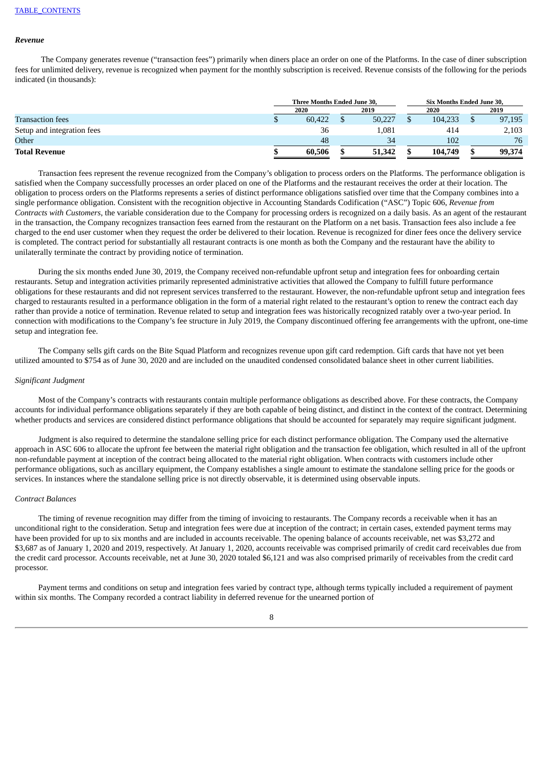#### [TABLE\\_CONTENTS](#page-1-0)

#### *Revenue*

The Company generates revenue ("transaction fees") primarily when diners place an order on one of the Platforms. In the case of diner subscription fees for unlimited delivery, revenue is recognized when payment for the monthly subscription is received. Revenue consists of the following for the periods indicated (in thousands):

|                            | Three Months Ended June 30, |  |        |  |         | Six Months Ended June 30, |        |
|----------------------------|-----------------------------|--|--------|--|---------|---------------------------|--------|
|                            | 2020                        |  | 2019   |  | 2020    |                           | 2019   |
| <b>Transaction fees</b>    | 60.422                      |  | 50,227 |  | 104,233 |                           | 97,195 |
| Setup and integration fees | 36                          |  | 1,081  |  | 414     |                           | 2,103  |
| Other                      | 48                          |  | 34     |  | 102     |                           | 76     |
| <b>Total Revenue</b>       | 60,506                      |  | 51,342 |  | 104,749 |                           | 99,374 |

Transaction fees represent the revenue recognized from the Company's obligation to process orders on the Platforms. The performance obligation is satisfied when the Company successfully processes an order placed on one of the Platforms and the restaurant receives the order at their location. The obligation to process orders on the Platforms represents a series of distinct performance obligations satisfied over time that the Company combines into a single performance obligation. Consistent with the recognition objective in Accounting Standards Codification ("ASC") Topic 606, *Revenue from Contracts with Customers*, the variable consideration due to the Company for processing orders is recognized on a daily basis. As an agent of the restaurant in the transaction, the Company recognizes transaction fees earned from the restaurant on the Platform on a net basis. Transaction fees also include a fee charged to the end user customer when they request the order be delivered to their location. Revenue is recognized for diner fees once the delivery service is completed. The contract period for substantially all restaurant contracts is one month as both the Company and the restaurant have the ability to unilaterally terminate the contract by providing notice of termination.

During the six months ended June 30, 2019, the Company received non-refundable upfront setup and integration fees for onboarding certain restaurants. Setup and integration activities primarily represented administrative activities that allowed the Company to fulfill future performance obligations for these restaurants and did not represent services transferred to the restaurant. However, the non-refundable upfront setup and integration fees charged to restaurants resulted in a performance obligation in the form of a material right related to the restaurant's option to renew the contract each day rather than provide a notice of termination. Revenue related to setup and integration fees was historically recognized ratably over a two-year period. In connection with modifications to the Company's fee structure in July 2019, the Company discontinued offering fee arrangements with the upfront, one-time setup and integration fee.

The Company sells gift cards on the Bite Squad Platform and recognizes revenue upon gift card redemption. Gift cards that have not yet been utilized amounted to \$754 as of June 30, 2020 and are included on the unaudited condensed consolidated balance sheet in other current liabilities.

#### *Significant Judgment*

Most of the Company's contracts with restaurants contain multiple performance obligations as described above. For these contracts, the Company accounts for individual performance obligations separately if they are both capable of being distinct, and distinct in the context of the contract. Determining whether products and services are considered distinct performance obligations that should be accounted for separately may require significant judgment.

Judgment is also required to determine the standalone selling price for each distinct performance obligation. The Company used the alternative approach in ASC 606 to allocate the upfront fee between the material right obligation and the transaction fee obligation, which resulted in all of the upfront non-refundable payment at inception of the contract being allocated to the material right obligation. When contracts with customers include other performance obligations, such as ancillary equipment, the Company establishes a single amount to estimate the standalone selling price for the goods or services. In instances where the standalone selling price is not directly observable, it is determined using observable inputs.

# *Contract Balances*

The timing of revenue recognition may differ from the timing of invoicing to restaurants. The Company records a receivable when it has an unconditional right to the consideration. Setup and integration fees were due at inception of the contract; in certain cases, extended payment terms may have been provided for up to six months and are included in accounts receivable. The opening balance of accounts receivable, net was \$3,272 and \$3,687 as of January 1, 2020 and 2019, respectively. At January 1, 2020, accounts receivable was comprised primarily of credit card receivables due from the credit card processor. Accounts receivable, net at June 30, 2020 totaled \$6,121 and was also comprised primarily of receivables from the credit card processor.

Payment terms and conditions on setup and integration fees varied by contract type, although terms typically included a requirement of payment within six months. The Company recorded a contract liability in deferred revenue for the unearned portion of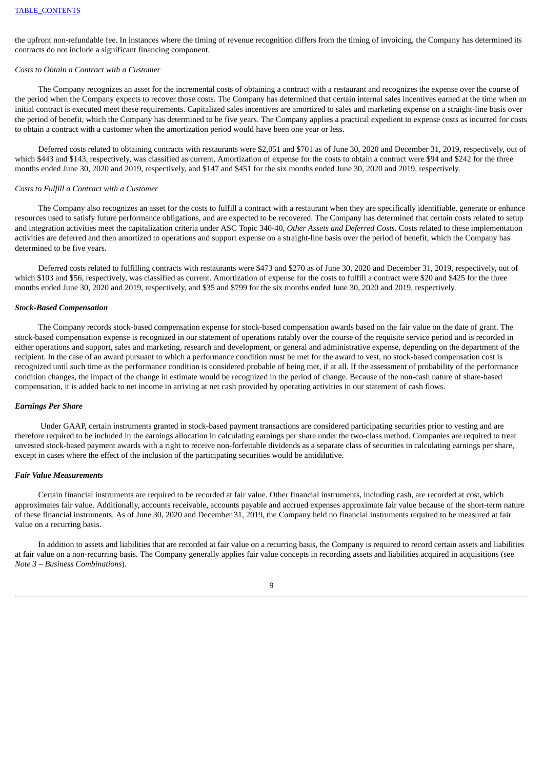the upfront non-refundable fee. In instances where the timing of revenue recognition differs from the timing of invoicing, the Company has determined its contracts do not include a significant financing component.

### *Costs to Obtain a Contract with a Customer*

The Company recognizes an asset for the incremental costs of obtaining a contract with a restaurant and recognizes the expense over the course of the period when the Company expects to recover those costs. The Company has determined that certain internal sales incentives earned at the time when an initial contract is executed meet these requirements. Capitalized sales incentives are amortized to sales and marketing expense on a straight-line basis over the period of benefit, which the Company has determined to be five years. The Company applies a practical expedient to expense costs as incurred for costs to obtain a contract with a customer when the amortization period would have been one year or less.

Deferred costs related to obtaining contracts with restaurants were \$2,051 and \$701 as of June 30, 2020 and December 31, 2019, respectively, out of which \$443 and \$143, respectively, was classified as current. Amortization of expense for the costs to obtain a contract were \$94 and \$242 for the three months ended June 30, 2020 and 2019, respectively, and \$147 and \$451 for the six months ended June 30, 2020 and 2019, respectively.

#### *Costs to Fulfill a Contract with a Customer*

The Company also recognizes an asset for the costs to fulfill a contract with a restaurant when they are specifically identifiable, generate or enhance resources used to satisfy future performance obligations, and are expected to be recovered. The Company has determined that certain costs related to setup and integration activities meet the capitalization criteria under ASC Topic 340-40, *Other Assets and Deferred Costs*. Costs related to these implementation activities are deferred and then amortized to operations and support expense on a straight-line basis over the period of benefit, which the Company has determined to be five years.

Deferred costs related to fulfilling contracts with restaurants were \$473 and \$270 as of June 30, 2020 and December 31, 2019, respectively, out of which \$103 and \$56, respectively, was classified as current. Amortization of expense for the costs to fulfill a contract were \$20 and \$425 for the three months ended June 30, 2020 and 2019, respectively, and \$35 and \$799 for the six months ended June 30, 2020 and 2019, respectively.

#### *Stock-Based Compensation*

The Company records stock-based compensation expense for stock-based compensation awards based on the fair value on the date of grant. The stock-based compensation expense is recognized in our statement of operations ratably over the course of the requisite service period and is recorded in either operations and support, sales and marketing, research and development, or general and administrative expense, depending on the department of the recipient. In the case of an award pursuant to which a performance condition must be met for the award to vest, no stock-based compensation cost is recognized until such time as the performance condition is considered probable of being met, if at all. If the assessment of probability of the performance condition changes, the impact of the change in estimate would be recognized in the period of change. Because of the non-cash nature of share-based compensation, it is added back to net income in arriving at net cash provided by operating activities in our statement of cash flows.

#### *Earnings Per Share*

Under GAAP, certain instruments granted in stock-based payment transactions are considered participating securities prior to vesting and are therefore required to be included in the earnings allocation in calculating earnings per share under the two-class method. Companies are required to treat unvested stock-based payment awards with a right to receive non-forfeitable dividends as a separate class of securities in calculating earnings per share, except in cases where the effect of the inclusion of the participating securities would be antidilutive.

#### *Fair Value Measurements*

Certain financial instruments are required to be recorded at fair value. Other financial instruments, including cash, are recorded at cost, which approximates fair value. Additionally, accounts receivable, accounts payable and accrued expenses approximate fair value because of the short-term nature of these financial instruments. As of June 30, 2020 and December 31, 2019, the Company held no financial instruments required to be measured at fair value on a recurring basis.

In addition to assets and liabilities that are recorded at fair value on a recurring basis, the Company is required to record certain assets and liabilities at fair value on a non-recurring basis. The Company generally applies fair value concepts in recording assets and liabilities acquired in acquisitions (see *Note 3 – Business Combinations*).

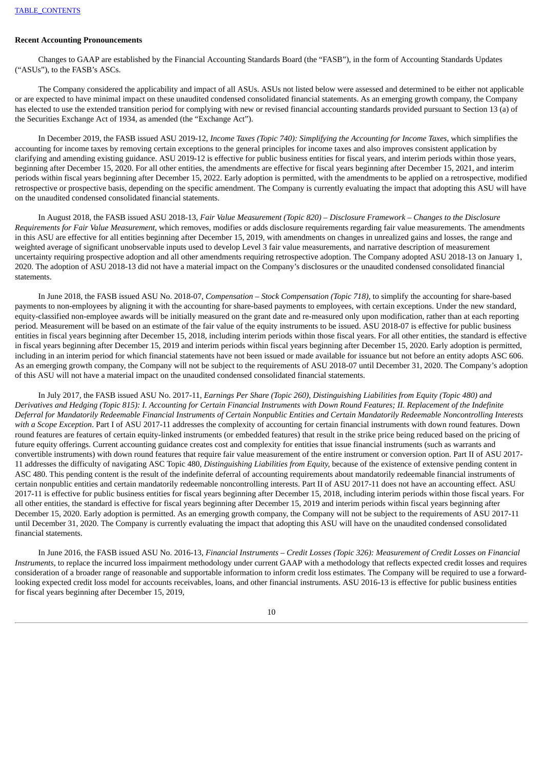#### **Recent Accounting Pronouncements**

Changes to GAAP are established by the Financial Accounting Standards Board (the "FASB"), in the form of Accounting Standards Updates ("ASUs"), to the FASB's ASCs.

The Company considered the applicability and impact of all ASUs. ASUs not listed below were assessed and determined to be either not applicable or are expected to have minimal impact on these unaudited condensed consolidated financial statements. As an emerging growth company, the Company has elected to use the extended transition period for complying with new or revised financial accounting standards provided pursuant to Section 13 (a) of the Securities Exchange Act of 1934, as amended (the "Exchange Act").

In December 2019, the FASB issued ASU 2019-12, *Income Taxes (Topic 740): Simplifying the Accounting for Income Taxes*, which simplifies the accounting for income taxes by removing certain exceptions to the general principles for income taxes and also improves consistent application by clarifying and amending existing guidance. ASU 2019-12 is effective for public business entities for fiscal years, and interim periods within those years, beginning after December 15, 2020. For all other entities, the amendments are effective for fiscal years beginning after December 15, 2021, and interim periods within fiscal years beginning after December 15, 2022. Early adoption is permitted, with the amendments to be applied on a retrospective, modified retrospective or prospective basis, depending on the specific amendment. The Company is currently evaluating the impact that adopting this ASU will have on the unaudited condensed consolidated financial statements.

In August 2018, the FASB issued ASU 2018-13, *Fair Value Measurement (Topic 820) – Disclosure Framework – Changes to the Disclosure Requirements for Fair Value Measurement*, which removes, modifies or adds disclosure requirements regarding fair value measurements. The amendments in this ASU are effective for all entities beginning after December 15, 2019, with amendments on changes in unrealized gains and losses, the range and weighted average of significant unobservable inputs used to develop Level 3 fair value measurements, and narrative description of measurement uncertainty requiring prospective adoption and all other amendments requiring retrospective adoption. The Company adopted ASU 2018-13 on January 1, 2020. The adoption of ASU 2018-13 did not have a material impact on the Company's disclosures or the unaudited condensed consolidated financial statements.

In June 2018, the FASB issued ASU No. 2018-07, *Compensation – Stock Compensation (Topic 718),* to simplify the accounting for share-based payments to non-employees by aligning it with the accounting for share-based payments to employees, with certain exceptions. Under the new standard, equity-classified non-employee awards will be initially measured on the grant date and re-measured only upon modification, rather than at each reporting period. Measurement will be based on an estimate of the fair value of the equity instruments to be issued. ASU 2018-07 is effective for public business entities in fiscal years beginning after December 15, 2018, including interim periods within those fiscal years. For all other entities, the standard is effective in fiscal years beginning after December 15, 2019 and interim periods within fiscal years beginning after December 15, 2020. Early adoption is permitted, including in an interim period for which financial statements have not been issued or made available for issuance but not before an entity adopts ASC 606. As an emerging growth company, the Company will not be subject to the requirements of ASU 2018-07 until December 31, 2020. The Company's adoption of this ASU will not have a material impact on the unaudited condensed consolidated financial statements.

In July 2017, the FASB issued ASU No. 2017-11, *Earnings Per Share (Topic 260), Distinguishing Liabilities from Equity (Topic 480) and* Derivatives and Hedging (Topic 815): I. Accounting for Certain Financial Instruments with Down Round Features; II. Replacement of the Indefinite Deferral for Mandatorily Redeemable Financial Instruments of Certain Nonpublic Entities and Certain Mandatorily Redeemable Noncontrolling Interests *with a Scope Exception*. Part I of ASU 2017-11 addresses the complexity of accounting for certain financial instruments with down round features. Down round features are features of certain equity-linked instruments (or embedded features) that result in the strike price being reduced based on the pricing of future equity offerings. Current accounting guidance creates cost and complexity for entities that issue financial instruments (such as warrants and convertible instruments) with down round features that require fair value measurement of the entire instrument or conversion option. Part II of ASU 2017- 11 addresses the difficulty of navigating ASC Topic 480, *Distinguishing Liabilities from Equity,* because of the existence of extensive pending content in ASC 480. This pending content is the result of the indefinite deferral of accounting requirements about mandatorily redeemable financial instruments of certain nonpublic entities and certain mandatorily redeemable noncontrolling interests. Part II of ASU 2017-11 does not have an accounting effect. ASU 2017-11 is effective for public business entities for fiscal years beginning after December 15, 2018, including interim periods within those fiscal years. For all other entities, the standard is effective for fiscal years beginning after December 15, 2019 and interim periods within fiscal years beginning after December 15, 2020. Early adoption is permitted. As an emerging growth company, the Company will not be subject to the requirements of ASU 2017-11 until December 31, 2020. The Company is currently evaluating the impact that adopting this ASU will have on the unaudited condensed consolidated financial statements.

In June 2016, the FASB issued ASU No. 2016-13, Financial Instruments - Credit Losses (Topic 326): Measurement of Credit Losses on Financial *Instruments,* to replace the incurred loss impairment methodology under current GAAP with a methodology that reflects expected credit losses and requires consideration of a broader range of reasonable and supportable information to inform credit loss estimates. The Company will be required to use a forwardlooking expected credit loss model for accounts receivables, loans, and other financial instruments. ASU 2016-13 is effective for public business entities for fiscal years beginning after December 15, 2019,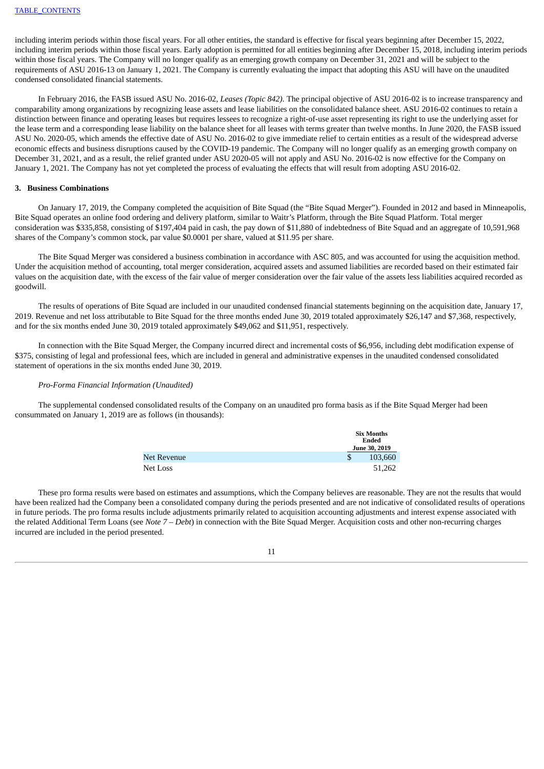including interim periods within those fiscal years. For all other entities, the standard is effective for fiscal years beginning after December 15, 2022, including interim periods within those fiscal years. Early adoption is permitted for all entities beginning after December 15, 2018, including interim periods within those fiscal years. The Company will no longer qualify as an emerging growth company on December 31, 2021 and will be subject to the requirements of ASU 2016-13 on January 1, 2021. The Company is currently evaluating the impact that adopting this ASU will have on the unaudited condensed consolidated financial statements.

In February 2016, the FASB issued ASU No. 2016-02, *Leases (Topic 842).* The principal objective of ASU 2016-02 is to increase transparency and comparability among organizations by recognizing lease assets and lease liabilities on the consolidated balance sheet. ASU 2016-02 continues to retain a distinction between finance and operating leases but requires lessees to recognize a right-of-use asset representing its right to use the underlying asset for the lease term and a corresponding lease liability on the balance sheet for all leases with terms greater than twelve months. In June 2020, the FASB issued ASU No. 2020-05, which amends the effective date of ASU No. 2016-02 to give immediate relief to certain entities as a result of the widespread adverse economic effects and business disruptions caused by the COVID-19 pandemic. The Company will no longer qualify as an emerging growth company on December 31, 2021, and as a result, the relief granted under ASU 2020-05 will not apply and ASU No. 2016-02 is now effective for the Company on January 1, 2021. The Company has not yet completed the process of evaluating the effects that will result from adopting ASU 2016-02.

### **3. Business Combinations**

On January 17, 2019, the Company completed the acquisition of Bite Squad (the "Bite Squad Merger"). Founded in 2012 and based in Minneapolis, Bite Squad operates an online food ordering and delivery platform, similar to Waitr's Platform, through the Bite Squad Platform. Total merger consideration was \$335,858, consisting of \$197,404 paid in cash, the pay down of \$11,880 of indebtedness of Bite Squad and an aggregate of 10,591,968 shares of the Company's common stock, par value \$0.0001 per share, valued at \$11.95 per share.

The Bite Squad Merger was considered a business combination in accordance with ASC 805, and was accounted for using the acquisition method. Under the acquisition method of accounting, total merger consideration, acquired assets and assumed liabilities are recorded based on their estimated fair values on the acquisition date, with the excess of the fair value of merger consideration over the fair value of the assets less liabilities acquired recorded as goodwill.

The results of operations of Bite Squad are included in our unaudited condensed financial statements beginning on the acquisition date, January 17, 2019. Revenue and net loss attributable to Bite Squad for the three months ended June 30, 2019 totaled approximately \$26,147 and \$7,368, respectively, and for the six months ended June 30, 2019 totaled approximately \$49,062 and \$11,951, respectively.

In connection with the Bite Squad Merger, the Company incurred direct and incremental costs of \$6,956, including debt modification expense of \$375, consisting of legal and professional fees, which are included in general and administrative expenses in the unaudited condensed consolidated statement of operations in the six months ended June 30, 2019.

#### *Pro-Forma Financial Information (Unaudited)*

The supplemental condensed consolidated results of the Company on an unaudited pro forma basis as if the Bite Squad Merger had been consummated on January 1, 2019 are as follows (in thousands):

|             | <b>Six Months</b>    |
|-------------|----------------------|
|             | Ended                |
|             | <b>June 30, 2019</b> |
| Net Revenue | 103,660              |
| Net Loss    | 51.262               |

These pro forma results were based on estimates and assumptions, which the Company believes are reasonable. They are not the results that would have been realized had the Company been a consolidated company during the periods presented and are not indicative of consolidated results of operations in future periods. The pro forma results include adjustments primarily related to acquisition accounting adjustments and interest expense associated with the related Additional Term Loans (see *Note 7 – Debt*) in connection with the Bite Squad Merger. Acquisition costs and other non-recurring charges incurred are included in the period presented.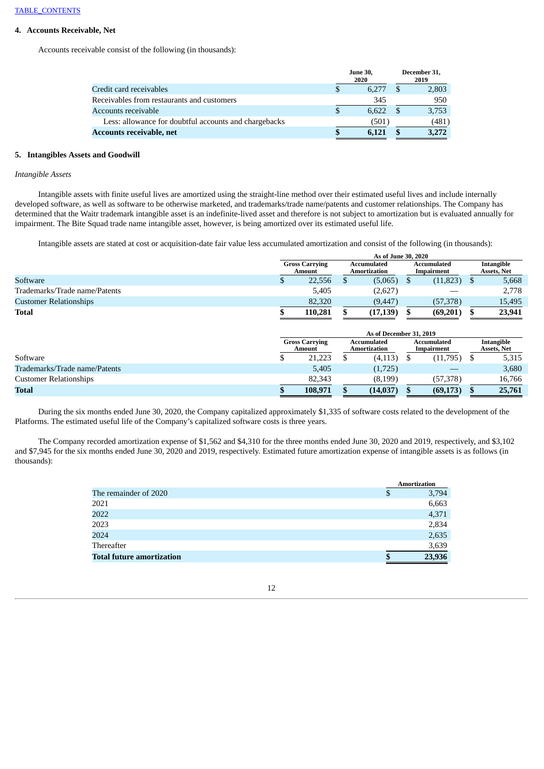# **4. Accounts Receivable, Net**

Accounts receivable consist of the following (in thousands):

|                                                       | <b>June 30,</b><br>2020 | December 31,<br>2019 |
|-------------------------------------------------------|-------------------------|----------------------|
| Credit card receivables                               | 6.277                   | 2,803                |
| Receivables from restaurants and customers            | 345                     | 950                  |
| Accounts receivable                                   | 6.622                   | 3,753                |
| Less: allowance for doubtful accounts and chargebacks | (501)                   | (481)                |
| Accounts receivable, net                              | 6,121                   | 3.272                |

# **5. Intangibles Assets and Goodwill**

# *Intangible Assets*

Intangible assets with finite useful lives are amortized using the straight-line method over their estimated useful lives and include internally developed software, as well as software to be otherwise marketed, and trademarks/trade name/patents and customer relationships. The Company has determined that the Waitr trademark intangible asset is an indefinite-lived asset and therefore is not subject to amortization but is evaluated annually for impairment. The Bite Squad trade name intangible asset, however, is being amortized over its estimated useful life.

Intangible assets are stated at cost or acquisition-date fair value less accumulated amortization and consist of the following (in thousands):

|                               | As of June 30, 2020             |         |                             |           |                           |                   |  |                           |
|-------------------------------|---------------------------------|---------|-----------------------------|-----------|---------------------------|-------------------|--|---------------------------|
|                               | <b>Gross Carrying</b><br>Amount |         | Accumulated<br>Amortization |           | Accumulated<br>Impairment |                   |  | Intangible<br>Assets, Net |
| Software                      |                                 | 22,556  |                             | (5,065)   |                           | (11, 823)         |  | 5,668                     |
| Trademarks/Trade name/Patents |                                 | 5,405   |                             | (2,627)   |                           | $\hspace{0.05cm}$ |  | 2,778                     |
| <b>Customer Relationships</b> |                                 | 82,320  |                             | (9,447)   |                           | (57, 378)         |  | 15,495                    |
| <b>Total</b>                  |                                 | 110,281 |                             | (17, 139) |                           | (69, 201)         |  | 23,941                    |

|                               | As of December 31, 2019         |         |                             |           |                           |           |  |                           |  |
|-------------------------------|---------------------------------|---------|-----------------------------|-----------|---------------------------|-----------|--|---------------------------|--|
|                               | <b>Gross Carrying</b><br>Amount |         | Accumulated<br>Amortization |           | Accumulated<br>Impairment |           |  | Intangible<br>Assets, Net |  |
| Software                      |                                 | 21.223  |                             | (4, 113)  |                           | (11,795)  |  | 5,315                     |  |
| Trademarks/Trade name/Patents |                                 | 5,405   |                             | (1,725)   |                           |           |  | 3,680                     |  |
| <b>Customer Relationships</b> |                                 | 82,343  |                             | (8, 199)  |                           | (57, 378) |  | 16,766                    |  |
| <b>Total</b>                  |                                 | 108,971 |                             | (14, 037) |                           | (69, 173) |  | 25,761                    |  |

During the six months ended June 30, 2020, the Company capitalized approximately \$1,335 of software costs related to the development of the Platforms. The estimated useful life of the Company's capitalized software costs is three years.

The Company recorded amortization expense of \$1,562 and \$4,310 for the three months ended June 30, 2020 and 2019, respectively, and \$3,102 and \$7,945 for the six months ended June 30, 2020 and 2019, respectively. Estimated future amortization expense of intangible assets is as follows (in thousands):

|                           | <b>Amortization</b> |
|---------------------------|---------------------|
| The remainder of 2020     | \$<br>3,794         |
| 2021                      | 6,663               |
| 2022                      | 4,371               |
| 2023                      | 2,834               |
| 2024                      | 2,635               |
| Thereafter                | 3,639               |
| Total future amortization | \$<br>23,936        |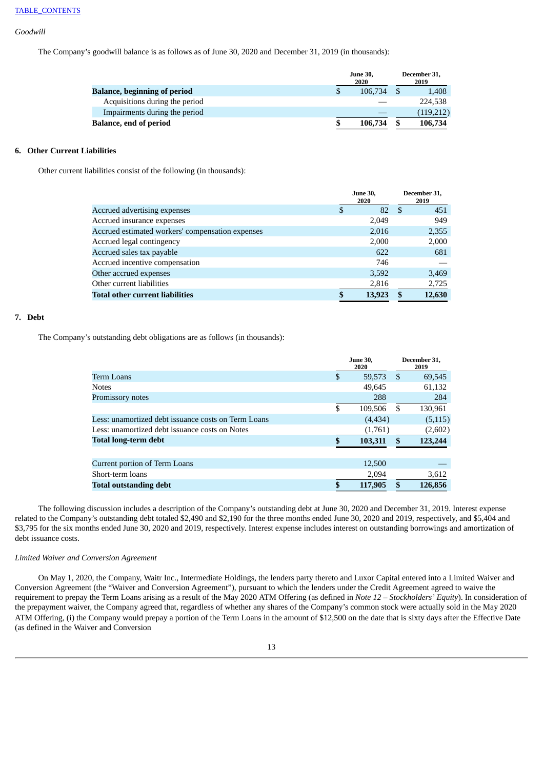### *Goodwill*

The Company's goodwill balance is as follows as of June 30, 2020 and December 31, 2019 (in thousands):

|                                     | <b>June 30,</b><br>2020 |     | December 31,<br>2019 |
|-------------------------------------|-------------------------|-----|----------------------|
| <b>Balance, beginning of period</b> | 106.734                 | -S  | 1,408                |
| Acquisitions during the period      |                         |     | 224.538              |
| Impairments during the period       |                         |     | (119,212)            |
| <b>Balance, end of period</b>       | 106,734                 | \$. | 106,734              |

# **6. Other Current Liabilities**

Other current liabilities consist of the following (in thousands):

|                                                  | <b>June 30,</b><br>2020 |     | December 31,<br>2019 |
|--------------------------------------------------|-------------------------|-----|----------------------|
| Accrued advertising expenses                     | \$<br>82                | -\$ | 451                  |
| Accrued insurance expenses                       | 2,049                   |     | 949                  |
| Accrued estimated workers' compensation expenses | 2,016                   |     | 2,355                |
| Accrued legal contingency                        | 2,000                   |     | 2,000                |
| Accrued sales tax payable                        | 622                     |     | 681                  |
| Accrued incentive compensation                   | 746                     |     |                      |
| Other accrued expenses                           | 3,592                   |     | 3,469                |
| Other current liabilities                        | 2,816                   |     | 2,725                |
| <b>Total other current liabilities</b>           | \$<br>13,923            | \$  | 12,630               |

### **7. Debt**

The Company's outstanding debt obligations are as follows (in thousands):

|                                                     | <b>June 30,</b><br>2020 |               | December 31,<br>2019 |
|-----------------------------------------------------|-------------------------|---------------|----------------------|
| <b>Term Loans</b>                                   | \$<br>59,573            | <sup>\$</sup> | 69,545               |
| <b>Notes</b>                                        | 49.645                  |               | 61,132               |
| Promissory notes                                    | 288                     |               | 284                  |
|                                                     | \$<br>109,506           | \$            | 130,961              |
| Less: unamortized debt issuance costs on Term Loans | (4, 434)                |               | (5, 115)             |
| Less: unamortized debt issuance costs on Notes      | (1,761)                 |               | (2,602)              |
| Total long-term debt                                | 103,311                 | \$            | 123,244              |
|                                                     |                         |               |                      |
| Current portion of Term Loans                       | 12,500                  |               |                      |
| Short-term loans                                    | 2,094                   |               | 3,612                |
| <b>Total outstanding debt</b>                       | 117,905                 | \$            | 126,856              |

The following discussion includes a description of the Company's outstanding debt at June 30, 2020 and December 31, 2019. Interest expense related to the Company's outstanding debt totaled \$2,490 and \$2,190 for the three months ended June 30, 2020 and 2019, respectively, and \$5,404 and \$3,795 for the six months ended June 30, 2020 and 2019, respectively. Interest expense includes interest on outstanding borrowings and amortization of debt issuance costs.

#### *Limited Waiver and Conversion Agreement*

On May 1, 2020, the Company, Waitr Inc., Intermediate Holdings, the lenders party thereto and Luxor Capital entered into a Limited Waiver and Conversion Agreement (the "Waiver and Conversion Agreement"), pursuant to which the lenders under the Credit Agreement agreed to waive the requirement to prepay the Term Loans arising as a result of the May 2020 ATM Offering (as defined in *Note 12 – Stockholders' Equity*). In consideration of the prepayment waiver, the Company agreed that, regardless of whether any shares of the Company's common stock were actually sold in the May 2020 ATM Offering, (i) the Company would prepay a portion of the Term Loans in the amount of \$12,500 on the date that is sixty days after the Effective Date (as defined in the Waiver and Conversion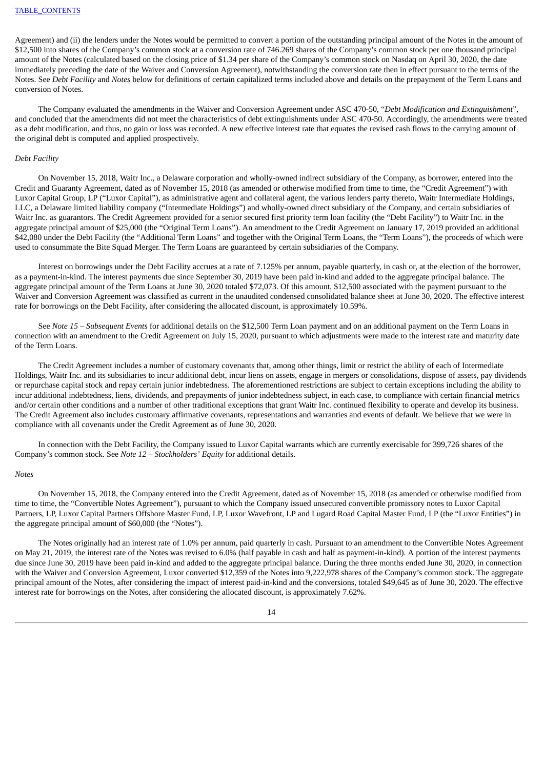Agreement) and (ii) the lenders under the Notes would be permitted to convert a portion of the outstanding principal amount of the Notes in the amount of \$12,500 into shares of the Company's common stock at a conversion rate of 746.269 shares of the Company's common stock per one thousand principal amount of the Notes (calculated based on the closing price of \$1.34 per share of the Company's common stock on Nasdaq on April 30, 2020, the date immediately preceding the date of the Waiver and Conversion Agreement), notwithstanding the conversion rate then in effect pursuant to the terms of the Notes. See *Debt Facility* and *Notes* below for definitions of certain capitalized terms included above and details on the prepayment of the Term Loans and conversion of Notes.

The Company evaluated the amendments in the Waiver and Conversion Agreement under ASC 470-50, "*Debt Modification and Extinguishment*", and concluded that the amendments did not meet the characteristics of debt extinguishments under ASC 470-50. Accordingly, the amendments were treated as a debt modification, and thus, no gain or loss was recorded. A new effective interest rate that equates the revised cash flows to the carrying amount of the original debt is computed and applied prospectively.

#### *Debt Facility*

On November 15, 2018, Waitr Inc., a Delaware corporation and wholly-owned indirect subsidiary of the Company, as borrower, entered into the Credit and Guaranty Agreement, dated as of November 15, 2018 (as amended or otherwise modified from time to time, the "Credit Agreement") with Luxor Capital Group, LP ("Luxor Capital"), as administrative agent and collateral agent, the various lenders party thereto, Waitr Intermediate Holdings, LLC, a Delaware limited liability company ("Intermediate Holdings") and wholly-owned direct subsidiary of the Company, and certain subsidiaries of Waitr Inc. as guarantors. The Credit Agreement provided for a senior secured first priority term loan facility (the "Debt Facility") to Waitr Inc. in the aggregate principal amount of \$25,000 (the "Original Term Loans"). An amendment to the Credit Agreement on January 17, 2019 provided an additional \$42,080 under the Debt Facility (the "Additional Term Loans" and together with the Original Term Loans, the "Term Loans"), the proceeds of which were used to consummate the Bite Squad Merger. The Term Loans are guaranteed by certain subsidiaries of the Company.

Interest on borrowings under the Debt Facility accrues at a rate of 7.125% per annum, payable quarterly, in cash or, at the election of the borrower, as a payment-in-kind. The interest payments due since September 30, 2019 have been paid in-kind and added to the aggregate principal balance. The aggregate principal amount of the Term Loans at June 30, 2020 totaled \$72,073. Of this amount, \$12,500 associated with the payment pursuant to the Waiver and Conversion Agreement was classified as current in the unaudited condensed consolidated balance sheet at June 30, 2020. The effective interest rate for borrowings on the Debt Facility, after considering the allocated discount, is approximately 10.59%.

See *Note 15 – Subsequent Events* for additional details on the \$12,500 Term Loan payment and on an additional payment on the Term Loans in connection with an amendment to the Credit Agreement on July 15, 2020, pursuant to which adjustments were made to the interest rate and maturity date of the Term Loans.

The Credit Agreement includes a number of customary covenants that, among other things, limit or restrict the ability of each of Intermediate Holdings, Waitr Inc. and its subsidiaries to incur additional debt, incur liens on assets, engage in mergers or consolidations, dispose of assets, pay dividends or repurchase capital stock and repay certain junior indebtedness. The aforementioned restrictions are subject to certain exceptions including the ability to incur additional indebtedness, liens, dividends, and prepayments of junior indebtedness subject, in each case, to compliance with certain financial metrics and/or certain other conditions and a number of other traditional exceptions that grant Waitr Inc. continued flexibility to operate and develop its business. The Credit Agreement also includes customary affirmative covenants, representations and warranties and events of default. We believe that we were in compliance with all covenants under the Credit Agreement as of June 30, 2020.

In connection with the Debt Facility, the Company issued to Luxor Capital warrants which are currently exercisable for 399,726 shares of the Company's common stock. See *Note 12 – Stockholders' Equity* for additional details.

#### *Notes*

On November 15, 2018, the Company entered into the Credit Agreement, dated as of November 15, 2018 (as amended or otherwise modified from time to time, the "Convertible Notes Agreement"), pursuant to which the Company issued unsecured convertible promissory notes to Luxor Capital Partners, LP, Luxor Capital Partners Offshore Master Fund, LP, Luxor Wavefront, LP and Lugard Road Capital Master Fund, LP (the "Luxor Entities") in the aggregate principal amount of \$60,000 (the "Notes").

The Notes originally had an interest rate of 1.0% per annum, paid quarterly in cash. Pursuant to an amendment to the Convertible Notes Agreement on May 21, 2019, the interest rate of the Notes was revised to 6.0% (half payable in cash and half as payment-in-kind). A portion of the interest payments due since June 30, 2019 have been paid in-kind and added to the aggregate principal balance. During the three months ended June 30, 2020, in connection with the Waiver and Conversion Agreement, Luxor converted \$12,359 of the Notes into 9,222,978 shares of the Company's common stock. The aggregate principal amount of the Notes, after considering the impact of interest paid-in-kind and the conversions, totaled \$49,645 as of June 30, 2020. The effective interest rate for borrowings on the Notes, after considering the allocated discount, is approximately 7.62%.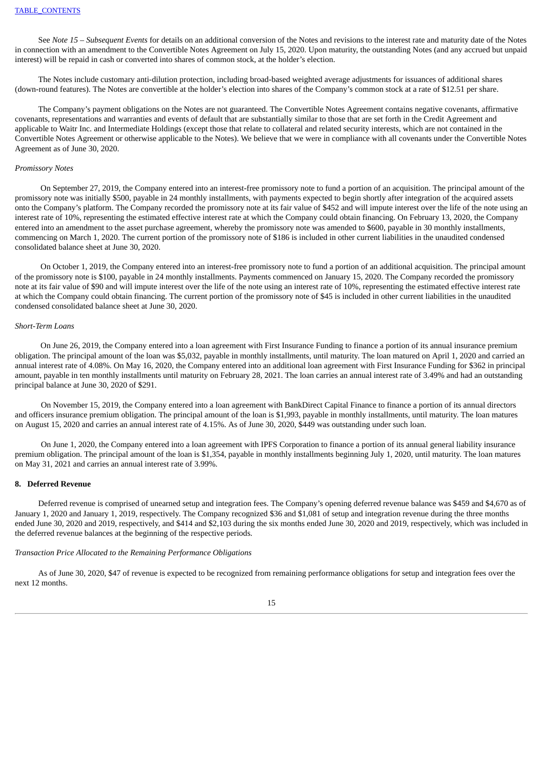See *Note 15 – Subsequent Events* for details on an additional conversion of the Notes and revisions to the interest rate and maturity date of the Notes in connection with an amendment to the Convertible Notes Agreement on July 15, 2020. Upon maturity, the outstanding Notes (and any accrued but unpaid interest) will be repaid in cash or converted into shares of common stock, at the holder's election.

The Notes include customary anti-dilution protection, including broad-based weighted average adjustments for issuances of additional shares (down-round features). The Notes are convertible at the holder's election into shares of the Company's common stock at a rate of \$12.51 per share.

The Company's payment obligations on the Notes are not guaranteed. The Convertible Notes Agreement contains negative covenants, affirmative covenants, representations and warranties and events of default that are substantially similar to those that are set forth in the Credit Agreement and applicable to Waitr Inc. and Intermediate Holdings (except those that relate to collateral and related security interests, which are not contained in the Convertible Notes Agreement or otherwise applicable to the Notes). We believe that we were in compliance with all covenants under the Convertible Notes Agreement as of June 30, 2020.

#### *Promissory Notes*

On September 27, 2019, the Company entered into an interest-free promissory note to fund a portion of an acquisition. The principal amount of the promissory note was initially \$500, payable in 24 monthly installments, with payments expected to begin shortly after integration of the acquired assets onto the Company's platform. The Company recorded the promissory note at its fair value of \$452 and will impute interest over the life of the note using an interest rate of 10%, representing the estimated effective interest rate at which the Company could obtain financing. On February 13, 2020, the Company entered into an amendment to the asset purchase agreement, whereby the promissory note was amended to \$600, payable in 30 monthly installments, commencing on March 1, 2020. The current portion of the promissory note of \$186 is included in other current liabilities in the unaudited condensed consolidated balance sheet at June 30, 2020.

On October 1, 2019, the Company entered into an interest-free promissory note to fund a portion of an additional acquisition. The principal amount of the promissory note is \$100, payable in 24 monthly installments. Payments commenced on January 15, 2020. The Company recorded the promissory note at its fair value of \$90 and will impute interest over the life of the note using an interest rate of 10%, representing the estimated effective interest rate at which the Company could obtain financing. The current portion of the promissory note of \$45 is included in other current liabilities in the unaudited condensed consolidated balance sheet at June 30, 2020.

#### *Short-Term Loans*

On June 26, 2019, the Company entered into a loan agreement with First Insurance Funding to finance a portion of its annual insurance premium obligation. The principal amount of the loan was \$5,032, payable in monthly installments, until maturity. The loan matured on April 1, 2020 and carried an annual interest rate of 4.08%. On May 16, 2020, the Company entered into an additional loan agreement with First Insurance Funding for \$362 in principal amount, payable in ten monthly installments until maturity on February 28, 2021. The loan carries an annual interest rate of 3.49% and had an outstanding principal balance at June 30, 2020 of \$291.

On November 15, 2019, the Company entered into a loan agreement with BankDirect Capital Finance to finance a portion of its annual directors and officers insurance premium obligation. The principal amount of the loan is \$1,993, payable in monthly installments, until maturity. The loan matures on August 15, 2020 and carries an annual interest rate of 4.15%. As of June 30, 2020, \$449 was outstanding under such loan.

On June 1, 2020, the Company entered into a loan agreement with IPFS Corporation to finance a portion of its annual general liability insurance premium obligation. The principal amount of the loan is \$1,354, payable in monthly installments beginning July 1, 2020, until maturity. The loan matures on May 31, 2021 and carries an annual interest rate of 3.99%.

### **8. Deferred Revenue**

Deferred revenue is comprised of unearned setup and integration fees. The Company's opening deferred revenue balance was \$459 and \$4,670 as of January 1, 2020 and January 1, 2019, respectively. The Company recognized \$36 and \$1,081 of setup and integration revenue during the three months ended June 30, 2020 and 2019, respectively, and \$414 and \$2,103 during the six months ended June 30, 2020 and 2019, respectively, which was included in the deferred revenue balances at the beginning of the respective periods.

#### *Transaction Price Allocated to the Remaining Performance Obligations*

As of June 30, 2020, \$47 of revenue is expected to be recognized from remaining performance obligations for setup and integration fees over the next 12 months.

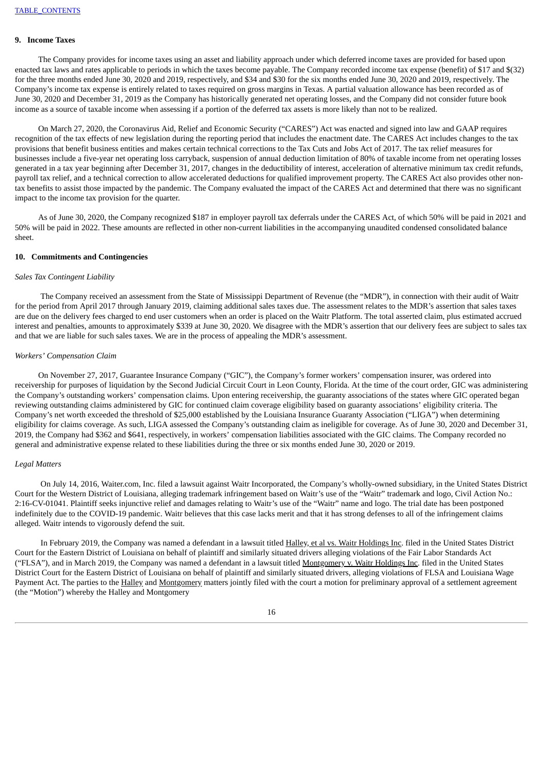#### **9. Income Taxes**

The Company provides for income taxes using an asset and liability approach under which deferred income taxes are provided for based upon enacted tax laws and rates applicable to periods in which the taxes become payable. The Company recorded income tax expense (benefit) of \$17 and \$(32) for the three months ended June 30, 2020 and 2019, respectively, and \$34 and \$30 for the six months ended June 30, 2020 and 2019, respectively. The Company's income tax expense is entirely related to taxes required on gross margins in Texas. A partial valuation allowance has been recorded as of June 30, 2020 and December 31, 2019 as the Company has historically generated net operating losses, and the Company did not consider future book income as a source of taxable income when assessing if a portion of the deferred tax assets is more likely than not to be realized.

On March 27, 2020, the Coronavirus Aid, Relief and Economic Security ("CARES") Act was enacted and signed into law and GAAP requires recognition of the tax effects of new legislation during the reporting period that includes the enactment date. The CARES Act includes changes to the tax provisions that benefit business entities and makes certain technical corrections to the Tax Cuts and Jobs Act of 2017. The tax relief measures for businesses include a five-year net operating loss carryback, suspension of annual deduction limitation of 80% of taxable income from net operating losses generated in a tax year beginning after December 31, 2017, changes in the deductibility of interest, acceleration of alternative minimum tax credit refunds, payroll tax relief, and a technical correction to allow accelerated deductions for qualified improvement property. The CARES Act also provides other nontax benefits to assist those impacted by the pandemic. The Company evaluated the impact of the CARES Act and determined that there was no significant impact to the income tax provision for the quarter.

As of June 30, 2020, the Company recognized \$187 in employer payroll tax deferrals under the CARES Act, of which 50% will be paid in 2021 and 50% will be paid in 2022. These amounts are reflected in other non-current liabilities in the accompanying unaudited condensed consolidated balance sheet.

#### **10. Commitments and Contingencies**

#### *Sales Tax Contingent Liability*

The Company received an assessment from the State of Mississippi Department of Revenue (the "MDR"), in connection with their audit of Waitr for the period from April 2017 through January 2019, claiming additional sales taxes due. The assessment relates to the MDR's assertion that sales taxes are due on the delivery fees charged to end user customers when an order is placed on the Waitr Platform. The total asserted claim, plus estimated accrued interest and penalties, amounts to approximately \$339 at June 30, 2020. We disagree with the MDR's assertion that our delivery fees are subject to sales tax and that we are liable for such sales taxes. We are in the process of appealing the MDR's assessment.

#### *Workers' Compensation Claim*

On November 27, 2017, Guarantee Insurance Company ("GIC"), the Company's former workers' compensation insurer, was ordered into receivership for purposes of liquidation by the Second Judicial Circuit Court in Leon County, Florida. At the time of the court order, GIC was administering the Company's outstanding workers' compensation claims. Upon entering receivership, the guaranty associations of the states where GIC operated began reviewing outstanding claims administered by GIC for continued claim coverage eligibility based on guaranty associations' eligibility criteria. The Company's net worth exceeded the threshold of \$25,000 established by the Louisiana Insurance Guaranty Association ("LIGA") when determining eligibility for claims coverage. As such, LIGA assessed the Company's outstanding claim as ineligible for coverage. As of June 30, 2020 and December 31, 2019, the Company had \$362 and \$641, respectively, in workers' compensation liabilities associated with the GIC claims. The Company recorded no general and administrative expense related to these liabilities during the three or six months ended June 30, 2020 or 2019.

#### *Legal Matters*

On July 14, 2016, Waiter.com, Inc. filed a lawsuit against Waitr Incorporated, the Company's wholly-owned subsidiary, in the United States District Court for the Western District of Louisiana, alleging trademark infringement based on Waitr's use of the "Waitr" trademark and logo, Civil Action No.: 2:16-CV-01041. Plaintiff seeks injunctive relief and damages relating to Waitr's use of the "Waitr" name and logo. The trial date has been postponed indefinitely due to the COVID-19 pandemic. Waitr believes that this case lacks merit and that it has strong defenses to all of the infringement claims alleged. Waitr intends to vigorously defend the suit.

In February 2019, the Company was named a defendant in a lawsuit titled Halley, et al vs. Waitr Holdings Inc. filed in the United States District Court for the Eastern District of Louisiana on behalf of plaintiff and similarly situated drivers alleging violations of the Fair Labor Standards Act ("FLSA"), and in March 2019, the Company was named a defendant in a lawsuit titled Montgomery v. Waitr Holdings Inc. filed in the United States District Court for the Eastern District of Louisiana on behalf of plaintiff and similarly situated drivers, alleging violations of FLSA and Louisiana Wage Payment Act. The parties to the Halley and Montgomery matters jointly filed with the court a motion for preliminary approval of a settlement agreement (the "Motion") whereby the Halley and Montgomery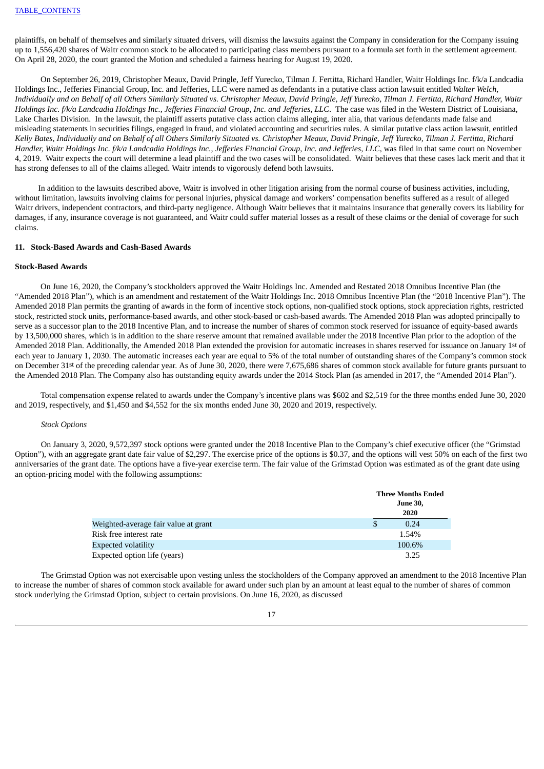plaintiffs, on behalf of themselves and similarly situated drivers, will dismiss the lawsuits against the Company in consideration for the Company issuing up to 1,556,420 shares of Waitr common stock to be allocated to participating class members pursuant to a formula set forth in the settlement agreement. On April 28, 2020, the court granted the Motion and scheduled a fairness hearing for August 19, 2020.

On September 26, 2019, Christopher Meaux, David Pringle, Jeff Yurecko, Tilman J. Fertitta, Richard Handler, Waitr Holdings Inc. f/k/a Landcadia Holdings Inc., Jefferies Financial Group, Inc. and Jefferies, LLC were named as defendants in a putative class action lawsuit entitled *Walter Welch,* Individually and on Behalf of all Others Similarly Situated vs. Christopher Meaux, David Pringle, Jeff Yurecko, Tilman J. Fertitta, Richard Handler, Waitr Holdings Inc. f/k/a Landcadia Holdings Inc., Jefferies Financial Group, Inc. and Jefferies, LLC. The case was filed in the Western District of Louisiana, Lake Charles Division. In the lawsuit, the plaintiff asserts putative class action claims alleging, inter alia, that various defendants made false and misleading statements in securities filings, engaged in fraud, and violated accounting and securities rules. A similar putative class action lawsuit, entitled Kelly Bates, Individually and on Behalf of all Others Similarly Situated vs. Christopher Meaux, David Pringle, Jeff Yurecko, Tilman J. Fertitta, Richard Handler, Waitr Holdings Inc. f/k/a Landcadia Holdings Inc., Jefferies Financial Group, Inc. and Jefferies, LLC, was filed in that same court on November 4, 2019. Waitr expects the court will determine a lead plaintiff and the two cases will be consolidated. Waitr believes that these cases lack merit and that it has strong defenses to all of the claims alleged. Waitr intends to vigorously defend both lawsuits.

In addition to the lawsuits described above, Waitr is involved in other litigation arising from the normal course of business activities, including, without limitation, lawsuits involving claims for personal injuries, physical damage and workers' compensation benefits suffered as a result of alleged Waitr drivers, independent contractors, and third-party negligence. Although Waitr believes that it maintains insurance that generally covers its liability for damages, if any, insurance coverage is not guaranteed, and Waitr could suffer material losses as a result of these claims or the denial of coverage for such claims.

### **11. Stock-Based Awards and Cash-Based Awards**

#### **Stock-Based Awards**

On June 16, 2020, the Company's stockholders approved the Waitr Holdings Inc. Amended and Restated 2018 Omnibus Incentive Plan (the "Amended 2018 Plan"), which is an amendment and restatement of the Waitr Holdings Inc. 2018 Omnibus Incentive Plan (the "2018 Incentive Plan"). The Amended 2018 Plan permits the granting of awards in the form of incentive stock options, non-qualified stock options, stock appreciation rights, restricted stock, restricted stock units, performance-based awards, and other stock-based or cash-based awards. The Amended 2018 Plan was adopted principally to serve as a successor plan to the 2018 Incentive Plan, and to increase the number of shares of common stock reserved for issuance of equity-based awards by 13,500,000 shares, which is in addition to the share reserve amount that remained available under the 2018 Incentive Plan prior to the adoption of the Amended 2018 Plan. Additionally, the Amended 2018 Plan extended the provision for automatic increases in shares reserved for issuance on January 1st of each year to January 1, 2030. The automatic increases each year are equal to 5% of the total number of outstanding shares of the Company's common stock on December 31st of the preceding calendar year. As of June 30, 2020, there were 7,675,686 shares of common stock available for future grants pursuant to the Amended 2018 Plan. The Company also has outstanding equity awards under the 2014 Stock Plan (as amended in 2017, the "Amended 2014 Plan").

Total compensation expense related to awards under the Company's incentive plans was \$602 and \$2,519 for the three months ended June 30, 2020 and 2019, respectively, and \$1,450 and \$4,552 for the six months ended June 30, 2020 and 2019, respectively.

### *Stock Options*

On January 3, 2020, 9,572,397 stock options were granted under the 2018 Incentive Plan to the Company's chief executive officer (the "Grimstad Option"), with an aggregate grant date fair value of \$2,297. The exercise price of the options is \$0.37, and the options will vest 50% on each of the first two anniversaries of the grant date. The options have a five-year exercise term. The fair value of the Grimstad Option was estimated as of the grant date using an option-pricing model with the following assumptions:

|                                      | <b>Three Months Ended</b><br><b>June 30,</b> |
|--------------------------------------|----------------------------------------------|
|                                      | 2020                                         |
| Weighted-average fair value at grant | 0.24                                         |
| Risk free interest rate              | 1.54%                                        |
| <b>Expected volatility</b>           | 100.6%                                       |
| Expected option life (years)         | 3.25                                         |

The Grimstad Option was not exercisable upon vesting unless the stockholders of the Company approved an amendment to the 2018 Incentive Plan to increase the number of shares of common stock available for award under such plan by an amount at least equal to the number of shares of common stock underlying the Grimstad Option, subject to certain provisions. On June 16, 2020, as discussed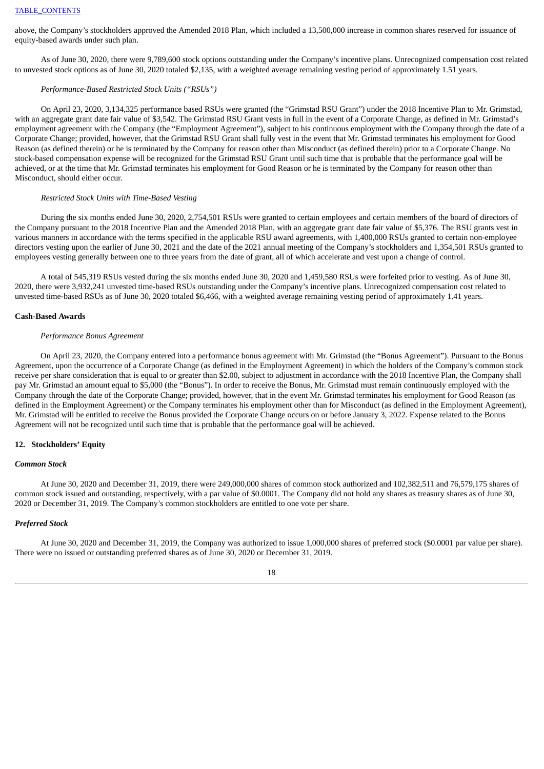above, the Company's stockholders approved the Amended 2018 Plan, which included a 13,500,000 increase in common shares reserved for issuance of equity-based awards under such plan.

As of June 30, 2020, there were 9,789,600 stock options outstanding under the Company's incentive plans. Unrecognized compensation cost related to unvested stock options as of June 30, 2020 totaled \$2,135, with a weighted average remaining vesting period of approximately 1.51 years.

### *Performance-Based Restricted Stock Units ("RSUs")*

On April 23, 2020, 3,134,325 performance based RSUs were granted (the "Grimstad RSU Grant") under the 2018 Incentive Plan to Mr. Grimstad, with an aggregate grant date fair value of \$3,542. The Grimstad RSU Grant vests in full in the event of a Corporate Change, as defined in Mr. Grimstad's employment agreement with the Company (the "Employment Agreement"), subject to his continuous employment with the Company through the date of a Corporate Change; provided, however, that the Grimstad RSU Grant shall fully vest in the event that Mr. Grimstad terminates his employment for Good Reason (as defined therein) or he is terminated by the Company for reason other than Misconduct (as defined therein) prior to a Corporate Change. No stock-based compensation expense will be recognized for the Grimstad RSU Grant until such time that is probable that the performance goal will be achieved, or at the time that Mr. Grimstad terminates his employment for Good Reason or he is terminated by the Company for reason other than Misconduct, should either occur.

#### *Restricted Stock Units with Time-Based Vesting*

During the six months ended June 30, 2020, 2,754,501 RSUs were granted to certain employees and certain members of the board of directors of the Company pursuant to the 2018 Incentive Plan and the Amended 2018 Plan, with an aggregate grant date fair value of \$5,376. The RSU grants vest in various manners in accordance with the terms specified in the applicable RSU award agreements, with 1,400,000 RSUs granted to certain non-employee directors vesting upon the earlier of June 30, 2021 and the date of the 2021 annual meeting of the Company's stockholders and 1,354,501 RSUs granted to employees vesting generally between one to three years from the date of grant, all of which accelerate and vest upon a change of control.

A total of 545,319 RSUs vested during the six months ended June 30, 2020 and 1,459,580 RSUs were forfeited prior to vesting. As of June 30, 2020, there were 3,932,241 unvested time-based RSUs outstanding under the Company's incentive plans. Unrecognized compensation cost related to unvested time-based RSUs as of June 30, 2020 totaled \$6,466, with a weighted average remaining vesting period of approximately 1.41 years.

### **Cash-Based Awards**

### *Performance Bonus Agreement*

On April 23, 2020, the Company entered into a performance bonus agreement with Mr. Grimstad (the "Bonus Agreement"). Pursuant to the Bonus Agreement, upon the occurrence of a Corporate Change (as defined in the Employment Agreement) in which the holders of the Company's common stock receive per share consideration that is equal to or greater than \$2.00, subject to adjustment in accordance with the 2018 Incentive Plan, the Company shall pay Mr. Grimstad an amount equal to \$5,000 (the "Bonus"). In order to receive the Bonus, Mr. Grimstad must remain continuously employed with the Company through the date of the Corporate Change; provided, however, that in the event Mr. Grimstad terminates his employment for Good Reason (as defined in the Employment Agreement) or the Company terminates his employment other than for Misconduct (as defined in the Employment Agreement), Mr. Grimstad will be entitled to receive the Bonus provided the Corporate Change occurs on or before January 3, 2022. Expense related to the Bonus Agreement will not be recognized until such time that is probable that the performance goal will be achieved.

### **12. Stockholders' Equity**

#### *Common Stock*

At June 30, 2020 and December 31, 2019, there were 249,000,000 shares of common stock authorized and 102,382,511 and 76,579,175 shares of common stock issued and outstanding, respectively, with a par value of \$0.0001. The Company did not hold any shares as treasury shares as of June 30, 2020 or December 31, 2019. The Company's common stockholders are entitled to one vote per share.

#### *Preferred Stock*

At June 30, 2020 and December 31, 2019, the Company was authorized to issue 1,000,000 shares of preferred stock (\$0.0001 par value per share). There were no issued or outstanding preferred shares as of June 30, 2020 or December 31, 2019.

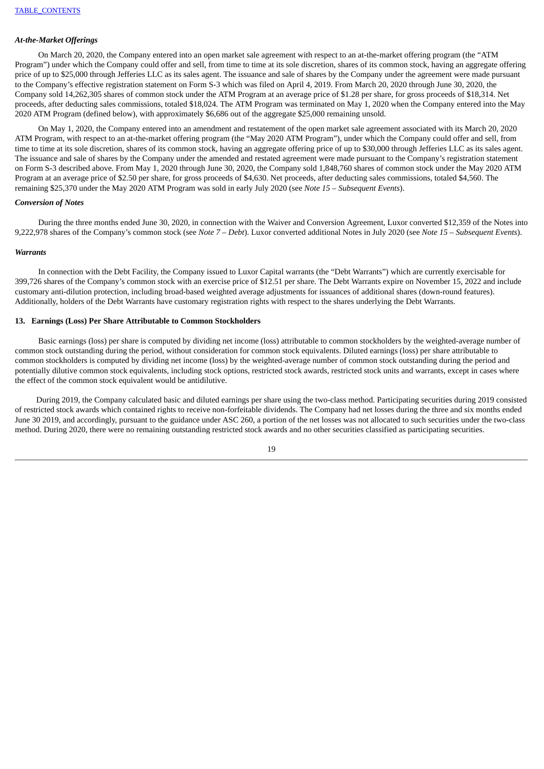#### *At-the-Market Offerings*

On March 20, 2020, the Company entered into an open market sale agreement with respect to an at-the-market offering program (the "ATM Program") under which the Company could offer and sell, from time to time at its sole discretion, shares of its common stock, having an aggregate offering price of up to \$25,000 through Jefferies LLC as its sales agent. The issuance and sale of shares by the Company under the agreement were made pursuant to the Company's effective registration statement on Form S-3 which was filed on April 4, 2019. From March 20, 2020 through June 30, 2020, the Company sold 14,262,305 shares of common stock under the ATM Program at an average price of \$1.28 per share, for gross proceeds of \$18,314. Net proceeds, after deducting sales commissions, totaled \$18,024. The ATM Program was terminated on May 1, 2020 when the Company entered into the May 2020 ATM Program (defined below), with approximately \$6,686 out of the aggregate \$25,000 remaining unsold.

On May 1, 2020, the Company entered into an amendment and restatement of the open market sale agreement associated with its March 20, 2020 ATM Program, with respect to an at-the-market offering program (the "May 2020 ATM Program"), under which the Company could offer and sell, from time to time at its sole discretion, shares of its common stock, having an aggregate offering price of up to \$30,000 through Jefferies LLC as its sales agent. The issuance and sale of shares by the Company under the amended and restated agreement were made pursuant to the Company's registration statement on Form S-3 described above. From May 1, 2020 through June 30, 2020, the Company sold 1,848,760 shares of common stock under the May 2020 ATM Program at an average price of \$2.50 per share, for gross proceeds of \$4,630. Net proceeds, after deducting sales commissions, totaled \$4,560. The remaining \$25,370 under the May 2020 ATM Program was sold in early July 2020 (see *Note 15 – Subsequent Events*).

#### *Conversion of Notes*

During the three months ended June 30, 2020, in connection with the Waiver and Conversion Agreement, Luxor converted \$12,359 of the Notes into 9,222,978 shares of the Company's common stock (see *Note 7 – Debt*). Luxor converted additional Notes in July 2020 (see *Note 15 – Subsequent Events*).

#### *Warrants*

In connection with the Debt Facility, the Company issued to Luxor Capital warrants (the "Debt Warrants") which are currently exercisable for 399,726 shares of the Company's common stock with an exercise price of \$12.51 per share. The Debt Warrants expire on November 15, 2022 and include customary anti-dilution protection, including broad-based weighted average adjustments for issuances of additional shares (down-round features). Additionally, holders of the Debt Warrants have customary registration rights with respect to the shares underlying the Debt Warrants.

#### **13. Earnings (Loss) Per Share Attributable to Common Stockholders**

Basic earnings (loss) per share is computed by dividing net income (loss) attributable to common stockholders by the weighted-average number of common stock outstanding during the period, without consideration for common stock equivalents. Diluted earnings (loss) per share attributable to common stockholders is computed by dividing net income (loss) by the weighted-average number of common stock outstanding during the period and potentially dilutive common stock equivalents, including stock options, restricted stock awards, restricted stock units and warrants, except in cases where the effect of the common stock equivalent would be antidilutive.

During 2019, the Company calculated basic and diluted earnings per share using the two-class method. Participating securities during 2019 consisted of restricted stock awards which contained rights to receive non-forfeitable dividends. The Company had net losses during the three and six months ended June 30 2019, and accordingly, pursuant to the guidance under ASC 260, a portion of the net losses was not allocated to such securities under the two-class method. During 2020, there were no remaining outstanding restricted stock awards and no other securities classified as participating securities.

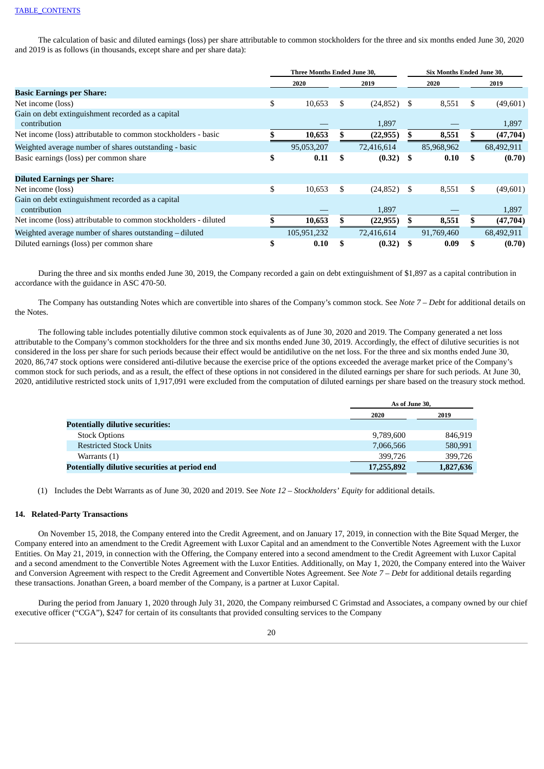The calculation of basic and diluted earnings (loss) per share attributable to common stockholders for the three and six months ended June 30, 2020 and 2019 is as follows (in thousands, except share and per share data):

|                                                                   | <b>Three Months Ended June 30,</b> |    |                |      |            | <b>Six Months Ended June 30,</b> |            |
|-------------------------------------------------------------------|------------------------------------|----|----------------|------|------------|----------------------------------|------------|
|                                                                   | 2020                               |    | 2019           |      | 2020       |                                  | 2019       |
| <b>Basic Earnings per Share:</b>                                  |                                    |    |                |      |            |                                  |            |
| Net income (loss)                                                 | \$<br>10,653                       | \$ | (24, 852)      | - \$ | 8,551      | S                                | (49,601)   |
| Gain on debt extinguishment recorded as a capital<br>contribution |                                    |    | 1,897          |      |            |                                  | 1,897      |
| Net income (loss) attributable to common stockholders - basic     | 10,653                             |    | (22, 955)      |      | 8,551      |                                  | (47, 704)  |
| Weighted average number of shares outstanding - basic             | 95,053,207                         |    | 72,416,614     |      | 85,968,962 |                                  | 68,492,911 |
| Basic earnings (loss) per common share                            | \$<br>0.11                         | S. | $(0.32)$ \$    |      | 0.10       | S                                | (0.70)     |
| <b>Diluted Earnings per Share:</b>                                |                                    |    |                |      |            |                                  |            |
| Net income (loss)                                                 | \$<br>10,653                       | S  | $(24, 852)$ \$ |      | 8,551      | \$                               | (49,601)   |
| Gain on debt extinguishment recorded as a capital<br>contribution |                                    |    | 1,897          |      |            |                                  | 1,897      |
| Net income (loss) attributable to common stockholders - diluted   | 10,653                             |    | (22, 955)      |      | 8,551      |                                  | (47, 704)  |
| Weighted average number of shares outstanding – diluted           | 105,951,232                        |    | 72,416,614     |      | 91,769,460 |                                  | 68,492,911 |
| Diluted earnings (loss) per common share                          | \$<br>0.10                         | \$ | $(0.32)$ \$    |      | 0.09       | S                                | (0.70)     |

During the three and six months ended June 30, 2019, the Company recorded a gain on debt extinguishment of \$1,897 as a capital contribution in accordance with the guidance in ASC 470-50.

The Company has outstanding Notes which are convertible into shares of the Company's common stock. See *Note 7 – Debt* for additional details on the Notes.

The following table includes potentially dilutive common stock equivalents as of June 30, 2020 and 2019. The Company generated a net loss attributable to the Company's common stockholders for the three and six months ended June 30, 2019. Accordingly, the effect of dilutive securities is not considered in the loss per share for such periods because their effect would be antidilutive on the net loss. For the three and six months ended June 30, 2020, 86,747 stock options were considered anti-dilutive because the exercise price of the options exceeded the average market price of the Company's common stock for such periods, and as a result, the effect of these options in not considered in the diluted earnings per share for such periods. At June 30, 2020, antidilutive restricted stock units of 1,917,091 were excluded from the computation of diluted earnings per share based on the treasury stock method.

|                                               | As of June 30, |           |  |  |
|-----------------------------------------------|----------------|-----------|--|--|
|                                               | 2020           | 2019      |  |  |
| <b>Potentially dilutive securities:</b>       |                |           |  |  |
| <b>Stock Options</b>                          | 9,789,600      | 846,919   |  |  |
| <b>Restricted Stock Units</b>                 | 7,066,566      | 580,991   |  |  |
| Warrants $(1)$                                | 399.726        | 399,726   |  |  |
| Potentially dilutive securities at period end | 17,255,892     | 1,827,636 |  |  |

(1) Includes the Debt Warrants as of June 30, 2020 and 2019. See *Note 12 – Stockholders' Equity* for additional details.

#### **14. Related-Party Transactions**

On November 15, 2018, the Company entered into the Credit Agreement, and on January 17, 2019, in connection with the Bite Squad Merger, the Company entered into an amendment to the Credit Agreement with Luxor Capital and an amendment to the Convertible Notes Agreement with the Luxor Entities. On May 21, 2019, in connection with the Offering, the Company entered into a second amendment to the Credit Agreement with Luxor Capital and a second amendment to the Convertible Notes Agreement with the Luxor Entities. Additionally, on May 1, 2020, the Company entered into the Waiver and Conversion Agreement with respect to the Credit Agreement and Convertible Notes Agreement. See *Note 7 – Debt* for additional details regarding these transactions. Jonathan Green, a board member of the Company, is a partner at Luxor Capital.

During the period from January 1, 2020 through July 31, 2020, the Company reimbursed C Grimstad and Associates, a company owned by our chief executive officer ("CGA"), \$247 for certain of its consultants that provided consulting services to the Company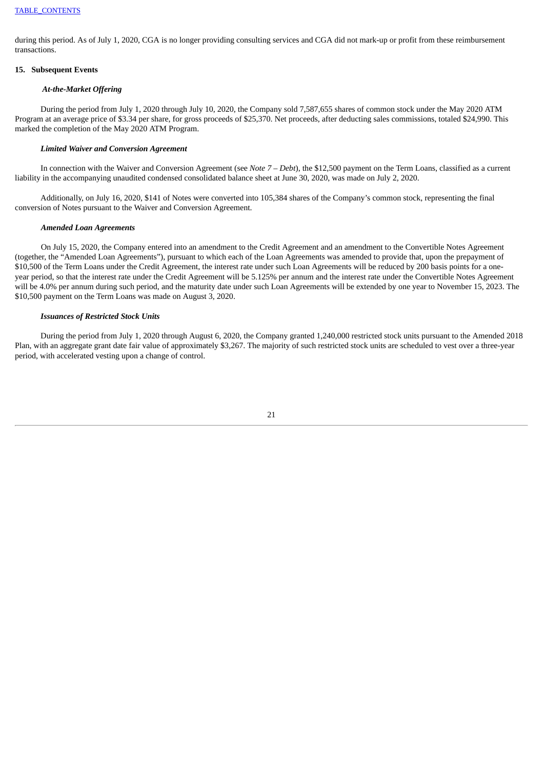during this period. As of July 1, 2020, CGA is no longer providing consulting services and CGA did not mark-up or profit from these reimbursement transactions.

### **15. Subsequent Events**

#### *At-the-Market Offering*

During the period from July 1, 2020 through July 10, 2020, the Company sold 7,587,655 shares of common stock under the May 2020 ATM Program at an average price of \$3.34 per share, for gross proceeds of \$25,370. Net proceeds, after deducting sales commissions, totaled \$24,990. This marked the completion of the May 2020 ATM Program.

### *Limited Waiver and Conversion Agreement*

In connection with the Waiver and Conversion Agreement (see *Note 7 – Debt*), the \$12,500 payment on the Term Loans, classified as a current liability in the accompanying unaudited condensed consolidated balance sheet at June 30, 2020, was made on July 2, 2020.

Additionally, on July 16, 2020, \$141 of Notes were converted into 105,384 shares of the Company's common stock, representing the final conversion of Notes pursuant to the Waiver and Conversion Agreement.

#### *Amended Loan Agreements*

On July 15, 2020, the Company entered into an amendment to the Credit Agreement and an amendment to the Convertible Notes Agreement (together, the "Amended Loan Agreements"), pursuant to which each of the Loan Agreements was amended to provide that, upon the prepayment of \$10,500 of the Term Loans under the Credit Agreement, the interest rate under such Loan Agreements will be reduced by 200 basis points for a oneyear period, so that the interest rate under the Credit Agreement will be 5.125% per annum and the interest rate under the Convertible Notes Agreement will be 4.0% per annum during such period, and the maturity date under such Loan Agreements will be extended by one year to November 15, 2023. The \$10,500 payment on the Term Loans was made on August 3, 2020.

#### *Issuances of Restricted Stock Units*

During the period from July 1, 2020 through August 6, 2020, the Company granted 1,240,000 restricted stock units pursuant to the Amended 2018 Plan, with an aggregate grant date fair value of approximately \$3,267. The majority of such restricted stock units are scheduled to vest over a three-year period, with accelerated vesting upon a change of control.

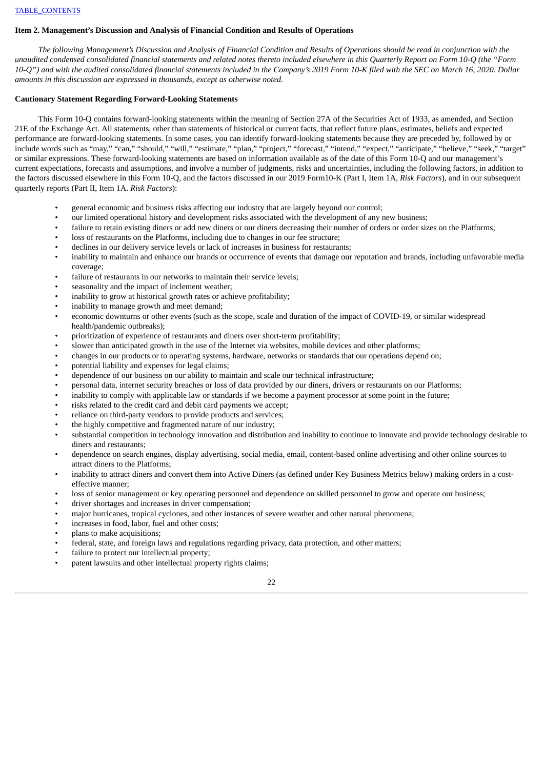# <span id="page-23-0"></span>**Item 2. Management's Discussion and Analysis of Financial Condition and Results of Operations**

The following Management's Discussion and Analysis of Financial Condition and Results of Operations should be read in conjunction with the unaudited condensed consolidated financial statements and related notes thereto included elsewhere in this Ouarterly Report on Form 10-O (the "Form 10-Q") and with the audited consolidated financial statements included in the Company's 2019 Form 10-K filed with the SEC on March 16, 2020. Dollar *amounts in this discussion are expressed in thousands, except as otherwise noted.*

# **Cautionary Statement Regarding Forward-Looking Statements**

This Form 10-Q contains forward-looking statements within the meaning of Section 27A of the Securities Act of 1933, as amended, and Section 21E of the Exchange Act. All statements, other than statements of historical or current facts, that reflect future plans, estimates, beliefs and expected performance are forward-looking statements. In some cases, you can identify forward-looking statements because they are preceded by, followed by or include words such as "may," "can," "should," "will," "estimate," "plan," "project," "forecast," "intend," "expect," "anticipate," "believe," "seek," "target" or similar expressions. These forward-looking statements are based on information available as of the date of this Form 10-Q and our management's current expectations, forecasts and assumptions, and involve a number of judgments, risks and uncertainties, including the following factors, in addition to the factors discussed elsewhere in this Form 10-Q, and the factors discussed in our 2019 Form10-K (Part I, Item 1A, *Risk Factors*), and in our subsequent quarterly reports (Part II, Item 1A. *Risk Factors*):

- general economic and business risks affecting our industry that are largely beyond our control;
- our limited operational history and development risks associated with the development of any new business;
- failure to retain existing diners or add new diners or our diners decreasing their number of orders or order sizes on the Platforms;
- loss of restaurants on the Platforms, including due to changes in our fee structure;
- declines in our delivery service levels or lack of increases in business for restaurants;
- inability to maintain and enhance our brands or occurrence of events that damage our reputation and brands, including unfavorable media coverage;
- failure of restaurants in our networks to maintain their service levels;
- seasonality and the impact of inclement weather;
- inability to grow at historical growth rates or achieve profitability;
- inability to manage growth and meet demand;
- economic downturns or other events (such as the scope, scale and duration of the impact of COVID-19, or similar widespread health/pandemic outbreaks);
- prioritization of experience of restaurants and diners over short-term profitability;
- slower than anticipated growth in the use of the Internet via websites, mobile devices and other platforms;
- changes in our products or to operating systems, hardware, networks or standards that our operations depend on;
- potential liability and expenses for legal claims;
- dependence of our business on our ability to maintain and scale our technical infrastructure;
- personal data, internet security breaches or loss of data provided by our diners, drivers or restaurants on our Platforms;
- inability to comply with applicable law or standards if we become a payment processor at some point in the future;
- risks related to the credit card and debit card payments we accept;
- reliance on third-party vendors to provide products and services;
- the highly competitive and fragmented nature of our industry;
- substantial competition in technology innovation and distribution and inability to continue to innovate and provide technology desirable to diners and restaurants;
- dependence on search engines, display advertising, social media, email, content-based online advertising and other online sources to attract diners to the Platforms;
- inability to attract diners and convert them into Active Diners (as defined under Key Business Metrics below) making orders in a costeffective manner;
- loss of senior management or key operating personnel and dependence on skilled personnel to grow and operate our business;
- driver shortages and increases in driver compensation;
- major hurricanes, tropical cyclones, and other instances of severe weather and other natural phenomena;
- increases in food, labor, fuel and other costs;
- plans to make acquisitions;
- federal, state, and foreign laws and regulations regarding privacy, data protection, and other matters;
- failure to protect our intellectual property;
- patent lawsuits and other intellectual property rights claims;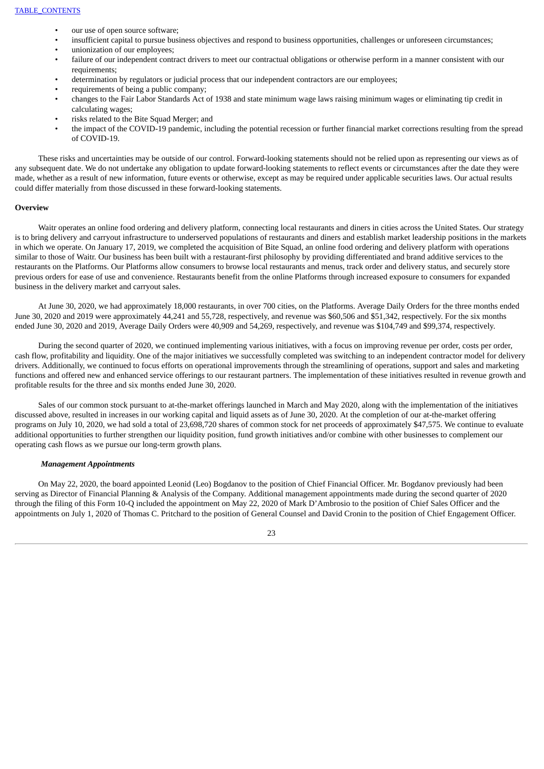- our use of open source software;
- insufficient capital to pursue business objectives and respond to business opportunities, challenges or unforeseen circumstances;
- unionization of our employees;
- failure of our independent contract drivers to meet our contractual obligations or otherwise perform in a manner consistent with our requirements;
- determination by regulators or judicial process that our independent contractors are our employees;
- requirements of being a public company;
- changes to the Fair Labor Standards Act of 1938 and state minimum wage laws raising minimum wages or eliminating tip credit in calculating wages;
- risks related to the Bite Squad Merger; and
- the impact of the COVID-19 pandemic, including the potential recession or further financial market corrections resulting from the spread of COVID-19.

These risks and uncertainties may be outside of our control. Forward-looking statements should not be relied upon as representing our views as of any subsequent date. We do not undertake any obligation to update forward-looking statements to reflect events or circumstances after the date they were made, whether as a result of new information, future events or otherwise, except as may be required under applicable securities laws. Our actual results could differ materially from those discussed in these forward-looking statements.

#### **Overview**

Waitr operates an online food ordering and delivery platform, connecting local restaurants and diners in cities across the United States. Our strategy is to bring delivery and carryout infrastructure to underserved populations of restaurants and diners and establish market leadership positions in the markets in which we operate. On January 17, 2019, we completed the acquisition of Bite Squad, an online food ordering and delivery platform with operations similar to those of Waitr. Our business has been built with a restaurant-first philosophy by providing differentiated and brand additive services to the restaurants on the Platforms. Our Platforms allow consumers to browse local restaurants and menus, track order and delivery status, and securely store previous orders for ease of use and convenience. Restaurants benefit from the online Platforms through increased exposure to consumers for expanded business in the delivery market and carryout sales.

At June 30, 2020, we had approximately 18,000 restaurants, in over 700 cities, on the Platforms. Average Daily Orders for the three months ended June 30, 2020 and 2019 were approximately 44,241 and 55,728, respectively, and revenue was \$60,506 and \$51,342, respectively. For the six months ended June 30, 2020 and 2019, Average Daily Orders were 40,909 and 54,269, respectively, and revenue was \$104,749 and \$99,374, respectively.

During the second quarter of 2020, we continued implementing various initiatives, with a focus on improving revenue per order, costs per order, cash flow, profitability and liquidity. One of the major initiatives we successfully completed was switching to an independent contractor model for delivery drivers. Additionally, we continued to focus efforts on operational improvements through the streamlining of operations, support and sales and marketing functions and offered new and enhanced service offerings to our restaurant partners. The implementation of these initiatives resulted in revenue growth and profitable results for the three and six months ended June 30, 2020.

Sales of our common stock pursuant to at-the-market offerings launched in March and May 2020, along with the implementation of the initiatives discussed above, resulted in increases in our working capital and liquid assets as of June 30, 2020. At the completion of our at-the-market offering programs on July 10, 2020, we had sold a total of 23,698,720 shares of common stock for net proceeds of approximately \$47,575. We continue to evaluate additional opportunities to further strengthen our liquidity position, fund growth initiatives and/or combine with other businesses to complement our operating cash flows as we pursue our long-term growth plans.

#### *Management Appointments*

On May 22, 2020, the board appointed Leonid (Leo) Bogdanov to the position of Chief Financial Officer. Mr. Bogdanov previously had been serving as Director of Financial Planning & Analysis of the Company. Additional management appointments made during the second quarter of 2020 through the filing of this Form 10-Q included the appointment on May 22, 2020 of Mark D'Ambrosio to the position of Chief Sales Officer and the appointments on July 1, 2020 of Thomas C. Pritchard to the position of General Counsel and David Cronin to the position of Chief Engagement Officer.

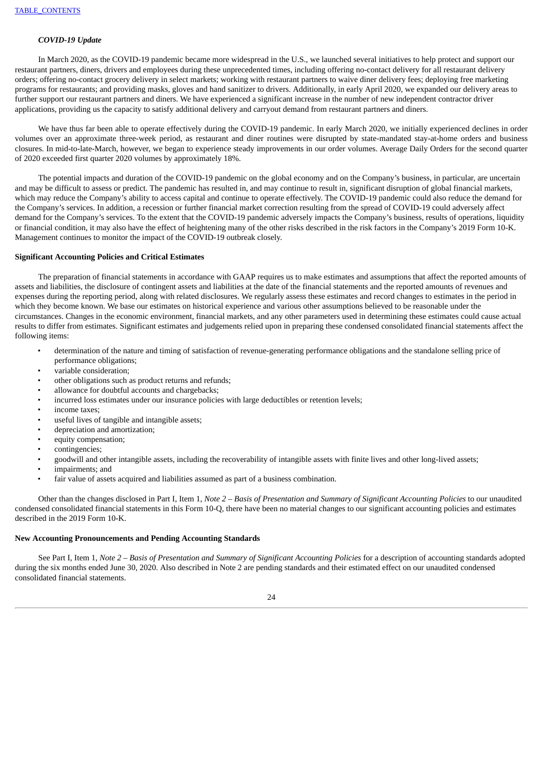### *COVID-19 Update*

In March 2020, as the COVID-19 pandemic became more widespread in the U.S., we launched several initiatives to help protect and support our restaurant partners, diners, drivers and employees during these unprecedented times, including offering no-contact delivery for all restaurant delivery orders; offering no-contact grocery delivery in select markets; working with restaurant partners to waive diner delivery fees; deploying free marketing programs for restaurants; and providing masks, gloves and hand sanitizer to drivers. Additionally, in early April 2020, we expanded our delivery areas to further support our restaurant partners and diners. We have experienced a significant increase in the number of new independent contractor driver applications, providing us the capacity to satisfy additional delivery and carryout demand from restaurant partners and diners.

We have thus far been able to operate effectively during the COVID-19 pandemic. In early March 2020, we initially experienced declines in order volumes over an approximate three-week period, as restaurant and diner routines were disrupted by state-mandated stay-at-home orders and business closures. In mid-to-late-March, however, we began to experience steady improvements in our order volumes. Average Daily Orders for the second quarter of 2020 exceeded first quarter 2020 volumes by approximately 18%.

The potential impacts and duration of the COVID-19 pandemic on the global economy and on the Company's business, in particular, are uncertain and may be difficult to assess or predict. The pandemic has resulted in, and may continue to result in, significant disruption of global financial markets, which may reduce the Company's ability to access capital and continue to operate effectively. The COVID-19 pandemic could also reduce the demand for the Company's services. In addition, a recession or further financial market correction resulting from the spread of COVID-19 could adversely affect demand for the Company's services. To the extent that the COVID-19 pandemic adversely impacts the Company's business, results of operations, liquidity or financial condition, it may also have the effect of heightening many of the other risks described in the risk factors in the Company's 2019 Form 10-K. Management continues to monitor the impact of the COVID-19 outbreak closely.

#### **Significant Accounting Policies and Critical Estimates**

The preparation of financial statements in accordance with GAAP requires us to make estimates and assumptions that affect the reported amounts of assets and liabilities, the disclosure of contingent assets and liabilities at the date of the financial statements and the reported amounts of revenues and expenses during the reporting period, along with related disclosures. We regularly assess these estimates and record changes to estimates in the period in which they become known. We base our estimates on historical experience and various other assumptions believed to be reasonable under the circumstances. Changes in the economic environment, financial markets, and any other parameters used in determining these estimates could cause actual results to differ from estimates. Significant estimates and judgements relied upon in preparing these condensed consolidated financial statements affect the following items:

- determination of the nature and timing of satisfaction of revenue-generating performance obligations and the standalone selling price of performance obligations;
- variable consideration;
- other obligations such as product returns and refunds;
- allowance for doubtful accounts and chargebacks;
- incurred loss estimates under our insurance policies with large deductibles or retention levels;
- income taxes;
- useful lives of tangible and intangible assets;
- depreciation and amortization;
- equity compensation;
- contingencies;
- goodwill and other intangible assets, including the recoverability of intangible assets with finite lives and other long-lived assets;
- impairments; and
- fair value of assets acquired and liabilities assumed as part of a business combination.

Other than the changes disclosed in Part I, Item 1, *Note 2* – *Basis of Presentation and Summary of Significant Accounting Policies* to our unaudited condensed consolidated financial statements in this Form 10-Q, there have been no material changes to our significant accounting policies and estimates described in the 2019 Form 10-K.

#### **New Accounting Pronouncements and Pending Accounting Standards**

See Part I, Item 1, *Note 2* – *Basis of Presentation and Summary of Significant Accounting Policies* for a description of accounting standards adopted during the six months ended June 30, 2020. Also described in Note 2 are pending standards and their estimated effect on our unaudited condensed consolidated financial statements.

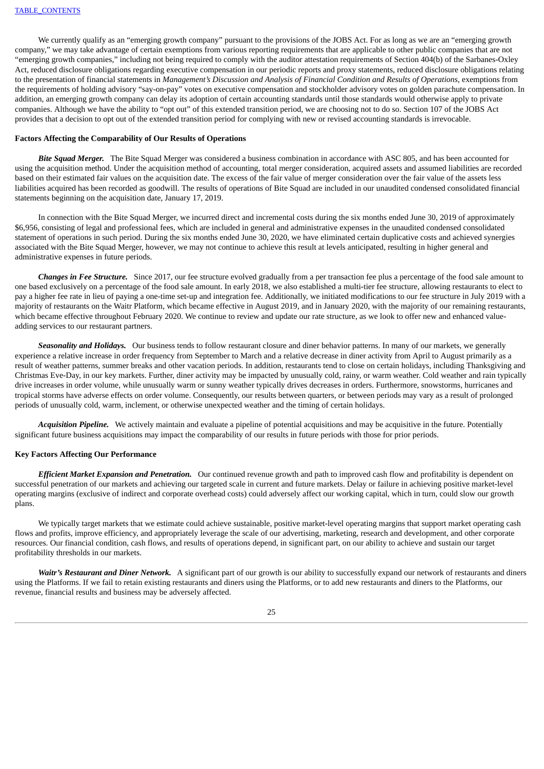We currently qualify as an "emerging growth company" pursuant to the provisions of the JOBS Act. For as long as we are an "emerging growth company," we may take advantage of certain exemptions from various reporting requirements that are applicable to other public companies that are not "emerging growth companies," including not being required to comply with the auditor attestation requirements of Section 404(b) of the Sarbanes-Oxley Act, reduced disclosure obligations regarding executive compensation in our periodic reports and proxy statements, reduced disclosure obligations relating to the presentation of financial statements in Management's Discussion and Analysis of Financial Condition and Results of Operations, exemptions from the requirements of holding advisory "say-on-pay" votes on executive compensation and stockholder advisory votes on golden parachute compensation. In addition, an emerging growth company can delay its adoption of certain accounting standards until those standards would otherwise apply to private companies. Although we have the ability to "opt out" of this extended transition period, we are choosing not to do so. Section 107 of the JOBS Act provides that a decision to opt out of the extended transition period for complying with new or revised accounting standards is irrevocable.

#### **Factors Affecting the Comparability of Our Results of Operations**

*Bite Squad Merger.* The Bite Squad Merger was considered a business combination in accordance with ASC 805, and has been accounted for using the acquisition method. Under the acquisition method of accounting, total merger consideration, acquired assets and assumed liabilities are recorded based on their estimated fair values on the acquisition date. The excess of the fair value of merger consideration over the fair value of the assets less liabilities acquired has been recorded as goodwill. The results of operations of Bite Squad are included in our unaudited condensed consolidated financial statements beginning on the acquisition date, January 17, 2019.

In connection with the Bite Squad Merger, we incurred direct and incremental costs during the six months ended June 30, 2019 of approximately \$6,956, consisting of legal and professional fees, which are included in general and administrative expenses in the unaudited condensed consolidated statement of operations in such period. During the six months ended June 30, 2020, we have eliminated certain duplicative costs and achieved synergies associated with the Bite Squad Merger, however, we may not continue to achieve this result at levels anticipated, resulting in higher general and administrative expenses in future periods.

*Changes in Fee Structure.* Since 2017, our fee structure evolved gradually from a per transaction fee plus a percentage of the food sale amount to one based exclusively on a percentage of the food sale amount. In early 2018, we also established a multi-tier fee structure, allowing restaurants to elect to pay a higher fee rate in lieu of paying a one-time set-up and integration fee. Additionally, we initiated modifications to our fee structure in July 2019 with a majority of restaurants on the Waitr Platform, which became effective in August 2019, and in January 2020, with the majority of our remaining restaurants, which became effective throughout February 2020. We continue to review and update our rate structure, as we look to offer new and enhanced valueadding services to our restaurant partners.

*Seasonality and Holidays.* Our business tends to follow restaurant closure and diner behavior patterns. In many of our markets, we generally experience a relative increase in order frequency from September to March and a relative decrease in diner activity from April to August primarily as a result of weather patterns, summer breaks and other vacation periods. In addition, restaurants tend to close on certain holidays, including Thanksgiving and Christmas Eve-Day, in our key markets. Further, diner activity may be impacted by unusually cold, rainy, or warm weather. Cold weather and rain typically drive increases in order volume, while unusually warm or sunny weather typically drives decreases in orders. Furthermore, snowstorms, hurricanes and tropical storms have adverse effects on order volume. Consequently, our results between quarters, or between periods may vary as a result of prolonged periods of unusually cold, warm, inclement, or otherwise unexpected weather and the timing of certain holidays.

*Acquisition Pipeline.* We actively maintain and evaluate a pipeline of potential acquisitions and may be acquisitive in the future. Potentially significant future business acquisitions may impact the comparability of our results in future periods with those for prior periods.

#### **Key Factors Affecting Our Performance**

*Efficient Market Expansion and Penetration.* Our continued revenue growth and path to improved cash flow and profitability is dependent on successful penetration of our markets and achieving our targeted scale in current and future markets. Delay or failure in achieving positive market-level operating margins (exclusive of indirect and corporate overhead costs) could adversely affect our working capital, which in turn, could slow our growth plans.

We typically target markets that we estimate could achieve sustainable, positive market-level operating margins that support market operating cash flows and profits, improve efficiency, and appropriately leverage the scale of our advertising, marketing, research and development, and other corporate resources. Our financial condition, cash flows, and results of operations depend, in significant part, on our ability to achieve and sustain our target profitability thresholds in our markets.

*Waitr's Restaurant and Diner Network.* A significant part of our growth is our ability to successfully expand our network of restaurants and diners using the Platforms. If we fail to retain existing restaurants and diners using the Platforms, or to add new restaurants and diners to the Platforms, our revenue, financial results and business may be adversely affected.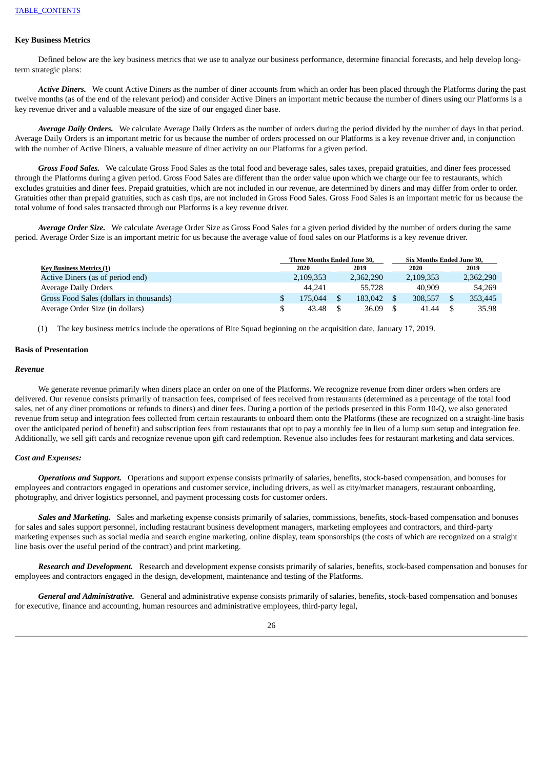#### **Key Business Metrics**

Defined below are the key business metrics that we use to analyze our business performance, determine financial forecasts, and help develop longterm strategic plans:

*Active Diners.* We count Active Diners as the number of diner accounts from which an order has been placed through the Platforms during the past twelve months (as of the end of the relevant period) and consider Active Diners an important metric because the number of diners using our Platforms is a key revenue driver and a valuable measure of the size of our engaged diner base.

*Average Daily Orders.* We calculate Average Daily Orders as the number of orders during the period divided by the number of days in that period. Average Daily Orders is an important metric for us because the number of orders processed on our Platforms is a key revenue driver and, in conjunction with the number of Active Diners, a valuable measure of diner activity on our Platforms for a given period.

*Gross Food Sales.* We calculate Gross Food Sales as the total food and beverage sales, sales taxes, prepaid gratuities, and diner fees processed through the Platforms during a given period. Gross Food Sales are different than the order value upon which we charge our fee to restaurants, which excludes gratuities and diner fees. Prepaid gratuities, which are not included in our revenue, are determined by diners and may differ from order to order. Gratuities other than prepaid gratuities, such as cash tips, are not included in Gross Food Sales. Gross Food Sales is an important metric for us because the total volume of food sales transacted through our Platforms is a key revenue driver.

*Average Order Size.* We calculate Average Order Size as Gross Food Sales for a given period divided by the number of orders during the same period. Average Order Size is an important metric for us because the average value of food sales on our Platforms is a key revenue driver.

|                                         | Three Months Ended June 30, |  |           | Six Months Ended June 30, |  |           |
|-----------------------------------------|-----------------------------|--|-----------|---------------------------|--|-----------|
| <b>Key Business Metrics (1)</b>         | 2020                        |  | 2019      | 2020                      |  | 2019      |
| Active Diners (as of period end)        | 2,109,353                   |  | 2,362,290 | 2,109,353                 |  | 2,362,290 |
| Average Daily Orders                    | 44.241                      |  | 55.728    | 40.909                    |  | 54.269    |
| Gross Food Sales (dollars in thousands) | 175.044                     |  | 183,042   | 308,557                   |  | 353,445   |
| Average Order Size (in dollars)         | 43.48                       |  | 36.09     | 41.44                     |  | 35.98     |

(1) The key business metrics include the operations of Bite Squad beginning on the acquisition date, January 17, 2019.

#### **Basis of Presentation**

#### *Revenue*

We generate revenue primarily when diners place an order on one of the Platforms. We recognize revenue from diner orders when orders are delivered. Our revenue consists primarily of transaction fees, comprised of fees received from restaurants (determined as a percentage of the total food sales, net of any diner promotions or refunds to diners) and diner fees. During a portion of the periods presented in this Form 10-Q, we also generated revenue from setup and integration fees collected from certain restaurants to onboard them onto the Platforms (these are recognized on a straight-line basis over the anticipated period of benefit) and subscription fees from restaurants that opt to pay a monthly fee in lieu of a lump sum setup and integration fee. Additionally, we sell gift cards and recognize revenue upon gift card redemption. Revenue also includes fees for restaurant marketing and data services.

#### *Cost and Expenses:*

*Operations and Support.* Operations and support expense consists primarily of salaries, benefits, stock-based compensation, and bonuses for employees and contractors engaged in operations and customer service, including drivers, as well as city/market managers, restaurant onboarding, photography, and driver logistics personnel, and payment processing costs for customer orders.

*Sales and Marketing.* Sales and marketing expense consists primarily of salaries, commissions, benefits, stock-based compensation and bonuses for sales and sales support personnel, including restaurant business development managers, marketing employees and contractors, and third-party marketing expenses such as social media and search engine marketing, online display, team sponsorships (the costs of which are recognized on a straight line basis over the useful period of the contract) and print marketing.

*Research and Development.* Research and development expense consists primarily of salaries, benefits, stock-based compensation and bonuses for employees and contractors engaged in the design, development, maintenance and testing of the Platforms.

*General and Administrative.* General and administrative expense consists primarily of salaries, benefits, stock-based compensation and bonuses for executive, finance and accounting, human resources and administrative employees, third-party legal,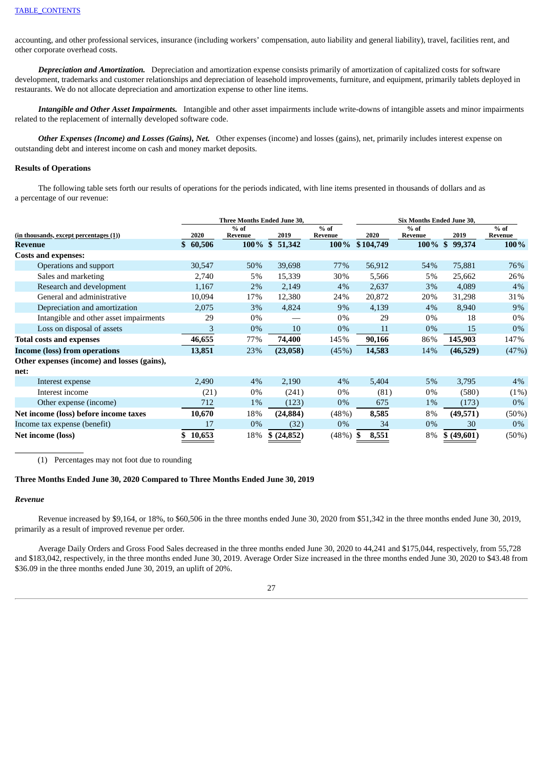accounting, and other professional services, insurance (including workers' compensation, auto liability and general liability), travel, facilities rent, and other corporate overhead costs.

*Depreciation and Amortization.* Depreciation and amortization expense consists primarily of amortization of capitalized costs for software development, trademarks and customer relationships and depreciation of leasehold improvements, furniture, and equipment, primarily tablets deployed in restaurants. We do not allocate depreciation and amortization expense to other line items.

*Intangible and Other Asset Impairments.* Intangible and other asset impairments include write-downs of intangible assets and minor impairments related to the replacement of internally developed software code.

*Other Expenses (Income) and Losses (Gains), Net.* Other expenses (income) and losses (gains), net, primarily includes interest expense on outstanding debt and interest income on cash and money market deposits.

#### **Results of Operations**

The following table sets forth our results of operations for the periods indicated, with line items presented in thousands of dollars and as a percentage of our revenue:

|                                             | Three Months Ended June 30, |            |            | <b>Six Months Ended June 30,</b> |           |                          |             |                   |
|---------------------------------------------|-----------------------------|------------|------------|----------------------------------|-----------|--------------------------|-------------|-------------------|
| (in thousands, except percentages (1))      | $%$ of<br>2020<br>Revenue   |            | 2019       | $%$ of<br>Revenue                | 2020      | $%$ of<br><b>Revenue</b> | 2019        | $%$ of<br>Revenue |
| <b>Revenue</b>                              | \$60,506                    | $100\%$ \$ | 51,342     | 100%                             | \$104,749 | $100\%$ \$               | 99,374      | 100%              |
| <b>Costs and expenses:</b>                  |                             |            |            |                                  |           |                          |             |                   |
| Operations and support                      | 30,547                      | 50%        | 39,698     | 77%                              | 56,912    | 54%                      | 75,881      | 76%               |
| Sales and marketing                         | 2,740                       | 5%         | 15,339     | 30%                              | 5,566     | 5%                       | 25,662      | 26%               |
| Research and development                    | 1,167                       | 2%         | 2,149      | 4%                               | 2,637     | 3%                       | 4,089       | 4%                |
| General and administrative                  | 10,094                      | 17%        | 12,380     | 24%                              | 20,872    | 20%                      | 31,298      | 31%               |
| Depreciation and amortization               | 2,075                       | 3%         | 4,824      | 9%                               | 4,139     | 4%                       | 8,940       | 9%                |
| Intangible and other asset impairments      | 29                          | $0\%$      |            | $0\%$                            | 29        | $0\%$                    | 18          | 0%                |
| Loss on disposal of assets                  | 3                           | $0\%$      | 10         | $0\%$                            | 11        | $0\%$                    | 15          | 0%                |
| <b>Total costs and expenses</b>             | 46,655                      | 77%        | 74,400     | 145%                             | 90,166    | 86%                      | 145,903     | 147%              |
| <b>Income (loss) from operations</b>        | 13,851                      | 23%        | (23,058)   | (45%)                            | 14,583    | 14%                      | (46, 529)   | (47%)             |
| Other expenses (income) and losses (gains), |                             |            |            |                                  |           |                          |             |                   |
| net:                                        |                             |            |            |                                  |           |                          |             |                   |
| Interest expense                            | 2,490                       | 4%         | 2,190      | $4\%$                            | 5,404     | 5%                       | 3,795       | 4%                |
| Interest income                             | (21)                        | $0\%$      | (241)      | $0\%$                            | (81)      | $0\%$                    | (580)       | (1%)              |
| Other expense (income)                      | 712                         | $1\%$      | (123)      | $0\%$                            | 675       | $1\%$                    | (173)       | 0%                |
| Net income (loss) before income taxes       | 10,670                      | 18%        | (24, 884)  | (48%)                            | 8,585     | 8%                       | (49, 571)   | $(50\%)$          |
| Income tax expense (benefit)                | 17                          | $0\%$      | (32)       | $0\%$                            | 34        | $0\%$                    | 30          | 0%                |
| Net income (loss)                           | 10,653                      | 18%        | \$(24,852) | (48%)                            | 8,551     | 8%                       | \$ (49,601) | $(50\%)$          |

(1) Percentages may not foot due to rounding

### **Three Months Ended June 30, 2020 Compared to Three Months Ended June 30, 2019**

#### *Revenue*

Revenue increased by \$9,164, or 18%, to \$60,506 in the three months ended June 30, 2020 from \$51,342 in the three months ended June 30, 2019, primarily as a result of improved revenue per order.

Average Daily Orders and Gross Food Sales decreased in the three months ended June 30, 2020 to 44,241 and \$175,044, respectively, from 55,728 and \$183,042, respectively, in the three months ended June 30, 2019. Average Order Size increased in the three months ended June 30, 2020 to \$43.48 from \$36.09 in the three months ended June 30, 2019, an uplift of 20%.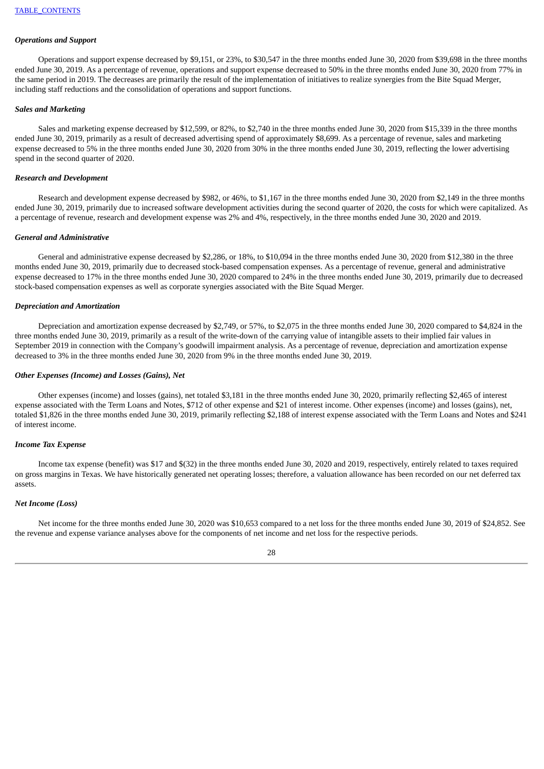#### *Operations and Support*

Operations and support expense decreased by \$9,151, or 23%, to \$30,547 in the three months ended June 30, 2020 from \$39,698 in the three months ended June 30, 2019. As a percentage of revenue, operations and support expense decreased to 50% in the three months ended June 30, 2020 from 77% in the same period in 2019. The decreases are primarily the result of the implementation of initiatives to realize synergies from the Bite Squad Merger, including staff reductions and the consolidation of operations and support functions.

#### *Sales and Marketing*

Sales and marketing expense decreased by \$12,599, or 82%, to \$2,740 in the three months ended June 30, 2020 from \$15,339 in the three months ended June 30, 2019, primarily as a result of decreased advertising spend of approximately \$8,699. As a percentage of revenue, sales and marketing expense decreased to 5% in the three months ended June 30, 2020 from 30% in the three months ended June 30, 2019, reflecting the lower advertising spend in the second quarter of 2020.

#### *Research and Development*

Research and development expense decreased by \$982, or 46%, to \$1,167 in the three months ended June 30, 2020 from \$2,149 in the three months ended June 30, 2019, primarily due to increased software development activities during the second quarter of 2020, the costs for which were capitalized. As a percentage of revenue, research and development expense was 2% and 4%, respectively, in the three months ended June 30, 2020 and 2019.

#### *General and Administrative*

General and administrative expense decreased by \$2,286, or 18%, to \$10,094 in the three months ended June 30, 2020 from \$12,380 in the three months ended June 30, 2019, primarily due to decreased stock-based compensation expenses. As a percentage of revenue, general and administrative expense decreased to 17% in the three months ended June 30, 2020 compared to 24% in the three months ended June 30, 2019, primarily due to decreased stock-based compensation expenses as well as corporate synergies associated with the Bite Squad Merger.

#### *Depreciation and Amortization*

Depreciation and amortization expense decreased by \$2,749, or 57%, to \$2,075 in the three months ended June 30, 2020 compared to \$4,824 in the three months ended June 30, 2019, primarily as a result of the write-down of the carrying value of intangible assets to their implied fair values in September 2019 in connection with the Company's goodwill impairment analysis. As a percentage of revenue, depreciation and amortization expense decreased to 3% in the three months ended June 30, 2020 from 9% in the three months ended June 30, 2019.

### *Other Expenses (Income) and Losses (Gains), Net*

Other expenses (income) and losses (gains), net totaled \$3,181 in the three months ended June 30, 2020, primarily reflecting \$2,465 of interest expense associated with the Term Loans and Notes, \$712 of other expense and \$21 of interest income. Other expenses (income) and losses (gains), net, totaled \$1,826 in the three months ended June 30, 2019, primarily reflecting \$2,188 of interest expense associated with the Term Loans and Notes and \$241 of interest income.

### *Income Tax Expense*

Income tax expense (benefit) was \$17 and \$(32) in the three months ended June 30, 2020 and 2019, respectively, entirely related to taxes required on gross margins in Texas. We have historically generated net operating losses; therefore, a valuation allowance has been recorded on our net deferred tax assets.

#### *Net Income (Loss)*

Net income for the three months ended June 30, 2020 was \$10,653 compared to a net loss for the three months ended June 30, 2019 of \$24,852. See the revenue and expense variance analyses above for the components of net income and net loss for the respective periods.

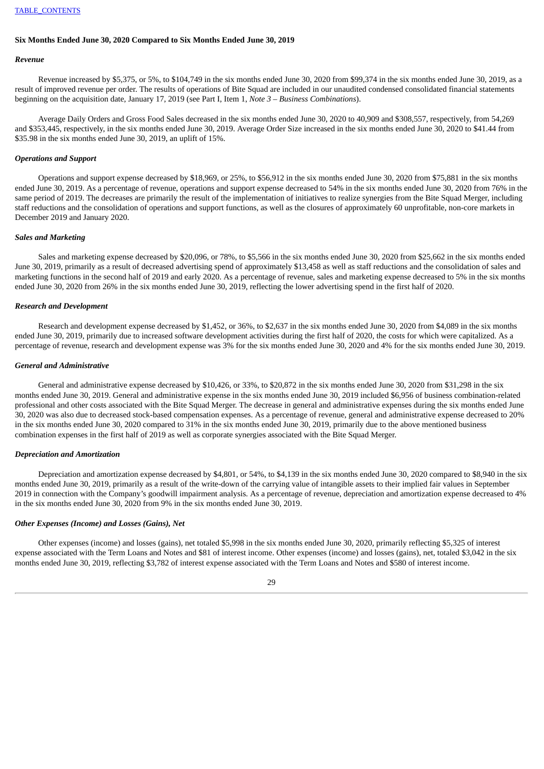# **Six Months Ended June 30, 2020 Compared to Six Months Ended June 30, 2019**

# *Revenue*

Revenue increased by \$5,375, or 5%, to \$104,749 in the six months ended June 30, 2020 from \$99,374 in the six months ended June 30, 2019, as a result of improved revenue per order. The results of operations of Bite Squad are included in our unaudited condensed consolidated financial statements beginning on the acquisition date, January 17, 2019 (see Part I, Item 1, *Note 3 – Business Combinations*).

Average Daily Orders and Gross Food Sales decreased in the six months ended June 30, 2020 to 40,909 and \$308,557, respectively, from 54,269 and \$353,445, respectively, in the six months ended June 30, 2019. Average Order Size increased in the six months ended June 30, 2020 to \$41.44 from \$35.98 in the six months ended June 30, 2019, an uplift of 15%.

# *Operations and Support*

Operations and support expense decreased by \$18,969, or 25%, to \$56,912 in the six months ended June 30, 2020 from \$75,881 in the six months ended June 30, 2019. As a percentage of revenue, operations and support expense decreased to 54% in the six months ended June 30, 2020 from 76% in the same period of 2019. The decreases are primarily the result of the implementation of initiatives to realize synergies from the Bite Squad Merger, including staff reductions and the consolidation of operations and support functions, as well as the closures of approximately 60 unprofitable, non-core markets in December 2019 and January 2020.

# *Sales and Marketing*

Sales and marketing expense decreased by \$20,096, or 78%, to \$5,566 in the six months ended June 30, 2020 from \$25,662 in the six months ended June 30, 2019, primarily as a result of decreased advertising spend of approximately \$13,458 as well as staff reductions and the consolidation of sales and marketing functions in the second half of 2019 and early 2020. As a percentage of revenue, sales and marketing expense decreased to 5% in the six months ended June 30, 2020 from 26% in the six months ended June 30, 2019, reflecting the lower advertising spend in the first half of 2020.

#### *Research and Development*

Research and development expense decreased by \$1,452, or 36%, to \$2,637 in the six months ended June 30, 2020 from \$4,089 in the six months ended June 30, 2019, primarily due to increased software development activities during the first half of 2020, the costs for which were capitalized. As a percentage of revenue, research and development expense was 3% for the six months ended June 30, 2020 and 4% for the six months ended June 30, 2019.

#### *General and Administrative*

General and administrative expense decreased by \$10,426, or 33%, to \$20,872 in the six months ended June 30, 2020 from \$31,298 in the six months ended June 30, 2019. General and administrative expense in the six months ended June 30, 2019 included \$6,956 of business combination-related professional and other costs associated with the Bite Squad Merger. The decrease in general and administrative expenses during the six months ended June 30, 2020 was also due to decreased stock-based compensation expenses. As a percentage of revenue, general and administrative expense decreased to 20% in the six months ended June 30, 2020 compared to 31% in the six months ended June 30, 2019, primarily due to the above mentioned business combination expenses in the first half of 2019 as well as corporate synergies associated with the Bite Squad Merger.

#### *Depreciation and Amortization*

Depreciation and amortization expense decreased by \$4,801, or 54%, to \$4,139 in the six months ended June 30, 2020 compared to \$8,940 in the six months ended June 30, 2019, primarily as a result of the write-down of the carrying value of intangible assets to their implied fair values in September 2019 in connection with the Company's goodwill impairment analysis. As a percentage of revenue, depreciation and amortization expense decreased to 4% in the six months ended June 30, 2020 from 9% in the six months ended June 30, 2019.

#### *Other Expenses (Income) and Losses (Gains), Net*

Other expenses (income) and losses (gains), net totaled \$5,998 in the six months ended June 30, 2020, primarily reflecting \$5,325 of interest expense associated with the Term Loans and Notes and \$81 of interest income. Other expenses (income) and losses (gains), net, totaled \$3,042 in the six months ended June 30, 2019, reflecting \$3,782 of interest expense associated with the Term Loans and Notes and \$580 of interest income.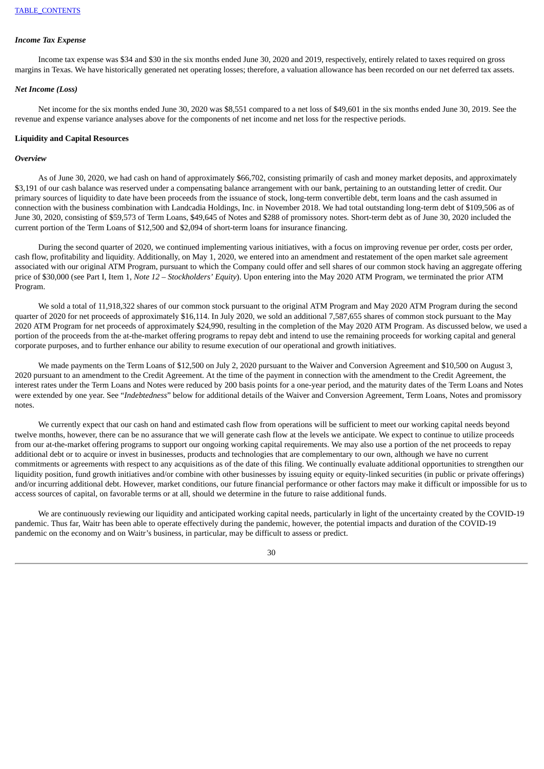#### *Income Tax Expense*

Income tax expense was \$34 and \$30 in the six months ended June 30, 2020 and 2019, respectively, entirely related to taxes required on gross margins in Texas. We have historically generated net operating losses; therefore, a valuation allowance has been recorded on our net deferred tax assets.

#### *Net Income (Loss)*

Net income for the six months ended June 30, 2020 was \$8,551 compared to a net loss of \$49,601 in the six months ended June 30, 2019. See the revenue and expense variance analyses above for the components of net income and net loss for the respective periods.

### **Liquidity and Capital Resources**

#### *Overview*

As of June 30, 2020, we had cash on hand of approximately \$66,702, consisting primarily of cash and money market deposits, and approximately \$3,191 of our cash balance was reserved under a compensating balance arrangement with our bank, pertaining to an outstanding letter of credit. Our primary sources of liquidity to date have been proceeds from the issuance of stock, long-term convertible debt, term loans and the cash assumed in connection with the business combination with Landcadia Holdings, Inc. in November 2018. We had total outstanding long-term debt of \$109,506 as of June 30, 2020, consisting of \$59,573 of Term Loans, \$49,645 of Notes and \$288 of promissory notes. Short-term debt as of June 30, 2020 included the current portion of the Term Loans of \$12,500 and \$2,094 of short-term loans for insurance financing.

During the second quarter of 2020, we continued implementing various initiatives, with a focus on improving revenue per order, costs per order, cash flow, profitability and liquidity. Additionally, on May 1, 2020, we entered into an amendment and restatement of the open market sale agreement associated with our original ATM Program, pursuant to which the Company could offer and sell shares of our common stock having an aggregate offering price of \$30,000 (see Part I, Item 1, *Note 12 – Stockholders' Equity*). Upon entering into the May 2020 ATM Program, we terminated the prior ATM Program.

We sold a total of 11,918,322 shares of our common stock pursuant to the original ATM Program and May 2020 ATM Program during the second quarter of 2020 for net proceeds of approximately \$16,114. In July 2020, we sold an additional 7,587,655 shares of common stock pursuant to the May 2020 ATM Program for net proceeds of approximately \$24,990, resulting in the completion of the May 2020 ATM Program. As discussed below, we used a portion of the proceeds from the at-the-market offering programs to repay debt and intend to use the remaining proceeds for working capital and general corporate purposes, and to further enhance our ability to resume execution of our operational and growth initiatives.

We made payments on the Term Loans of \$12,500 on July 2, 2020 pursuant to the Waiver and Conversion Agreement and \$10,500 on August 3, 2020 pursuant to an amendment to the Credit Agreement. At the time of the payment in connection with the amendment to the Credit Agreement, the interest rates under the Term Loans and Notes were reduced by 200 basis points for a one-year period, and the maturity dates of the Term Loans and Notes were extended by one year. See "*Indebtedness*" below for additional details of the Waiver and Conversion Agreement, Term Loans, Notes and promissory notes.

We currently expect that our cash on hand and estimated cash flow from operations will be sufficient to meet our working capital needs beyond twelve months, however, there can be no assurance that we will generate cash flow at the levels we anticipate. We expect to continue to utilize proceeds from our at-the-market offering programs to support our ongoing working capital requirements. We may also use a portion of the net proceeds to repay additional debt or to acquire or invest in businesses, products and technologies that are complementary to our own, although we have no current commitments or agreements with respect to any acquisitions as of the date of this filing. We continually evaluate additional opportunities to strengthen our liquidity position, fund growth initiatives and/or combine with other businesses by issuing equity or equity-linked securities (in public or private offerings) and/or incurring additional debt. However, market conditions, our future financial performance or other factors may make it difficult or impossible for us to access sources of capital, on favorable terms or at all, should we determine in the future to raise additional funds.

We are continuously reviewing our liquidity and anticipated working capital needs, particularly in light of the uncertainty created by the COVID-19 pandemic. Thus far, Waitr has been able to operate effectively during the pandemic, however, the potential impacts and duration of the COVID-19 pandemic on the economy and on Waitr's business, in particular, may be difficult to assess or predict.

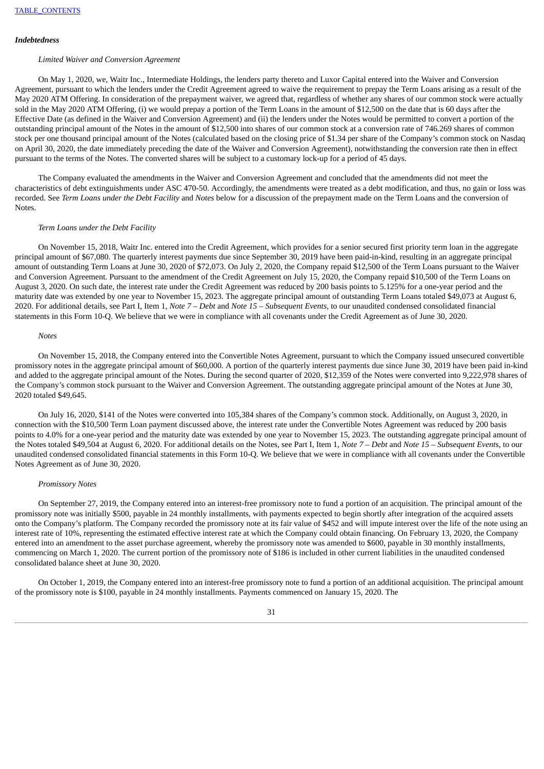#### *Indebtedness*

### *Limited Waiver and Conversion Agreement*

On May 1, 2020, we, Waitr Inc., Intermediate Holdings, the lenders party thereto and Luxor Capital entered into the Waiver and Conversion Agreement, pursuant to which the lenders under the Credit Agreement agreed to waive the requirement to prepay the Term Loans arising as a result of the May 2020 ATM Offering. In consideration of the prepayment waiver, we agreed that, regardless of whether any shares of our common stock were actually sold in the May 2020 ATM Offering, (i) we would prepay a portion of the Term Loans in the amount of \$12,500 on the date that is 60 days after the Effective Date (as defined in the Waiver and Conversion Agreement) and (ii) the lenders under the Notes would be permitted to convert a portion of the outstanding principal amount of the Notes in the amount of \$12,500 into shares of our common stock at a conversion rate of 746.269 shares of common stock per one thousand principal amount of the Notes (calculated based on the closing price of \$1.34 per share of the Company's common stock on Nasdaq on April 30, 2020, the date immediately preceding the date of the Waiver and Conversion Agreement), notwithstanding the conversion rate then in effect pursuant to the terms of the Notes. The converted shares will be subject to a customary lock-up for a period of 45 days.

The Company evaluated the amendments in the Waiver and Conversion Agreement and concluded that the amendments did not meet the characteristics of debt extinguishments under ASC 470-50. Accordingly, the amendments were treated as a debt modification, and thus, no gain or loss was recorded. See *Term Loans under the Debt Facility* and *Notes* below for a discussion of the prepayment made on the Term Loans and the conversion of **Notes** 

#### *Term Loans under the Debt Facility*

On November 15, 2018, Waitr Inc. entered into the Credit Agreement, which provides for a senior secured first priority term loan in the aggregate principal amount of \$67,080. The quarterly interest payments due since September 30, 2019 have been paid-in-kind, resulting in an aggregate principal amount of outstanding Term Loans at June 30, 2020 of \$72,073. On July 2, 2020, the Company repaid \$12,500 of the Term Loans pursuant to the Waiver and Conversion Agreement. Pursuant to the amendment of the Credit Agreement on July 15, 2020, the Company repaid \$10,500 of the Term Loans on August 3, 2020. On such date, the interest rate under the Credit Agreement was reduced by 200 basis points to 5.125% for a one-year period and the maturity date was extended by one year to November 15, 2023. The aggregate principal amount of outstanding Term Loans totaled \$49,073 at August 6, 2020. For additional details, see Part I, Item 1, *Note 7 – Debt* and *Note 15 – Subsequent Events*, to our unaudited condensed consolidated financial statements in this Form 10-Q. We believe that we were in compliance with all covenants under the Credit Agreement as of June 30, 2020.

#### *Notes*

On November 15, 2018, the Company entered into the Convertible Notes Agreement, pursuant to which the Company issued unsecured convertible promissory notes in the aggregate principal amount of \$60,000. A portion of the quarterly interest payments due since June 30, 2019 have been paid in-kind and added to the aggregate principal amount of the Notes. During the second quarter of 2020, \$12,359 of the Notes were converted into 9,222,978 shares of the Company's common stock pursuant to the Waiver and Conversion Agreement. The outstanding aggregate principal amount of the Notes at June 30, 2020 totaled \$49,645.

On July 16, 2020, \$141 of the Notes were converted into 105,384 shares of the Company's common stock. Additionally, on August 3, 2020, in connection with the \$10,500 Term Loan payment discussed above, the interest rate under the Convertible Notes Agreement was reduced by 200 basis points to 4.0% for a one-year period and the maturity date was extended by one year to November 15, 2023. The outstanding aggregate principal amount of the Notes totaled \$49,504 at August 6, 2020. For additional details on the Notes, see Part I, Item 1, *Note 7 – Debt* and *Note 15 – Subsequent Event*s, to our unaudited condensed consolidated financial statements in this Form 10-Q. We believe that we were in compliance with all covenants under the Convertible Notes Agreement as of June 30, 2020.

#### *Promissory Notes*

On September 27, 2019, the Company entered into an interest-free promissory note to fund a portion of an acquisition. The principal amount of the promissory note was initially \$500, payable in 24 monthly installments, with payments expected to begin shortly after integration of the acquired assets onto the Company's platform. The Company recorded the promissory note at its fair value of \$452 and will impute interest over the life of the note using an interest rate of 10%, representing the estimated effective interest rate at which the Company could obtain financing. On February 13, 2020, the Company entered into an amendment to the asset purchase agreement, whereby the promissory note was amended to \$600, payable in 30 monthly installments, commencing on March 1, 2020. The current portion of the promissory note of \$186 is included in other current liabilities in the unaudited condensed consolidated balance sheet at June 30, 2020.

On October 1, 2019, the Company entered into an interest-free promissory note to fund a portion of an additional acquisition. The principal amount of the promissory note is \$100, payable in 24 monthly installments. Payments commenced on January 15, 2020. The

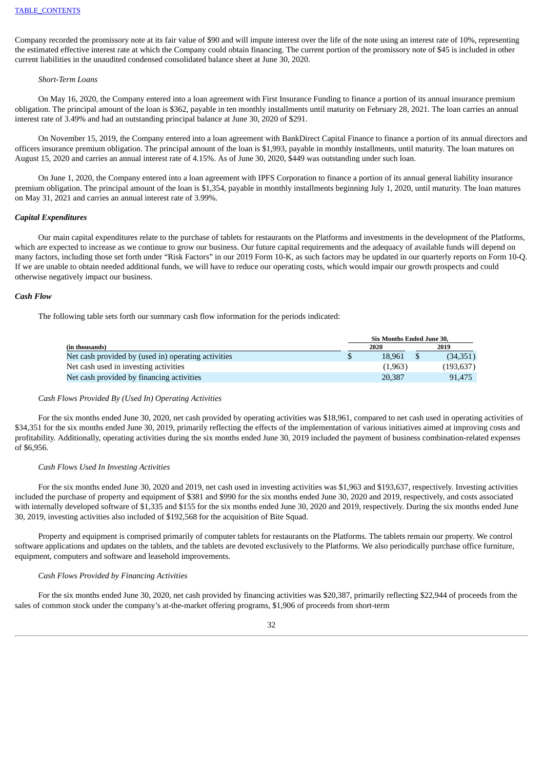Company recorded the promissory note at its fair value of \$90 and will impute interest over the life of the note using an interest rate of 10%, representing the estimated effective interest rate at which the Company could obtain financing. The current portion of the promissory note of \$45 is included in other current liabilities in the unaudited condensed consolidated balance sheet at June 30, 2020.

#### *Short-Term Loans*

On May 16, 2020, the Company entered into a loan agreement with First Insurance Funding to finance a portion of its annual insurance premium obligation. The principal amount of the loan is \$362, payable in ten monthly installments until maturity on February 28, 2021. The loan carries an annual interest rate of 3.49% and had an outstanding principal balance at June 30, 2020 of \$291.

On November 15, 2019, the Company entered into a loan agreement with BankDirect Capital Finance to finance a portion of its annual directors and officers insurance premium obligation. The principal amount of the loan is \$1,993, payable in monthly installments, until maturity. The loan matures on August 15, 2020 and carries an annual interest rate of 4.15%. As of June 30, 2020, \$449 was outstanding under such loan.

On June 1, 2020, the Company entered into a loan agreement with IPFS Corporation to finance a portion of its annual general liability insurance premium obligation. The principal amount of the loan is \$1,354, payable in monthly installments beginning July 1, 2020, until maturity. The loan matures on May 31, 2021 and carries an annual interest rate of 3.99%.

### *Capital Expenditures*

Our main capital expenditures relate to the purchase of tablets for restaurants on the Platforms and investments in the development of the Platforms, which are expected to increase as we continue to grow our business. Our future capital requirements and the adequacy of available funds will depend on many factors, including those set forth under "Risk Factors" in our 2019 Form 10-K, as such factors may be updated in our quarterly reports on Form 10-Q. If we are unable to obtain needed additional funds, we will have to reduce our operating costs, which would impair our growth prospects and could otherwise negatively impact our business.

#### *Cash Flow*

The following table sets forth our summary cash flow information for the periods indicated:

|                                                     | <b>Six Months Ended June 30,</b> |            |          |
|-----------------------------------------------------|----------------------------------|------------|----------|
| (in thousands)                                      | 2019<br>2020                     |            |          |
| Net cash provided by (used in) operating activities | 18.961                           |            | (34,351) |
| Net cash used in investing activities               | (1,963)                          | (193, 637) |          |
| Net cash provided by financing activities           | 20,387                           | 91.475     |          |

#### *Cash Flows Provided By (Used In) Operating Activities*

For the six months ended June 30, 2020, net cash provided by operating activities was \$18,961, compared to net cash used in operating activities of \$34,351 for the six months ended June 30, 2019, primarily reflecting the effects of the implementation of various initiatives aimed at improving costs and profitability. Additionally, operating activities during the six months ended June 30, 2019 included the payment of business combination-related expenses of \$6,956.

### *Cash Flows Used In Investing Activities*

For the six months ended June 30, 2020 and 2019, net cash used in investing activities was \$1,963 and \$193,637, respectively. Investing activities included the purchase of property and equipment of \$381 and \$990 for the six months ended June 30, 2020 and 2019, respectively, and costs associated with internally developed software of \$1,335 and \$155 for the six months ended June 30, 2020 and 2019, respectively. During the six months ended June 30, 2019, investing activities also included of \$192,568 for the acquisition of Bite Squad.

Property and equipment is comprised primarily of computer tablets for restaurants on the Platforms. The tablets remain our property. We control software applications and updates on the tablets, and the tablets are devoted exclusively to the Platforms. We also periodically purchase office furniture, equipment, computers and software and leasehold improvements.

### *Cash Flows Provided by Financing Activities*

For the six months ended June 30, 2020, net cash provided by financing activities was \$20,387, primarily reflecting \$22,944 of proceeds from the sales of common stock under the company's at-the-market offering programs, \$1,906 of proceeds from short-term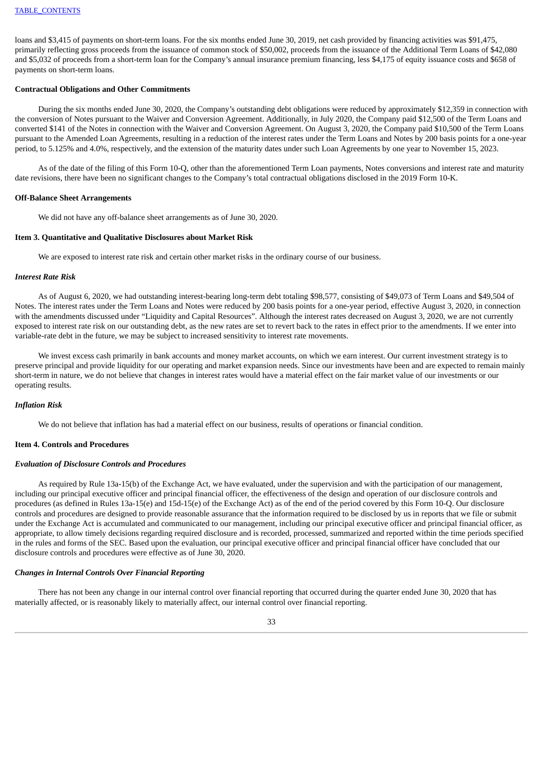loans and \$3,415 of payments on short-term loans. For the six months ended June 30, 2019, net cash provided by financing activities was \$91,475, primarily reflecting gross proceeds from the issuance of common stock of \$50,002, proceeds from the issuance of the Additional Term Loans of \$42,080 and \$5,032 of proceeds from a short-term loan for the Company's annual insurance premium financing, less \$4,175 of equity issuance costs and \$658 of payments on short-term loans.

#### **Contractual Obligations and Other Commitments**

During the six months ended June 30, 2020, the Company's outstanding debt obligations were reduced by approximately \$12,359 in connection with the conversion of Notes pursuant to the Waiver and Conversion Agreement. Additionally, in July 2020, the Company paid \$12,500 of the Term Loans and converted \$141 of the Notes in connection with the Waiver and Conversion Agreement. On August 3, 2020, the Company paid \$10,500 of the Term Loans pursuant to the Amended Loan Agreements, resulting in a reduction of the interest rates under the Term Loans and Notes by 200 basis points for a one-year period, to 5.125% and 4.0%, respectively, and the extension of the maturity dates under such Loan Agreements by one year to November 15, 2023.

As of the date of the filing of this Form 10-Q, other than the aforementioned Term Loan payments, Notes conversions and interest rate and maturity date revisions, there have been no significant changes to the Company's total contractual obligations disclosed in the 2019 Form 10-K.

#### **Off-Balance Sheet Arrangements**

We did not have any off-balance sheet arrangements as of June 30, 2020.

#### <span id="page-34-0"></span>**Item 3. Quantitative and Qualitative Disclosures about Market Risk**

We are exposed to interest rate risk and certain other market risks in the ordinary course of our business.

### *Interest Rate Risk*

As of August 6, 2020, we had outstanding interest-bearing long-term debt totaling \$98,577, consisting of \$49,073 of Term Loans and \$49,504 of Notes. The interest rates under the Term Loans and Notes were reduced by 200 basis points for a one-year period, effective August 3, 2020, in connection with the amendments discussed under "Liquidity and Capital Resources". Although the interest rates decreased on August 3, 2020, we are not currently exposed to interest rate risk on our outstanding debt, as the new rates are set to revert back to the rates in effect prior to the amendments. If we enter into variable-rate debt in the future, we may be subject to increased sensitivity to interest rate movements.

We invest excess cash primarily in bank accounts and money market accounts, on which we earn interest. Our current investment strategy is to preserve principal and provide liquidity for our operating and market expansion needs. Since our investments have been and are expected to remain mainly short-term in nature, we do not believe that changes in interest rates would have a material effect on the fair market value of our investments or our operating results.

### *Inflation Risk*

We do not believe that inflation has had a material effect on our business, results of operations or financial condition.

### <span id="page-34-1"></span>**Item 4. Controls and Procedures**

#### *Evaluation of Disclosure Controls and Procedures*

As required by Rule 13a-15(b) of the Exchange Act, we have evaluated, under the supervision and with the participation of our management, including our principal executive officer and principal financial officer, the effectiveness of the design and operation of our disclosure controls and procedures (as defined in Rules 13a-15(e) and 15d-15(e) of the Exchange Act) as of the end of the period covered by this Form 10-Q. Our disclosure controls and procedures are designed to provide reasonable assurance that the information required to be disclosed by us in reports that we file or submit under the Exchange Act is accumulated and communicated to our management, including our principal executive officer and principal financial officer, as appropriate, to allow timely decisions regarding required disclosure and is recorded, processed, summarized and reported within the time periods specified in the rules and forms of the SEC. Based upon the evaluation, our principal executive officer and principal financial officer have concluded that our disclosure controls and procedures were effective as of June 30, 2020.

#### *Changes in Internal Controls Over Financial Reporting*

There has not been any change in our internal control over financial reporting that occurred during the quarter ended June 30, 2020 that has materially affected, or is reasonably likely to materially affect, our internal control over financial reporting.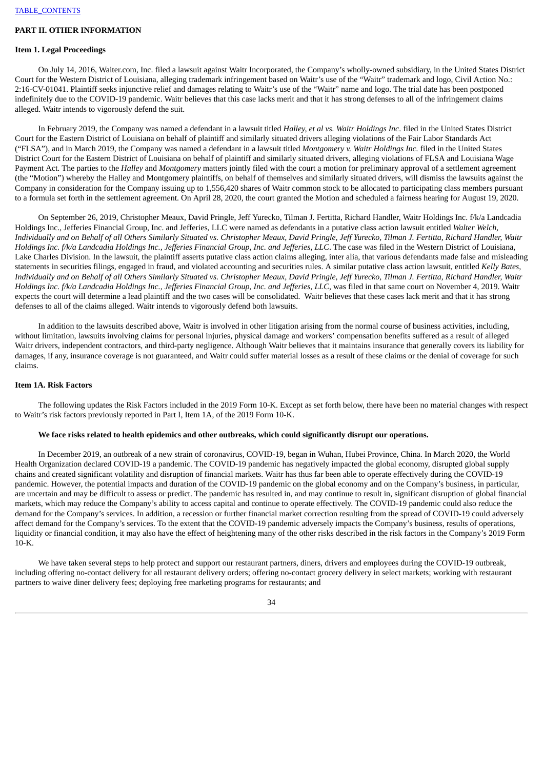## <span id="page-35-0"></span>**PART II. OTHER INFORMATION**

#### <span id="page-35-1"></span>**Item 1. Legal Proceedings**

On July 14, 2016, Waiter.com, Inc. filed a lawsuit against Waitr Incorporated, the Company's wholly-owned subsidiary, in the United States District Court for the Western District of Louisiana, alleging trademark infringement based on Waitr's use of the "Waitr" trademark and logo, Civil Action No.: 2:16-CV-01041. Plaintiff seeks injunctive relief and damages relating to Waitr's use of the "Waitr" name and logo. The trial date has been postponed indefinitely due to the COVID-19 pandemic. Waitr believes that this case lacks merit and that it has strong defenses to all of the infringement claims alleged. Waitr intends to vigorously defend the suit.

In February 2019, the Company was named a defendant in a lawsuit titled *Halley, et al vs. Waitr Holdings Inc*. filed in the United States District Court for the Eastern District of Louisiana on behalf of plaintiff and similarly situated drivers alleging violations of the Fair Labor Standards Act ("FLSA"), and in March 2019, the Company was named a defendant in a lawsuit titled *Montgomery v. Waitr Holdings Inc.* filed in the United States District Court for the Eastern District of Louisiana on behalf of plaintiff and similarly situated drivers, alleging violations of FLSA and Louisiana Wage Payment Act. The parties to the *Halley* and *Montgomery* matters jointly filed with the court a motion for preliminary approval of a settlement agreement (the "Motion") whereby the Halley and Montgomery plaintiffs, on behalf of themselves and similarly situated drivers, will dismiss the lawsuits against the Company in consideration for the Company issuing up to 1,556,420 shares of Waitr common stock to be allocated to participating class members pursuant to a formula set forth in the settlement agreement. On April 28, 2020, the court granted the Motion and scheduled a fairness hearing for August 19, 2020.

On September 26, 2019, Christopher Meaux, David Pringle, Jeff Yurecko, Tilman J. Fertitta, Richard Handler, Waitr Holdings Inc. f/k/a Landcadia Holdings Inc., Jefferies Financial Group, Inc. and Jefferies, LLC were named as defendants in a putative class action lawsuit entitled *Walter Welch,* Individually and on Behalf of all Others Similarly Situated vs. Christopher Meaux, David Pringle, Jeff Yurecko, Tilman J. Fertitta, Richard Handler, Waitr Holdings Inc. f/k/a Landcadia Holdings Inc., Jefferies Financial Group, Inc. and Jefferies, LLC. The case was filed in the Western District of Louisiana, Lake Charles Division. In the lawsuit, the plaintiff asserts putative class action claims alleging, inter alia, that various defendants made false and misleading statements in securities filings, engaged in fraud, and violated accounting and securities rules. A similar putative class action lawsuit, entitled *Kelly Bates,* Individually and on Behalf of all Others Similarly Situated vs. Christopher Meaux, David Pringle, Jeff Yurecko, Tilman J. Fertitta, Richard Handler, Waitr Holdings Inc. f/k/a Landcadia Holdings Inc., Jefferies Financial Group, Inc. and Jefferies, LLC, was filed in that same court on November 4, 2019. Waitr expects the court will determine a lead plaintiff and the two cases will be consolidated. Waitr believes that these cases lack merit and that it has strong defenses to all of the claims alleged. Waitr intends to vigorously defend both lawsuits.

In addition to the lawsuits described above, Waitr is involved in other litigation arising from the normal course of business activities, including, without limitation, lawsuits involving claims for personal injuries, physical damage and workers' compensation benefits suffered as a result of alleged Waitr drivers, independent contractors, and third-party negligence. Although Waitr believes that it maintains insurance that generally covers its liability for damages, if any, insurance coverage is not guaranteed, and Waitr could suffer material losses as a result of these claims or the denial of coverage for such claims.

# <span id="page-35-2"></span>**Item 1A. Risk Factors**

The following updates the Risk Factors included in the 2019 Form 10-K. Except as set forth below, there have been no material changes with respect to Waitr's risk factors previously reported in Part I, Item 1A, of the 2019 Form 10-K.

## **We face risks related to health epidemics and other outbreaks, which could significantly disrupt our operations.**

In December 2019, an outbreak of a new strain of coronavirus, COVID-19, began in Wuhan, Hubei Province, China. In March 2020, the World Health Organization declared COVID-19 a pandemic. The COVID-19 pandemic has negatively impacted the global economy, disrupted global supply chains and created significant volatility and disruption of financial markets. Waitr has thus far been able to operate effectively during the COVID-19 pandemic. However, the potential impacts and duration of the COVID-19 pandemic on the global economy and on the Company's business, in particular, are uncertain and may be difficult to assess or predict. The pandemic has resulted in, and may continue to result in, significant disruption of global financial markets, which may reduce the Company's ability to access capital and continue to operate effectively. The COVID-19 pandemic could also reduce the demand for the Company's services. In addition, a recession or further financial market correction resulting from the spread of COVID-19 could adversely affect demand for the Company's services. To the extent that the COVID-19 pandemic adversely impacts the Company's business, results of operations, liquidity or financial condition, it may also have the effect of heightening many of the other risks described in the risk factors in the Company's 2019 Form 10-K.

We have taken several steps to help protect and support our restaurant partners, diners, drivers and employees during the COVID-19 outbreak, including offering no-contact delivery for all restaurant delivery orders; offering no-contact grocery delivery in select markets; working with restaurant partners to waive diner delivery fees; deploying free marketing programs for restaurants; and

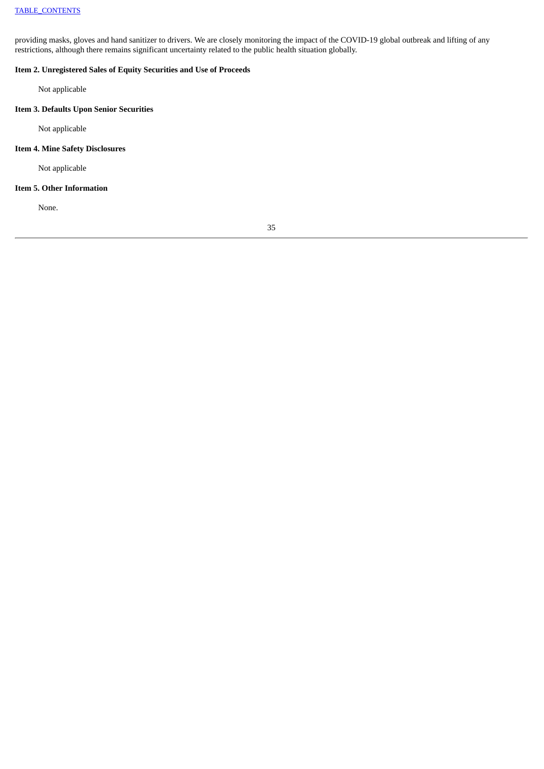providing masks, gloves and hand sanitizer to drivers. We are closely monitoring the impact of the COVID-19 global outbreak and lifting of any restrictions, although there remains significant uncertainty related to the public health situation globally.

# <span id="page-36-0"></span>**Item 2. Unregistered Sales of Equity Securities and Use of Proceeds**

Not applicable

# <span id="page-36-1"></span>**Item 3. Defaults Upon Senior Securities**

Not applicable

# <span id="page-36-2"></span>**Item 4. Mine Safety Disclosures**

Not applicable

# <span id="page-36-3"></span>**Item 5. Other Information**

None.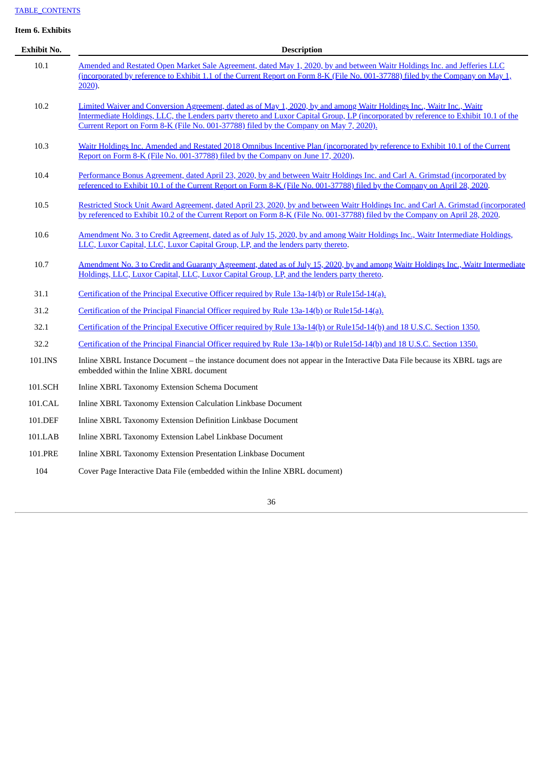# [TABLE\\_CONTENTS](#page-1-0)

# <span id="page-37-0"></span>**Item 6. Exhibits**

| Exhibit No. | <b>Description</b>                                                                                                                                                                                                                                                                                                                                    |
|-------------|-------------------------------------------------------------------------------------------------------------------------------------------------------------------------------------------------------------------------------------------------------------------------------------------------------------------------------------------------------|
| 10.1        | Amended and Restated Open Market Sale Agreement, dated May 1, 2020, by and between Waitr Holdings Inc. and Jefferies LLC<br>(incorporated by reference to Exhibit 1.1 of the Current Report on Form 8-K (File No. 001-37788) filed by the Company on May 1,<br>$2020$ ).                                                                              |
| 10.2        | Limited Waiver and Conversion Agreement, dated as of May 1, 2020, by and among Waitr Holdings Inc., Waitr Inc., Waitr<br>Intermediate Holdings, LLC, the Lenders party thereto and Luxor Capital Group, LP (incorporated by reference to Exhibit 10.1 of the<br>Current Report on Form 8-K (File No. 001-37788) filed by the Company on May 7, 2020). |
| 10.3        | Waitr Holdings Inc. Amended and Restated 2018 Omnibus Incentive Plan (incorporated by reference to Exhibit 10.1 of the Current<br>Report on Form 8-K (File No. 001-37788) filed by the Company on June 17, 2020).                                                                                                                                     |
| 10.4        | Performance Bonus Agreement, dated April 23, 2020, by and between Waitr Holdings Inc. and Carl A. Grimstad (incorporated by<br>referenced to Exhibit 10.1 of the Current Report on Form 8-K (File No. 001-37788) filed by the Company on April 28, 2020.                                                                                              |
| 10.5        | Restricted Stock Unit Award Agreement, dated April 23, 2020, by and between Waitr Holdings Inc. and Carl A. Grimstad (incorporated<br>by referenced to Exhibit 10.2 of the Current Report on Form 8-K (File No. 001-37788) filed by the Company on April 28, 2020.                                                                                    |
| 10.6        | Amendment No. 3 to Credit Agreement, dated as of July 15, 2020, by and among Waitr Holdings Inc., Waitr Intermediate Holdings,<br>LLC, Luxor Capital, LLC, Luxor Capital Group, LP, and the lenders party thereto.                                                                                                                                    |
| 10.7        | Amendment No. 3 to Credit and Guaranty Agreement, dated as of July 15, 2020, by and among Waitr Holdings Inc., Waitr Intermediate<br>Holdings, LLC, Luxor Capital, LLC, Luxor Capital Group, LP, and the lenders party thereto.                                                                                                                       |
| 31.1        | Certification of the Principal Executive Officer required by Rule 13a-14(b) or Rule15d-14(a).                                                                                                                                                                                                                                                         |
| 31.2        | Certification of the Principal Financial Officer required by Rule 13a-14(b) or Rule15d-14(a).                                                                                                                                                                                                                                                         |
| 32.1        | Certification of the Principal Executive Officer required by Rule 13a-14(b) or Rule15d-14(b) and 18 U.S.C. Section 1350.                                                                                                                                                                                                                              |
| 32.2        | Certification of the Principal Financial Officer required by Rule 13a-14(b) or Rule15d-14(b) and 18 U.S.C. Section 1350.                                                                                                                                                                                                                              |
| 101.INS     | Inline XBRL Instance Document – the instance document does not appear in the Interactive Data File because its XBRL tags are<br>embedded within the Inline XBRL document                                                                                                                                                                              |
| 101.SCH     | Inline XBRL Taxonomy Extension Schema Document                                                                                                                                                                                                                                                                                                        |
| 101.CAL     | Inline XBRL Taxonomy Extension Calculation Linkbase Document                                                                                                                                                                                                                                                                                          |
| 101.DEF     | Inline XBRL Taxonomy Extension Definition Linkbase Document                                                                                                                                                                                                                                                                                           |
| 101.LAB     | Inline XBRL Taxonomy Extension Label Linkbase Document                                                                                                                                                                                                                                                                                                |
| 101.PRE     | Inline XBRL Taxonomy Extension Presentation Linkbase Document                                                                                                                                                                                                                                                                                         |
| 104         | Cover Page Interactive Data File (embedded within the Inline XBRL document)                                                                                                                                                                                                                                                                           |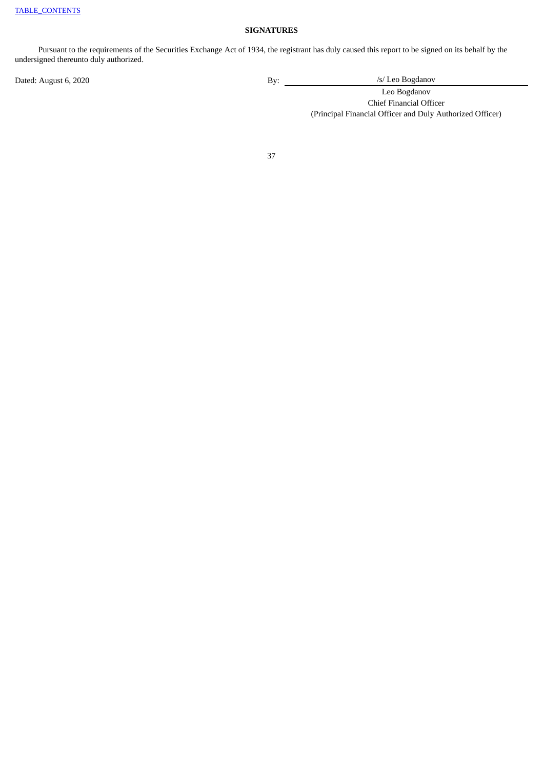# **SIGNATURES**

<span id="page-38-0"></span>Pursuant to the requirements of the Securities Exchange Act of 1934, the registrant has duly caused this report to be signed on its behalf by the undersigned thereunto duly authorized.

Dated: August 6, 2020 By: By:

/s/ Leo Bogdanov

Leo Bogdanov Chief Financial Officer (Principal Financial Officer and Duly Authorized Officer)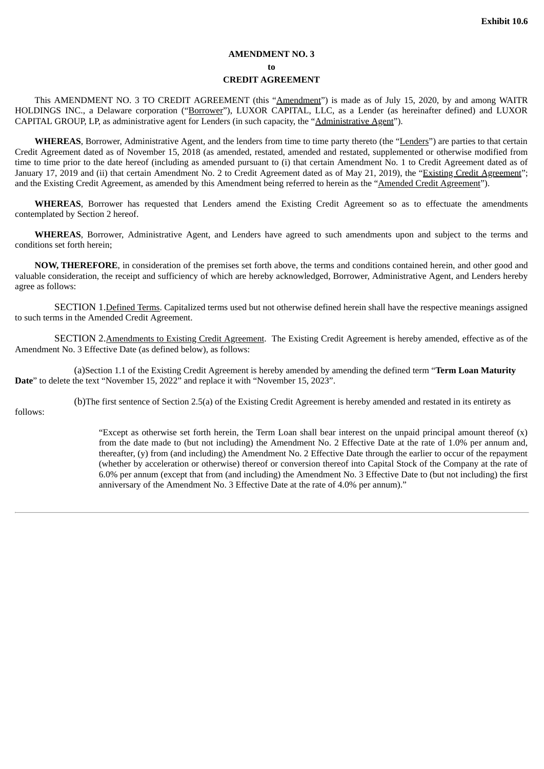# **AMENDMENT NO. 3**

**to**

# **CREDIT AGREEMENT**

<span id="page-39-0"></span>This AMENDMENT NO. 3 TO CREDIT AGREEMENT (this "Amendment") is made as of July 15, 2020, by and among WAITR HOLDINGS INC., a Delaware corporation ("Borrower"), LUXOR CAPITAL, LLC, as a Lender (as hereinafter defined) and LUXOR CAPITAL GROUP, LP, as administrative agent for Lenders (in such capacity, the "Administrative Agent").

**WHEREAS**, Borrower, Administrative Agent, and the lenders from time to time party thereto (the "Lenders") are parties to that certain Credit Agreement dated as of November 15, 2018 (as amended, restated, amended and restated, supplemented or otherwise modified from time to time prior to the date hereof (including as amended pursuant to (i) that certain Amendment No. 1 to Credit Agreement dated as of January 17, 2019 and (ii) that certain Amendment No. 2 to Credit Agreement dated as of May 21, 2019), the "Existing Credit Agreement"; and the Existing Credit Agreement, as amended by this Amendment being referred to herein as the "Amended Credit Agreement").

**WHEREAS**, Borrower has requested that Lenders amend the Existing Credit Agreement so as to effectuate the amendments contemplated by Section 2 hereof.

**WHEREAS**, Borrower, Administrative Agent, and Lenders have agreed to such amendments upon and subject to the terms and conditions set forth herein;

**NOW, THEREFORE**, in consideration of the premises set forth above, the terms and conditions contained herein, and other good and valuable consideration, the receipt and sufficiency of which are hereby acknowledged, Borrower, Administrative Agent, and Lenders hereby agree as follows:

SECTION 1.Defined Terms. Capitalized terms used but not otherwise defined herein shall have the respective meanings assigned to such terms in the Amended Credit Agreement.

SECTION 2.Amendments to Existing Credit Agreement. The Existing Credit Agreement is hereby amended, effective as of the Amendment No. 3 Effective Date (as defined below), as follows:

(a)Section 1.1 of the Existing Credit Agreement is hereby amended by amending the defined term "**Term Loan Maturity Date**" to delete the text "November 15, 2022" and replace it with "November 15, 2023".

(b)The first sentence of Section 2.5(a) of the Existing Credit Agreement is hereby amended and restated in its entirety as

follows:

"Except as otherwise set forth herein, the Term Loan shall bear interest on the unpaid principal amount thereof  $(x)$ from the date made to (but not including) the Amendment No. 2 Effective Date at the rate of 1.0% per annum and, thereafter, (y) from (and including) the Amendment No. 2 Effective Date through the earlier to occur of the repayment (whether by acceleration or otherwise) thereof or conversion thereof into Capital Stock of the Company at the rate of 6.0% per annum (except that from (and including) the Amendment No. 3 Effective Date to (but not including) the first anniversary of the Amendment No. 3 Effective Date at the rate of 4.0% per annum)."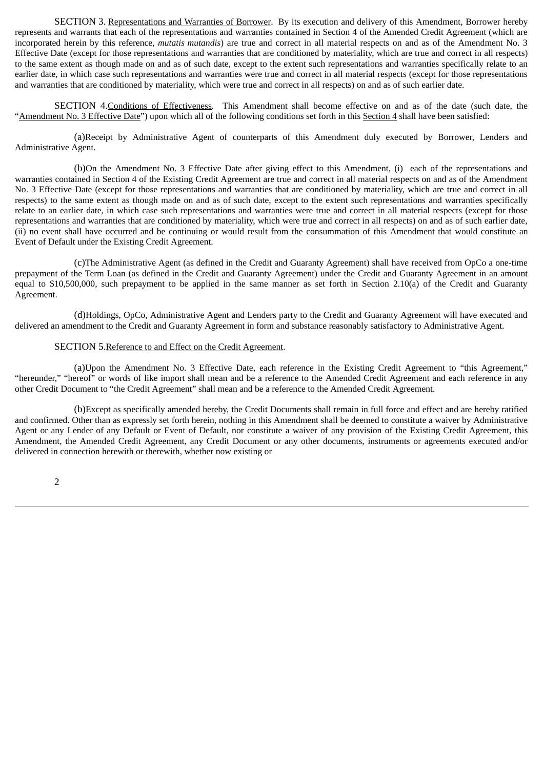SECTION 3. Representations and Warranties of Borrower. By its execution and delivery of this Amendment, Borrower hereby represents and warrants that each of the representations and warranties contained in Section 4 of the Amended Credit Agreement (which are incorporated herein by this reference, *mutatis mutandis*) are true and correct in all material respects on and as of the Amendment No. 3 Effective Date (except for those representations and warranties that are conditioned by materiality, which are true and correct in all respects) to the same extent as though made on and as of such date, except to the extent such representations and warranties specifically relate to an earlier date, in which case such representations and warranties were true and correct in all material respects (except for those representations and warranties that are conditioned by materiality, which were true and correct in all respects) on and as of such earlier date.

SECTION 4.Conditions of Effectiveness. This Amendment shall become effective on and as of the date (such date, the "Amendment No. 3 Effective Date") upon which all of the following conditions set forth in this Section 4 shall have been satisfied:

(a)Receipt by Administrative Agent of counterparts of this Amendment duly executed by Borrower, Lenders and Administrative Agent.

(b)On the Amendment No. 3 Effective Date after giving effect to this Amendment, (i) each of the representations and warranties contained in Section 4 of the Existing Credit Agreement are true and correct in all material respects on and as of the Amendment No. 3 Effective Date (except for those representations and warranties that are conditioned by materiality, which are true and correct in all respects) to the same extent as though made on and as of such date, except to the extent such representations and warranties specifically relate to an earlier date, in which case such representations and warranties were true and correct in all material respects (except for those representations and warranties that are conditioned by materiality, which were true and correct in all respects) on and as of such earlier date, (ii) no event shall have occurred and be continuing or would result from the consummation of this Amendment that would constitute an Event of Default under the Existing Credit Agreement.

(c)The Administrative Agent (as defined in the Credit and Guaranty Agreement) shall have received from OpCo a one-time prepayment of the Term Loan (as defined in the Credit and Guaranty Agreement) under the Credit and Guaranty Agreement in an amount equal to \$10,500,000, such prepayment to be applied in the same manner as set forth in Section 2.10(a) of the Credit and Guaranty Agreement.

(d)Holdings, OpCo, Administrative Agent and Lenders party to the Credit and Guaranty Agreement will have executed and delivered an amendment to the Credit and Guaranty Agreement in form and substance reasonably satisfactory to Administrative Agent.

# SECTION 5.Reference to and Effect on the Credit Agreement.

(a)Upon the Amendment No. 3 Effective Date, each reference in the Existing Credit Agreement to "this Agreement," "hereunder," "hereof" or words of like import shall mean and be a reference to the Amended Credit Agreement and each reference in any other Credit Document to "the Credit Agreement" shall mean and be a reference to the Amended Credit Agreement.

(b)Except as specifically amended hereby, the Credit Documents shall remain in full force and effect and are hereby ratified and confirmed. Other than as expressly set forth herein, nothing in this Amendment shall be deemed to constitute a waiver by Administrative Agent or any Lender of any Default or Event of Default, nor constitute a waiver of any provision of the Existing Credit Agreement, this Amendment, the Amended Credit Agreement, any Credit Document or any other documents, instruments or agreements executed and/or delivered in connection herewith or therewith, whether now existing or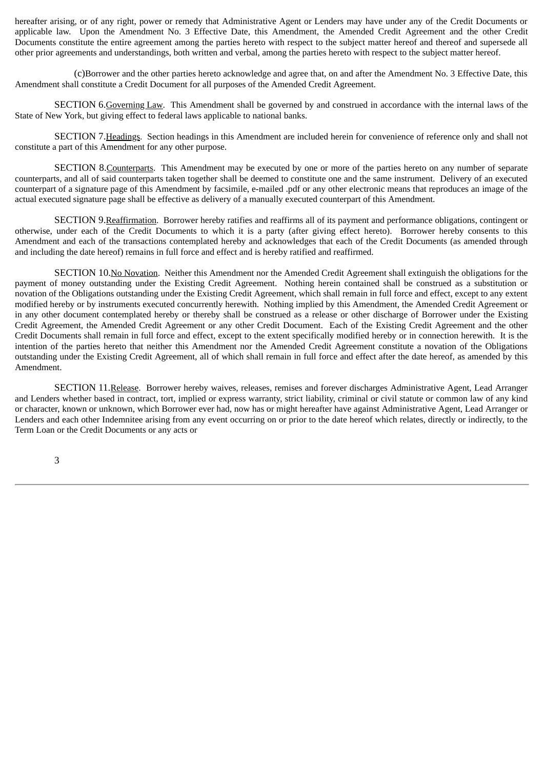hereafter arising, or of any right, power or remedy that Administrative Agent or Lenders may have under any of the Credit Documents or applicable law. Upon the Amendment No. 3 Effective Date, this Amendment, the Amended Credit Agreement and the other Credit Documents constitute the entire agreement among the parties hereto with respect to the subject matter hereof and thereof and supersede all other prior agreements and understandings, both written and verbal, among the parties hereto with respect to the subject matter hereof.

(c)Borrower and the other parties hereto acknowledge and agree that, on and after the Amendment No. 3 Effective Date, this Amendment shall constitute a Credit Document for all purposes of the Amended Credit Agreement.

SECTION 6. Governing Law. This Amendment shall be governed by and construed in accordance with the internal laws of the State of New York, but giving effect to federal laws applicable to national banks.

SECTION 7.Headings. Section headings in this Amendment are included herein for convenience of reference only and shall not constitute a part of this Amendment for any other purpose.

SECTION 8.Counterparts. This Amendment may be executed by one or more of the parties hereto on any number of separate counterparts, and all of said counterparts taken together shall be deemed to constitute one and the same instrument. Delivery of an executed counterpart of a signature page of this Amendment by facsimile, e-mailed .pdf or any other electronic means that reproduces an image of the actual executed signature page shall be effective as delivery of a manually executed counterpart of this Amendment.

SECTION 9.Reaffirmation. Borrower hereby ratifies and reaffirms all of its payment and performance obligations, contingent or otherwise, under each of the Credit Documents to which it is a party (after giving effect hereto). Borrower hereby consents to this Amendment and each of the transactions contemplated hereby and acknowledges that each of the Credit Documents (as amended through and including the date hereof) remains in full force and effect and is hereby ratified and reaffirmed.

SECTION 10. No Novation. Neither this Amendment nor the Amended Credit Agreement shall extinguish the obligations for the payment of money outstanding under the Existing Credit Agreement. Nothing herein contained shall be construed as a substitution or novation of the Obligations outstanding under the Existing Credit Agreement, which shall remain in full force and effect, except to any extent modified hereby or by instruments executed concurrently herewith. Nothing implied by this Amendment, the Amended Credit Agreement or in any other document contemplated hereby or thereby shall be construed as a release or other discharge of Borrower under the Existing Credit Agreement, the Amended Credit Agreement or any other Credit Document. Each of the Existing Credit Agreement and the other Credit Documents shall remain in full force and effect, except to the extent specifically modified hereby or in connection herewith. It is the intention of the parties hereto that neither this Amendment nor the Amended Credit Agreement constitute a novation of the Obligations outstanding under the Existing Credit Agreement, all of which shall remain in full force and effect after the date hereof, as amended by this Amendment.

SECTION 11. Release. Borrower hereby waives, releases, remises and forever discharges Administrative Agent, Lead Arranger and Lenders whether based in contract, tort, implied or express warranty, strict liability, criminal or civil statute or common law of any kind or character, known or unknown, which Borrower ever had, now has or might hereafter have against Administrative Agent, Lead Arranger or Lenders and each other Indemnitee arising from any event occurring on or prior to the date hereof which relates, directly or indirectly, to the Term Loan or the Credit Documents or any acts or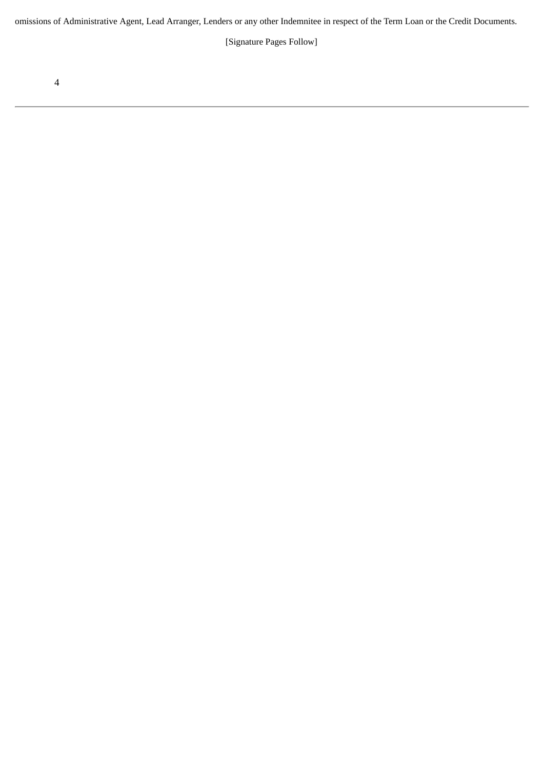omissions of Administrative Agent, Lead Arranger, Lenders or any other Indemnitee in respect of the Term Loan or the Credit Documents.

[Signature Pages Follow]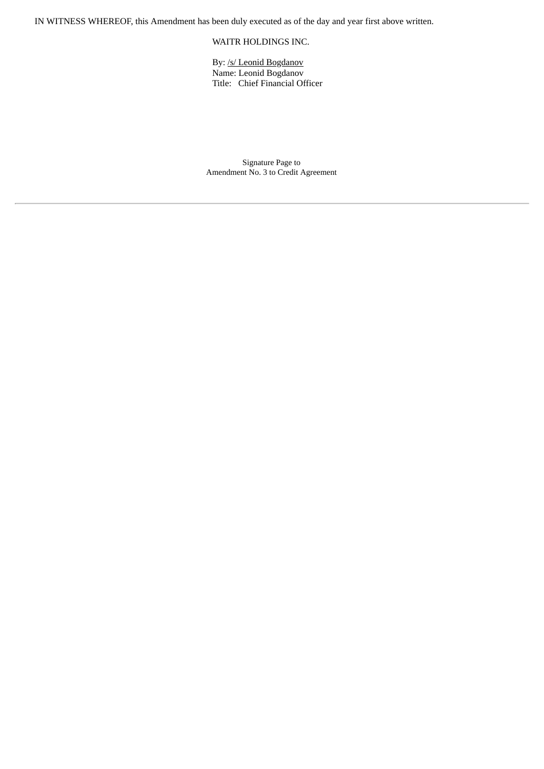IN WITNESS WHEREOF, this Amendment has been duly executed as of the day and year first above written.

WAITR HOLDINGS INC.

By: /s/ Leonid Bogdanov Name: Leonid Bogdanov Title: Chief Financial Officer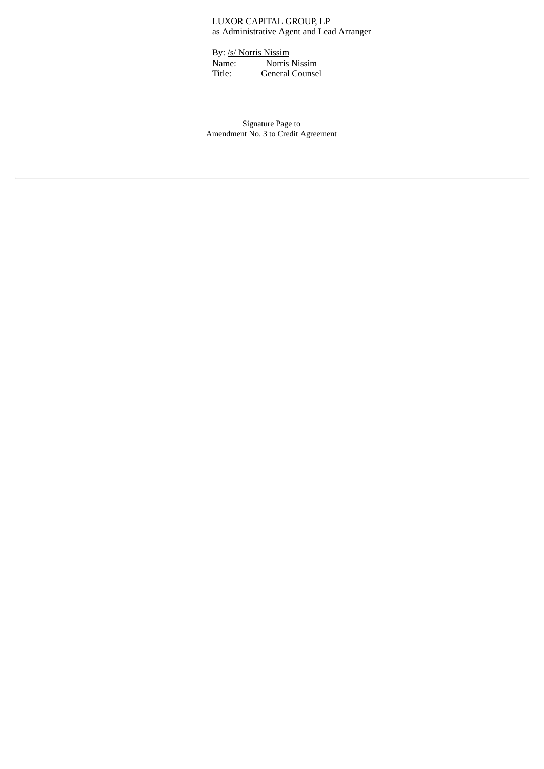# LUXOR CAPITAL GROUP, LP as Administrative Agent and Lead Arranger

By: <u>/s/ Norris Nissim</u><br>Name: Norris l Name: Norris Nissim<br>Title: General Counse General Counsel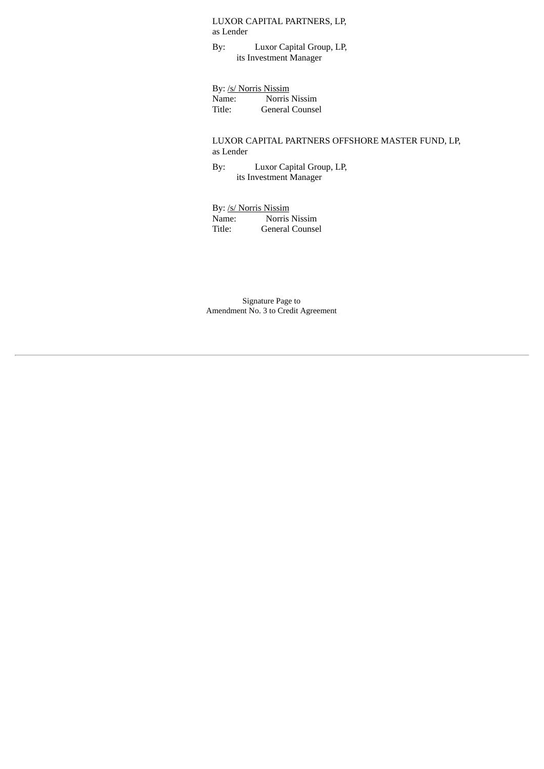# LUXOR CAPITAL PARTNERS, LP, as Lender

By: Luxor Capital Group, LP, its Investment Manager

By: <u>/s/ Norris Nissim</u><br>Name: Norris Name: Norris Nissim<br>Title: General Counse General Counsel

# LUXOR CAPITAL PARTNERS OFFSHORE MASTER FUND, LP, as Lender

By: Luxor Capital Group, LP, its Investment Manager

By: /s/ Norris Nissim Name: Norris Nissim<br>Title: General Counse General Counsel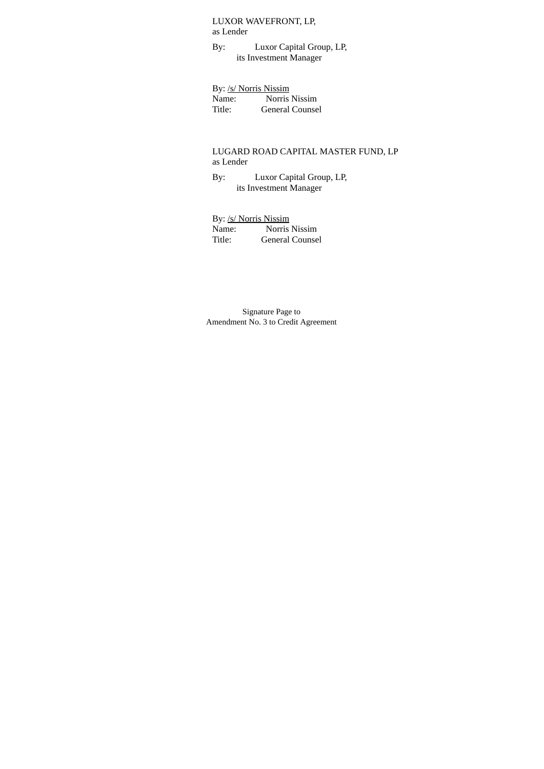# LUXOR WAVEFRONT, LP, as Lender

By: Luxor Capital Group, LP, its Investment Manager

By: <u>/s/ Norris Nissim</u><br>Name: Norris Name: Norris Nissim<br>Title: General Counse General Counsel

# LUGARD ROAD CAPITAL MASTER FUND, LP as Lender

By: Luxor Capital Group, LP, its Investment Manager

By: <u>/s/ Norris Nissim</u><br>Name: Norris Name: Norris Nissim<br>Title: General Counse General Counsel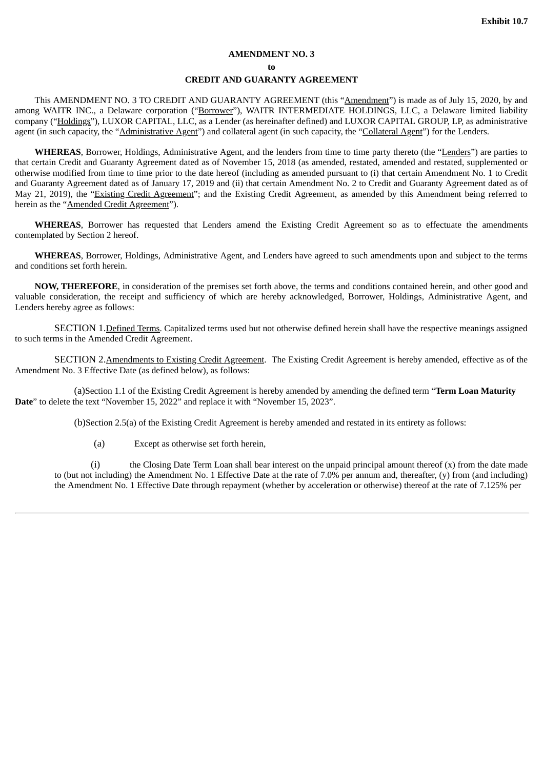# **AMENDMENT NO. 3**

**to**

# **CREDIT AND GUARANTY AGREEMENT**

<span id="page-47-0"></span>This AMENDMENT NO. 3 TO CREDIT AND GUARANTY AGREEMENT (this "Amendment") is made as of July 15, 2020, by and among WAITR INC., a Delaware corporation ("Borrower"), WAITR INTERMEDIATE HOLDINGS, LLC, a Delaware limited liability company ("Holdings"), LUXOR CAPITAL, LLC, as a Lender (as hereinafter defined) and LUXOR CAPITAL GROUP, LP, as administrative agent (in such capacity, the "Administrative Agent") and collateral agent (in such capacity, the "Collateral Agent") for the Lenders.

**WHEREAS**, Borrower, Holdings, Administrative Agent, and the lenders from time to time party thereto (the "Lenders") are parties to that certain Credit and Guaranty Agreement dated as of November 15, 2018 (as amended, restated, amended and restated, supplemented or otherwise modified from time to time prior to the date hereof (including as amended pursuant to (i) that certain Amendment No. 1 to Credit and Guaranty Agreement dated as of January 17, 2019 and (ii) that certain Amendment No. 2 to Credit and Guaranty Agreement dated as of May 21, 2019), the "Existing Credit Agreement"; and the Existing Credit Agreement, as amended by this Amendment being referred to herein as the "Amended Credit Agreement").

**WHEREAS**, Borrower has requested that Lenders amend the Existing Credit Agreement so as to effectuate the amendments contemplated by Section 2 hereof.

**WHEREAS**, Borrower, Holdings, Administrative Agent, and Lenders have agreed to such amendments upon and subject to the terms and conditions set forth herein.

**NOW, THEREFORE**, in consideration of the premises set forth above, the terms and conditions contained herein, and other good and valuable consideration, the receipt and sufficiency of which are hereby acknowledged, Borrower, Holdings, Administrative Agent, and Lenders hereby agree as follows:

SECTION 1.Defined Terms. Capitalized terms used but not otherwise defined herein shall have the respective meanings assigned to such terms in the Amended Credit Agreement.

SECTION 2. Amendments to Existing Credit Agreement. The Existing Credit Agreement is hereby amended, effective as of the Amendment No. 3 Effective Date (as defined below), as follows:

(a)Section 1.1 of the Existing Credit Agreement is hereby amended by amending the defined term "**Term Loan Maturity Date**" to delete the text "November 15, 2022" and replace it with "November 15, 2023".

(b)Section 2.5(a) of the Existing Credit Agreement is hereby amended and restated in its entirety as follows:

(a) Except as otherwise set forth herein,

(i) the Closing Date Term Loan shall bear interest on the unpaid principal amount thereof (x) from the date made to (but not including) the Amendment No. 1 Effective Date at the rate of 7.0% per annum and, thereafter, (y) from (and including) the Amendment No. 1 Effective Date through repayment (whether by acceleration or otherwise) thereof at the rate of 7.125% per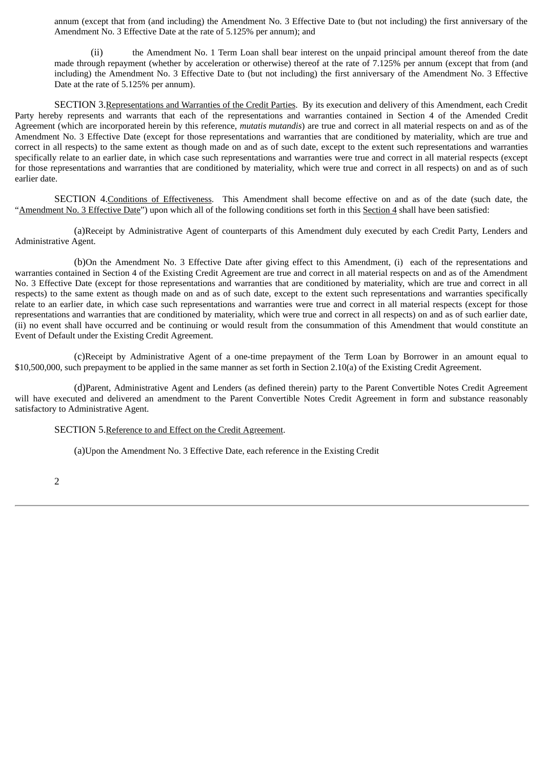annum (except that from (and including) the Amendment No. 3 Effective Date to (but not including) the first anniversary of the Amendment No. 3 Effective Date at the rate of 5.125% per annum); and

(ii) the Amendment No. 1 Term Loan shall bear interest on the unpaid principal amount thereof from the date made through repayment (whether by acceleration or otherwise) thereof at the rate of 7.125% per annum (except that from (and including) the Amendment No. 3 Effective Date to (but not including) the first anniversary of the Amendment No. 3 Effective Date at the rate of 5.125% per annum).

SECTION 3.Representations and Warranties of the Credit Parties. By its execution and delivery of this Amendment, each Credit Party hereby represents and warrants that each of the representations and warranties contained in Section 4 of the Amended Credit Agreement (which are incorporated herein by this reference, *mutatis mutandis*) are true and correct in all material respects on and as of the Amendment No. 3 Effective Date (except for those representations and warranties that are conditioned by materiality, which are true and correct in all respects) to the same extent as though made on and as of such date, except to the extent such representations and warranties specifically relate to an earlier date, in which case such representations and warranties were true and correct in all material respects (except for those representations and warranties that are conditioned by materiality, which were true and correct in all respects) on and as of such earlier date.

SECTION 4.Conditions of Effectiveness. This Amendment shall become effective on and as of the date (such date, the "Amendment No. 3 Effective Date") upon which all of the following conditions set forth in this Section 4 shall have been satisfied:

(a)Receipt by Administrative Agent of counterparts of this Amendment duly executed by each Credit Party, Lenders and Administrative Agent.

(b)On the Amendment No. 3 Effective Date after giving effect to this Amendment, (i) each of the representations and warranties contained in Section 4 of the Existing Credit Agreement are true and correct in all material respects on and as of the Amendment No. 3 Effective Date (except for those representations and warranties that are conditioned by materiality, which are true and correct in all respects) to the same extent as though made on and as of such date, except to the extent such representations and warranties specifically relate to an earlier date, in which case such representations and warranties were true and correct in all material respects (except for those representations and warranties that are conditioned by materiality, which were true and correct in all respects) on and as of such earlier date, (ii) no event shall have occurred and be continuing or would result from the consummation of this Amendment that would constitute an Event of Default under the Existing Credit Agreement.

(c)Receipt by Administrative Agent of a one-time prepayment of the Term Loan by Borrower in an amount equal to \$10,500,000, such prepayment to be applied in the same manner as set forth in Section 2.10(a) of the Existing Credit Agreement.

(d)Parent, Administrative Agent and Lenders (as defined therein) party to the Parent Convertible Notes Credit Agreement will have executed and delivered an amendment to the Parent Convertible Notes Credit Agreement in form and substance reasonably satisfactory to Administrative Agent.

SECTION 5.Reference to and Effect on the Credit Agreement.

(a)Upon the Amendment No. 3 Effective Date, each reference in the Existing Credit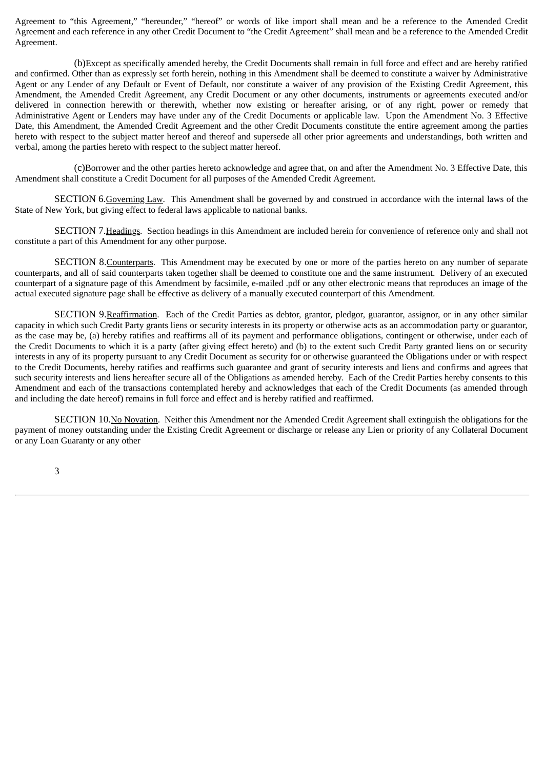Agreement to "this Agreement," "hereunder," "hereof" or words of like import shall mean and be a reference to the Amended Credit Agreement and each reference in any other Credit Document to "the Credit Agreement" shall mean and be a reference to the Amended Credit Agreement.

(b)Except as specifically amended hereby, the Credit Documents shall remain in full force and effect and are hereby ratified and confirmed. Other than as expressly set forth herein, nothing in this Amendment shall be deemed to constitute a waiver by Administrative Agent or any Lender of any Default or Event of Default, nor constitute a waiver of any provision of the Existing Credit Agreement, this Amendment, the Amended Credit Agreement, any Credit Document or any other documents, instruments or agreements executed and/or delivered in connection herewith or therewith, whether now existing or hereafter arising, or of any right, power or remedy that Administrative Agent or Lenders may have under any of the Credit Documents or applicable law. Upon the Amendment No. 3 Effective Date, this Amendment, the Amended Credit Agreement and the other Credit Documents constitute the entire agreement among the parties hereto with respect to the subject matter hereof and thereof and supersede all other prior agreements and understandings, both written and verbal, among the parties hereto with respect to the subject matter hereof.

(c)Borrower and the other parties hereto acknowledge and agree that, on and after the Amendment No. 3 Effective Date, this Amendment shall constitute a Credit Document for all purposes of the Amended Credit Agreement.

SECTION 6.Governing Law. This Amendment shall be governed by and construed in accordance with the internal laws of the State of New York, but giving effect to federal laws applicable to national banks.

SECTION 7.Headings. Section headings in this Amendment are included herein for convenience of reference only and shall not constitute a part of this Amendment for any other purpose.

SECTION 8.Counterparts. This Amendment may be executed by one or more of the parties hereto on any number of separate counterparts, and all of said counterparts taken together shall be deemed to constitute one and the same instrument. Delivery of an executed counterpart of a signature page of this Amendment by facsimile, e-mailed .pdf or any other electronic means that reproduces an image of the actual executed signature page shall be effective as delivery of a manually executed counterpart of this Amendment.

SECTION 9. Reaffirmation. Each of the Credit Parties as debtor, grantor, pledgor, guarantor, assignor, or in any other similar capacity in which such Credit Party grants liens or security interests in its property or otherwise acts as an accommodation party or guarantor, as the case may be, (a) hereby ratifies and reaffirms all of its payment and performance obligations, contingent or otherwise, under each of the Credit Documents to which it is a party (after giving effect hereto) and (b) to the extent such Credit Party granted liens on or security interests in any of its property pursuant to any Credit Document as security for or otherwise guaranteed the Obligations under or with respect to the Credit Documents, hereby ratifies and reaffirms such guarantee and grant of security interests and liens and confirms and agrees that such security interests and liens hereafter secure all of the Obligations as amended hereby. Each of the Credit Parties hereby consents to this Amendment and each of the transactions contemplated hereby and acknowledges that each of the Credit Documents (as amended through and including the date hereof) remains in full force and effect and is hereby ratified and reaffirmed.

SECTION 10.No Novation. Neither this Amendment nor the Amended Credit Agreement shall extinguish the obligations for the payment of money outstanding under the Existing Credit Agreement or discharge or release any Lien or priority of any Collateral Document or any Loan Guaranty or any other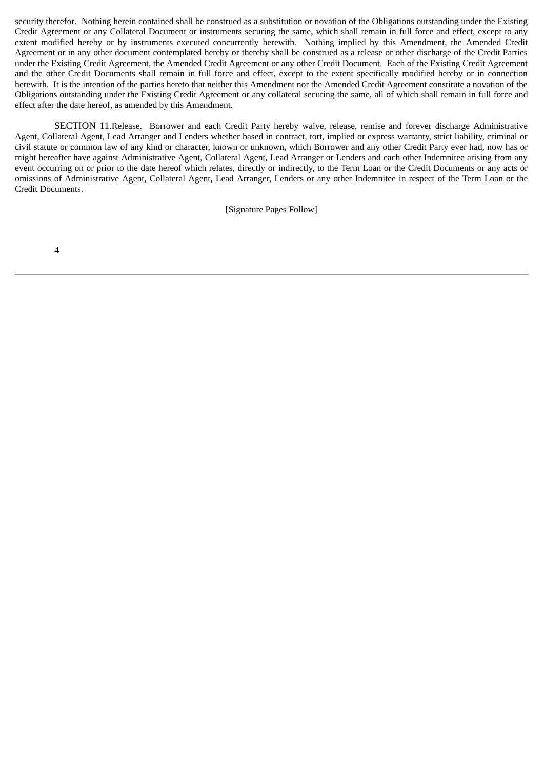security therefor. Nothing herein contained shall be construed as a substitution or novation of the Obligations outstanding under the Existing Credit Agreement or any Collateral Document or instruments securing the same, which shall remain in full force and effect, except to any extent modified hereby or by instruments executed concurrently herewith. Nothing implied by this Amendment, the Amended Credit Agreement or in any other document contemplated hereby or thereby shall be construed as a release or other discharge of the Credit Parties under the Existing Credit Agreement, the Amended Credit Agreement or any other Credit Document. Each of the Existing Credit Agreement and the other Credit Documents shall remain in full force and effect, except to the extent specifically modified hereby or in connection herewith. It is the intention of the parties hereto that neither this Amendment nor the Amended Credit Agreement constitute a novation of the Obligations outstanding under the Existing Credit Agreement or any collateral securing the same, all of which shall remain in full force and effect after the date hereof, as amended by this Amendment.

SECTION 11.Release. Borrower and each Credit Party hereby waive, release, remise and forever discharge Administrative Agent, Collateral Agent, Lead Arranger and Lenders whether based in contract, tort, implied or express warranty, strict liability, criminal or civil statute or common law of any kind or character, known or unknown, which Borrower and any other Credit Party ever had, now has or might hereafter have against Administrative Agent, Collateral Agent, Lead Arranger or Lenders and each other Indemnitee arising from any event occurring on or prior to the date hereof which relates, directly or indirectly, to the Term Loan or the Credit Documents or any acts or omissions of Administrative Agent, Collateral Agent, Lead Arranger, Lenders or any other Indemnitee in respect of the Term Loan or the Credit Documents.

[Signature Pages Follow]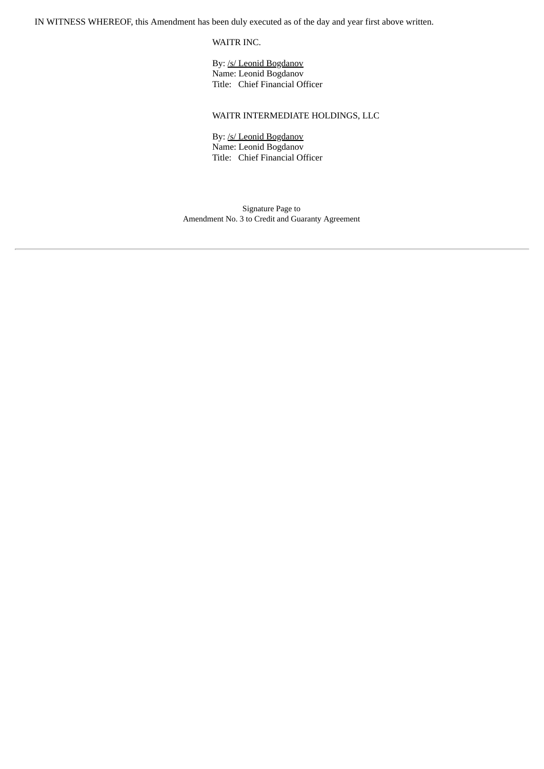IN WITNESS WHEREOF, this Amendment has been duly executed as of the day and year first above written.

WAITR INC.

By: /s/ Leonid Bogdanov Name: Leonid Bogdanov Title: Chief Financial Officer

# WAITR INTERMEDIATE HOLDINGS, LLC

By: /s/ Leonid Bogdanov Name: Leonid Bogdanov Title: Chief Financial Officer

Signature Page to Amendment No. 3 to Credit and Guaranty Agreement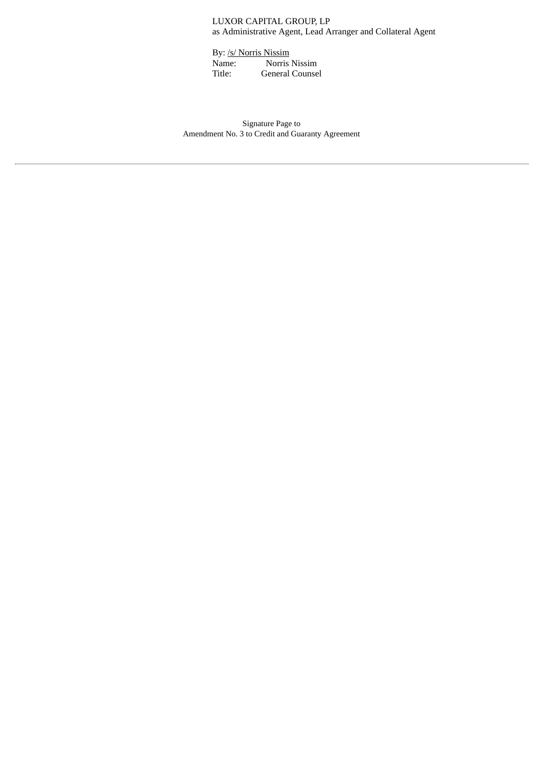# LUXOR CAPITAL GROUP, LP as Administrative Agent, Lead Arranger and Collateral Agent

By: <u>/s/ Norris Nissim</u><br>Name: Norris Name: Norris Nissim<br>Title: General Counse General Counsel

Signature Page to Amendment No. 3 to Credit and Guaranty Agreement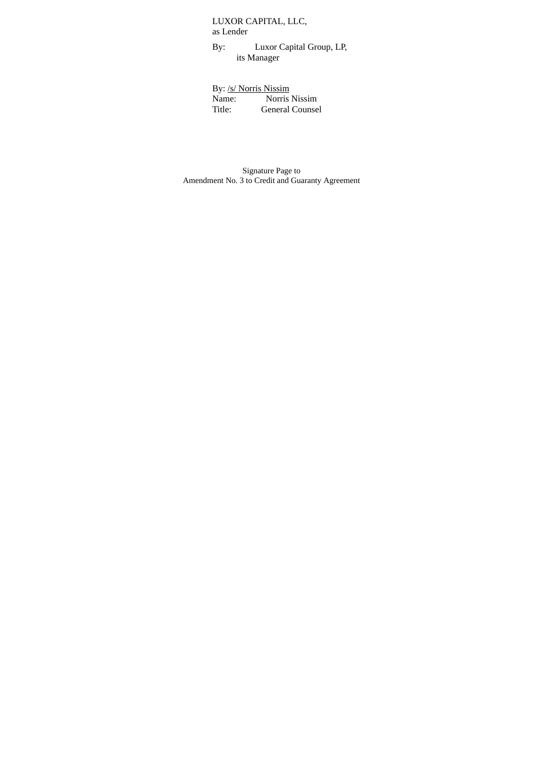# LUXOR CAPITAL, LLC, as Lender

By: Luxor Capital Group, LP, its Manager

| By: /s/ Norris Nissim |                 |
|-----------------------|-----------------|
| Name:                 | Norris Nissim   |
| Title:                | General Counsel |

Signature Page to Amendment No. 3 to Credit and Guaranty Agreement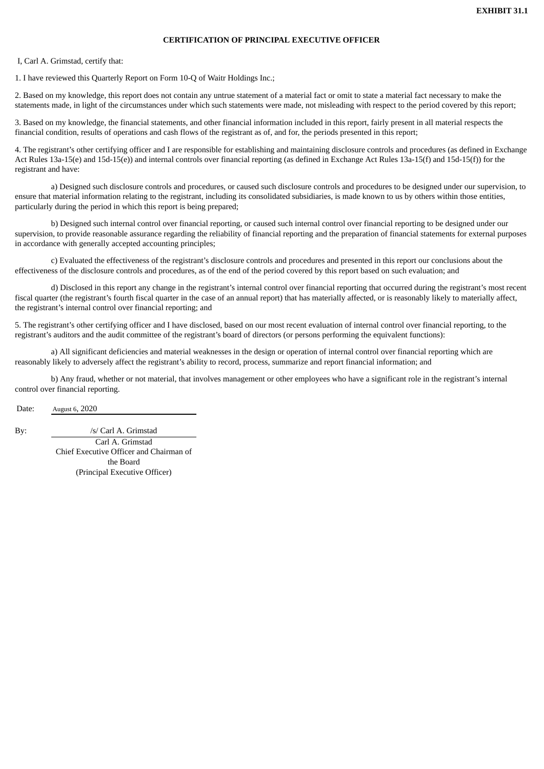# **CERTIFICATION OF PRINCIPAL EXECUTIVE OFFICER**

<span id="page-54-0"></span>I, Carl A. Grimstad, certify that:

1. I have reviewed this Quarterly Report on Form 10-Q of Waitr Holdings Inc.;

2. Based on my knowledge, this report does not contain any untrue statement of a material fact or omit to state a material fact necessary to make the statements made, in light of the circumstances under which such statements were made, not misleading with respect to the period covered by this report;

3. Based on my knowledge, the financial statements, and other financial information included in this report, fairly present in all material respects the financial condition, results of operations and cash flows of the registrant as of, and for, the periods presented in this report;

4. The registrant's other certifying officer and I are responsible for establishing and maintaining disclosure controls and procedures (as defined in Exchange Act Rules 13a-15(e) and 15d-15(e)) and internal controls over financial reporting (as defined in Exchange Act Rules 13a-15(f) and 15d-15(f)) for the registrant and have:

a) Designed such disclosure controls and procedures, or caused such disclosure controls and procedures to be designed under our supervision, to ensure that material information relating to the registrant, including its consolidated subsidiaries, is made known to us by others within those entities, particularly during the period in which this report is being prepared;

b) Designed such internal control over financial reporting, or caused such internal control over financial reporting to be designed under our supervision, to provide reasonable assurance regarding the reliability of financial reporting and the preparation of financial statements for external purposes in accordance with generally accepted accounting principles;

c) Evaluated the effectiveness of the registrant's disclosure controls and procedures and presented in this report our conclusions about the effectiveness of the disclosure controls and procedures, as of the end of the period covered by this report based on such evaluation; and

d) Disclosed in this report any change in the registrant's internal control over financial reporting that occurred during the registrant's most recent fiscal quarter (the registrant's fourth fiscal quarter in the case of an annual report) that has materially affected, or is reasonably likely to materially affect, the registrant's internal control over financial reporting; and

5. The registrant's other certifying officer and I have disclosed, based on our most recent evaluation of internal control over financial reporting, to the registrant's auditors and the audit committee of the registrant's board of directors (or persons performing the equivalent functions):

a) All significant deficiencies and material weaknesses in the design or operation of internal control over financial reporting which are reasonably likely to adversely affect the registrant's ability to record, process, summarize and report financial information; and

b) Any fraud, whether or not material, that involves management or other employees who have a significant role in the registrant's internal control over financial reporting.

Date: August 6, 2020

By: /s/ Carl A. Grimstad

Carl A. Grimstad Chief Executive Officer and Chairman of the Board (Principal Executive Officer)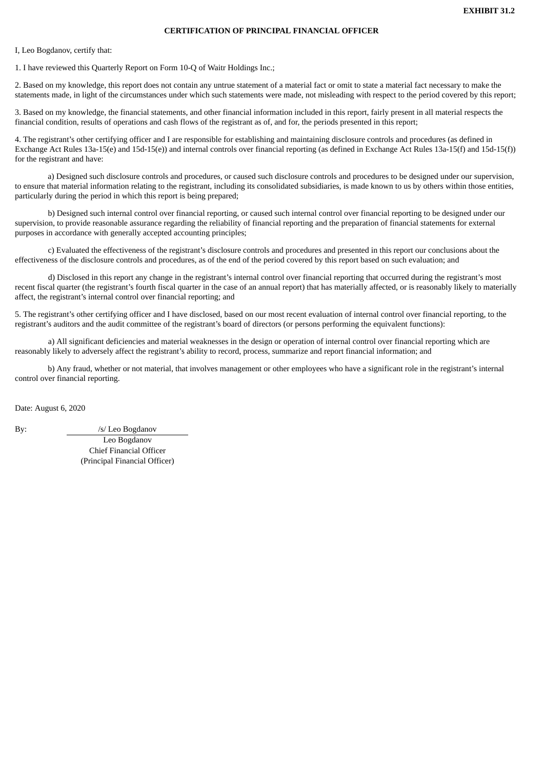# **CERTIFICATION OF PRINCIPAL FINANCIAL OFFICER**

<span id="page-55-0"></span>I, Leo Bogdanov, certify that:

1. I have reviewed this Quarterly Report on Form 10-Q of Waitr Holdings Inc.;

2. Based on my knowledge, this report does not contain any untrue statement of a material fact or omit to state a material fact necessary to make the statements made, in light of the circumstances under which such statements were made, not misleading with respect to the period covered by this report;

3. Based on my knowledge, the financial statements, and other financial information included in this report, fairly present in all material respects the financial condition, results of operations and cash flows of the registrant as of, and for, the periods presented in this report;

4. The registrant's other certifying officer and I are responsible for establishing and maintaining disclosure controls and procedures (as defined in Exchange Act Rules 13a-15(e) and 15d-15(e)) and internal controls over financial reporting (as defined in Exchange Act Rules 13a-15(f) and 15d-15(f)) for the registrant and have:

a) Designed such disclosure controls and procedures, or caused such disclosure controls and procedures to be designed under our supervision, to ensure that material information relating to the registrant, including its consolidated subsidiaries, is made known to us by others within those entities, particularly during the period in which this report is being prepared;

b) Designed such internal control over financial reporting, or caused such internal control over financial reporting to be designed under our supervision, to provide reasonable assurance regarding the reliability of financial reporting and the preparation of financial statements for external purposes in accordance with generally accepted accounting principles;

c) Evaluated the effectiveness of the registrant's disclosure controls and procedures and presented in this report our conclusions about the effectiveness of the disclosure controls and procedures, as of the end of the period covered by this report based on such evaluation; and

d) Disclosed in this report any change in the registrant's internal control over financial reporting that occurred during the registrant's most recent fiscal quarter (the registrant's fourth fiscal quarter in the case of an annual report) that has materially affected, or is reasonably likely to materially affect, the registrant's internal control over financial reporting; and

5. The registrant's other certifying officer and I have disclosed, based on our most recent evaluation of internal control over financial reporting, to the registrant's auditors and the audit committee of the registrant's board of directors (or persons performing the equivalent functions):

a) All significant deficiencies and material weaknesses in the design or operation of internal control over financial reporting which are reasonably likely to adversely affect the registrant's ability to record, process, summarize and report financial information; and

b) Any fraud, whether or not material, that involves management or other employees who have a significant role in the registrant's internal control over financial reporting.

Date: August 6, 2020

By:  $\frac{1}{s}$  /s/ Leo Bogdanov

Leo Bogdanov Chief Financial Officer (Principal Financial Officer)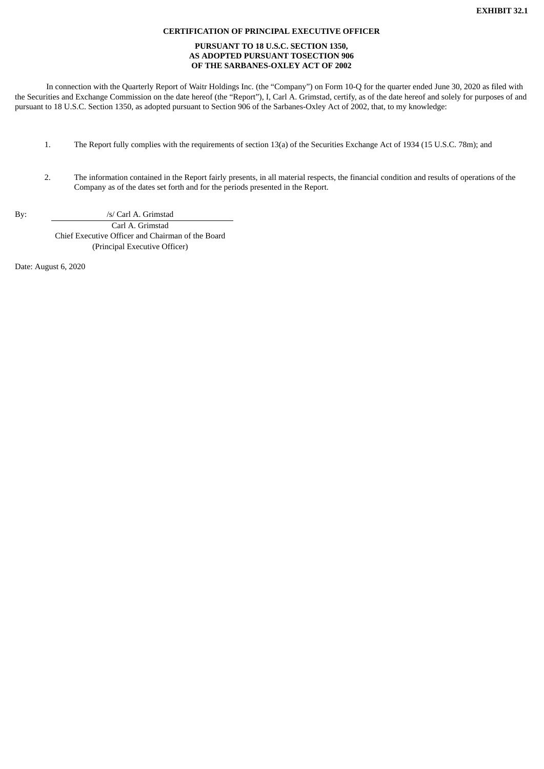# **CERTIFICATION OF PRINCIPAL EXECUTIVE OFFICER**

# **PURSUANT TO 18 U.S.C. SECTION 1350, AS ADOPTED PURSUANT TOSECTION 906 OF THE SARBANES-OXLEY ACT OF 2002**

<span id="page-56-0"></span>In connection with the Quarterly Report of Waitr Holdings Inc. (the "Company") on Form 10-Q for the quarter ended June 30, 2020 as filed with the Securities and Exchange Commission on the date hereof (the "Report"), I, Carl A. Grimstad, certify, as of the date hereof and solely for purposes of and pursuant to 18 U.S.C. Section 1350, as adopted pursuant to Section 906 of the Sarbanes-Oxley Act of 2002, that, to my knowledge:

- 1. The Report fully complies with the requirements of section 13(a) of the Securities Exchange Act of 1934 (15 U.S.C. 78m); and
- 2. The information contained in the Report fairly presents, in all material respects, the financial condition and results of operations of the Company as of the dates set forth and for the periods presented in the Report.

By: /s/ Carl A. Grimstad Carl A. Grimstad

Chief Executive Officer and Chairman of the Board (Principal Executive Officer)

Date: August 6, 2020